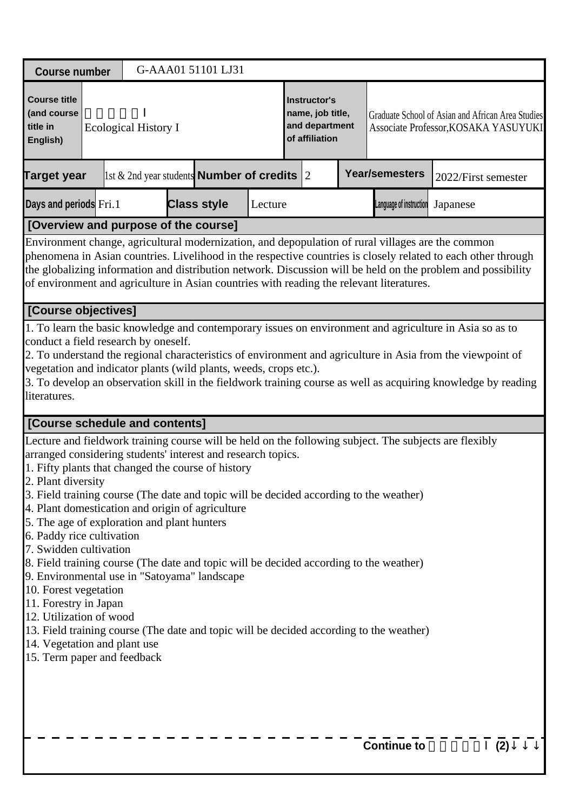| <b>Course number</b>                                                                                                                                                                                                                                                                                                                                                                                                                                                                                                                                                                                                                                                                                                                                                                                                                                                                    |                             | G-AAA01 51101 LJ31                                     |         |                                                                      |  |  |                         |                                                                                                                                                                                                                                                                                                                                        |  |  |
|-----------------------------------------------------------------------------------------------------------------------------------------------------------------------------------------------------------------------------------------------------------------------------------------------------------------------------------------------------------------------------------------------------------------------------------------------------------------------------------------------------------------------------------------------------------------------------------------------------------------------------------------------------------------------------------------------------------------------------------------------------------------------------------------------------------------------------------------------------------------------------------------|-----------------------------|--------------------------------------------------------|---------|----------------------------------------------------------------------|--|--|-------------------------|----------------------------------------------------------------------------------------------------------------------------------------------------------------------------------------------------------------------------------------------------------------------------------------------------------------------------------------|--|--|
| <b>Course title</b><br>(and course<br>title in<br>English)                                                                                                                                                                                                                                                                                                                                                                                                                                                                                                                                                                                                                                                                                                                                                                                                                              | <b>Ecological History I</b> |                                                        |         | Instructor's<br>name, job title,<br>and department<br>of affiliation |  |  |                         | Graduate School of Asian and African Area Studies<br>Associate Professor, KOSAKA YASUYUKI                                                                                                                                                                                                                                              |  |  |
| <b>Target year</b>                                                                                                                                                                                                                                                                                                                                                                                                                                                                                                                                                                                                                                                                                                                                                                                                                                                                      |                             | 1st & 2nd year students <b>Number of credits</b> $ 2 $ |         |                                                                      |  |  | <b>Year/semesters</b>   | 2022/First semester                                                                                                                                                                                                                                                                                                                    |  |  |
| Days and periods Fri.1                                                                                                                                                                                                                                                                                                                                                                                                                                                                                                                                                                                                                                                                                                                                                                                                                                                                  |                             | <b>Class style</b>                                     | Lecture |                                                                      |  |  | Language of instruction | Japanese                                                                                                                                                                                                                                                                                                                               |  |  |
| [Overview and purpose of the course]                                                                                                                                                                                                                                                                                                                                                                                                                                                                                                                                                                                                                                                                                                                                                                                                                                                    |                             |                                                        |         |                                                                      |  |  |                         |                                                                                                                                                                                                                                                                                                                                        |  |  |
| Environment change, agricultural modernization, and depopulation of rural villages are the common<br>of environment and agriculture in Asian countries with reading the relevant literatures.                                                                                                                                                                                                                                                                                                                                                                                                                                                                                                                                                                                                                                                                                           |                             |                                                        |         |                                                                      |  |  |                         | phenomena in Asian countries. Livelihood in the respective countries is closely related to each other through<br>the globalizing information and distribution network. Discussion will be held on the problem and possibility                                                                                                          |  |  |
| [Course objectives]                                                                                                                                                                                                                                                                                                                                                                                                                                                                                                                                                                                                                                                                                                                                                                                                                                                                     |                             |                                                        |         |                                                                      |  |  |                         |                                                                                                                                                                                                                                                                                                                                        |  |  |
| conduct a field research by oneself.<br>vegetation and indicator plants (wild plants, weeds, crops etc.).<br>literatures.                                                                                                                                                                                                                                                                                                                                                                                                                                                                                                                                                                                                                                                                                                                                                               |                             |                                                        |         |                                                                      |  |  |                         | 1. To learn the basic knowledge and contemporary issues on environment and agriculture in Asia so as to<br>2. To understand the regional characteristics of environment and agriculture in Asia from the viewpoint of<br>3. To develop an observation skill in the fieldwork training course as well as acquiring knowledge by reading |  |  |
| <b>[Course schedule and contents]</b>                                                                                                                                                                                                                                                                                                                                                                                                                                                                                                                                                                                                                                                                                                                                                                                                                                                   |                             |                                                        |         |                                                                      |  |  |                         |                                                                                                                                                                                                                                                                                                                                        |  |  |
| Lecture and fieldwork training course will be held on the following subject. The subjects are flexibly<br>arranged considering students' interest and research topics.<br>1. Fifty plants that changed the course of history<br>2. Plant diversity<br>3. Field training course (The date and topic will be decided according to the weather)<br>4. Plant domestication and origin of agriculture<br>5. The age of exploration and plant hunters<br>6. Paddy rice cultivation<br>7. Swidden cultivation<br>8. Field training course (The date and topic will be decided according to the weather)<br>9. Environmental use in "Satoyama" landscape<br>10. Forest vegetation<br>11. Forestry in Japan<br>12. Utilization of wood<br>13. Field training course (The date and topic will be decided according to the weather)<br>14. Vegetation and plant use<br>15. Term paper and feedback |                             |                                                        |         |                                                                      |  |  |                         |                                                                                                                                                                                                                                                                                                                                        |  |  |
|                                                                                                                                                                                                                                                                                                                                                                                                                                                                                                                                                                                                                                                                                                                                                                                                                                                                                         |                             |                                                        |         |                                                                      |  |  | <b>Continue to</b>      | (2)                                                                                                                                                                                                                                                                                                                                    |  |  |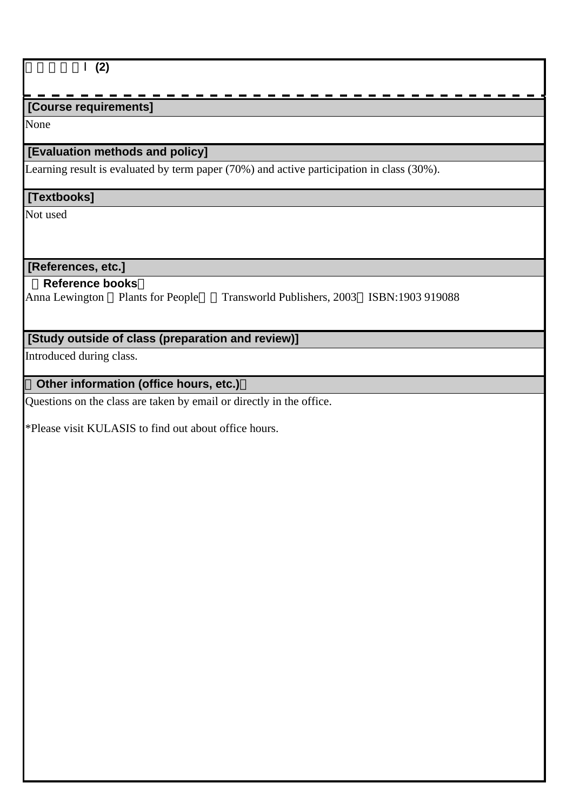| (2)                      |                                                   |                                                                                           |  |
|--------------------------|---------------------------------------------------|-------------------------------------------------------------------------------------------|--|
|                          |                                                   |                                                                                           |  |
| [Course requirements]    |                                                   |                                                                                           |  |
| None                     |                                                   |                                                                                           |  |
|                          | [Evaluation methods and policy]                   |                                                                                           |  |
|                          |                                                   | Learning result is evaluated by term paper (70%) and active participation in class (30%). |  |
| [Textbooks]              |                                                   |                                                                                           |  |
| Not used                 |                                                   |                                                                                           |  |
|                          |                                                   |                                                                                           |  |
|                          |                                                   |                                                                                           |  |
| [References, etc.]       |                                                   |                                                                                           |  |
| <b>Reference books</b>   |                                                   |                                                                                           |  |
| Anna Lewington           | <b>Plants for People</b>                          | Transworld Publishers, 2003 ISBN:1903 919088                                              |  |
|                          |                                                   |                                                                                           |  |
|                          | [Study outside of class (preparation and review)] |                                                                                           |  |
| Introduced during class. |                                                   |                                                                                           |  |
|                          |                                                   |                                                                                           |  |
|                          | Other information (office hours, etc.)            |                                                                                           |  |

Questions on the class are taken by email or directly in the office.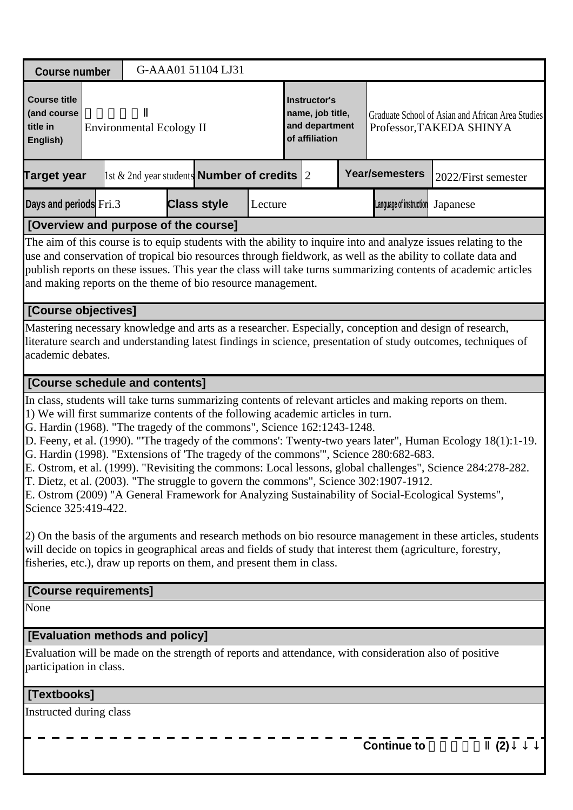| <b>Course number</b>                                                                                                                                                                                                                                                                                                                                                                                                                                     |                                                                                                                                                                                                                                                                                                                                                                                                                                                                                                                                                                                                                                                                                                                                                                                                                                                  |                                 | G-AAA01 51104 LJ31 |                                                            |  |                                                                      |  |                         |                                                                               |     |  |
|----------------------------------------------------------------------------------------------------------------------------------------------------------------------------------------------------------------------------------------------------------------------------------------------------------------------------------------------------------------------------------------------------------------------------------------------------------|--------------------------------------------------------------------------------------------------------------------------------------------------------------------------------------------------------------------------------------------------------------------------------------------------------------------------------------------------------------------------------------------------------------------------------------------------------------------------------------------------------------------------------------------------------------------------------------------------------------------------------------------------------------------------------------------------------------------------------------------------------------------------------------------------------------------------------------------------|---------------------------------|--------------------|------------------------------------------------------------|--|----------------------------------------------------------------------|--|-------------------------|-------------------------------------------------------------------------------|-----|--|
| <b>Course title</b><br>(and course<br>title in<br>English)                                                                                                                                                                                                                                                                                                                                                                                               |                                                                                                                                                                                                                                                                                                                                                                                                                                                                                                                                                                                                                                                                                                                                                                                                                                                  | <b>Environmental Ecology II</b> |                    |                                                            |  | Instructor's<br>name, job title,<br>and department<br>of affiliation |  |                         | Graduate School of Asian and African Area Studies<br>Professor, TAKEDA SHINYA |     |  |
| <b>Target year</b>                                                                                                                                                                                                                                                                                                                                                                                                                                       |                                                                                                                                                                                                                                                                                                                                                                                                                                                                                                                                                                                                                                                                                                                                                                                                                                                  |                                 |                    | $\vert$ 1st & 2nd year students <b>Number of credits</b> 2 |  |                                                                      |  | Year/semesters          | 2022/First semester                                                           |     |  |
| Days and periods Fri.3                                                                                                                                                                                                                                                                                                                                                                                                                                   |                                                                                                                                                                                                                                                                                                                                                                                                                                                                                                                                                                                                                                                                                                                                                                                                                                                  |                                 | <b>Class style</b> | Lecture                                                    |  |                                                                      |  | Language of instruction | Japanese                                                                      |     |  |
|                                                                                                                                                                                                                                                                                                                                                                                                                                                          |                                                                                                                                                                                                                                                                                                                                                                                                                                                                                                                                                                                                                                                                                                                                                                                                                                                  |                                 |                    |                                                            |  |                                                                      |  |                         |                                                                               |     |  |
| [Overview and purpose of the course]<br>The aim of this course is to equip students with the ability to inquire into and analyze issues relating to the<br>use and conservation of tropical bio resources through fieldwork, as well as the ability to collate data and<br>publish reports on these issues. This year the class will take turns summarizing contents of academic articles<br>and making reports on the theme of bio resource management. |                                                                                                                                                                                                                                                                                                                                                                                                                                                                                                                                                                                                                                                                                                                                                                                                                                                  |                                 |                    |                                                            |  |                                                                      |  |                         |                                                                               |     |  |
| [Course objectives]                                                                                                                                                                                                                                                                                                                                                                                                                                      |                                                                                                                                                                                                                                                                                                                                                                                                                                                                                                                                                                                                                                                                                                                                                                                                                                                  |                                 |                    |                                                            |  |                                                                      |  |                         |                                                                               |     |  |
| Mastering necessary knowledge and arts as a researcher. Especially, conception and design of research,<br>literature search and understanding latest findings in science, presentation of study outcomes, techniques of<br>academic debates.                                                                                                                                                                                                             |                                                                                                                                                                                                                                                                                                                                                                                                                                                                                                                                                                                                                                                                                                                                                                                                                                                  |                                 |                    |                                                            |  |                                                                      |  |                         |                                                                               |     |  |
|                                                                                                                                                                                                                                                                                                                                                                                                                                                          |                                                                                                                                                                                                                                                                                                                                                                                                                                                                                                                                                                                                                                                                                                                                                                                                                                                  |                                 |                    |                                                            |  |                                                                      |  |                         |                                                                               |     |  |
|                                                                                                                                                                                                                                                                                                                                                                                                                                                          | [Course schedule and contents]<br>In class, students will take turns summarizing contents of relevant articles and making reports on them.<br>1) We will first summarize contents of the following academic articles in turn.<br>G. Hardin (1968). "The tragedy of the commons", Science 162:1243-1248.<br>D. Feeny, et al. (1990). "The tragedy of the commons': Twenty-two years later", Human Ecology 18(1):1-19.<br>G. Hardin (1998). "Extensions of 'The tragedy of the commons'", Science 280:682-683.<br>E. Ostrom, et al. (1999). "Revisiting the commons: Local lessons, global challenges", Science 284:278-282.<br>T. Dietz, et al. (2003). "The struggle to govern the commons", Science 302:1907-1912.<br>E. Ostrom (2009) "A General Framework for Analyzing Sustainability of Social-Ecological Systems",<br>Science 325:419-422. |                                 |                    |                                                            |  |                                                                      |  |                         |                                                                               |     |  |
| (2) On the basis of the arguments and research methods on bio resource management in these articles, students<br>will decide on topics in geographical areas and fields of study that interest them (agriculture, forestry,<br>fisheries, etc.), draw up reports on them, and present them in class.                                                                                                                                                     |                                                                                                                                                                                                                                                                                                                                                                                                                                                                                                                                                                                                                                                                                                                                                                                                                                                  |                                 |                    |                                                            |  |                                                                      |  |                         |                                                                               |     |  |
| [Course requirements]                                                                                                                                                                                                                                                                                                                                                                                                                                    |                                                                                                                                                                                                                                                                                                                                                                                                                                                                                                                                                                                                                                                                                                                                                                                                                                                  |                                 |                    |                                                            |  |                                                                      |  |                         |                                                                               |     |  |
| None                                                                                                                                                                                                                                                                                                                                                                                                                                                     |                                                                                                                                                                                                                                                                                                                                                                                                                                                                                                                                                                                                                                                                                                                                                                                                                                                  |                                 |                    |                                                            |  |                                                                      |  |                         |                                                                               |     |  |
| [Evaluation methods and policy]                                                                                                                                                                                                                                                                                                                                                                                                                          |                                                                                                                                                                                                                                                                                                                                                                                                                                                                                                                                                                                                                                                                                                                                                                                                                                                  |                                 |                    |                                                            |  |                                                                      |  |                         |                                                                               |     |  |
| Evaluation will be made on the strength of reports and attendance, with consideration also of positive<br>participation in class.                                                                                                                                                                                                                                                                                                                        |                                                                                                                                                                                                                                                                                                                                                                                                                                                                                                                                                                                                                                                                                                                                                                                                                                                  |                                 |                    |                                                            |  |                                                                      |  |                         |                                                                               |     |  |
| [Textbooks]                                                                                                                                                                                                                                                                                                                                                                                                                                              |                                                                                                                                                                                                                                                                                                                                                                                                                                                                                                                                                                                                                                                                                                                                                                                                                                                  |                                 |                    |                                                            |  |                                                                      |  |                         |                                                                               |     |  |
| Instructed during class                                                                                                                                                                                                                                                                                                                                                                                                                                  |                                                                                                                                                                                                                                                                                                                                                                                                                                                                                                                                                                                                                                                                                                                                                                                                                                                  |                                 |                    |                                                            |  |                                                                      |  |                         |                                                                               |     |  |
|                                                                                                                                                                                                                                                                                                                                                                                                                                                          |                                                                                                                                                                                                                                                                                                                                                                                                                                                                                                                                                                                                                                                                                                                                                                                                                                                  |                                 |                    |                                                            |  |                                                                      |  | <b>Continue to</b>      |                                                                               | (2) |  |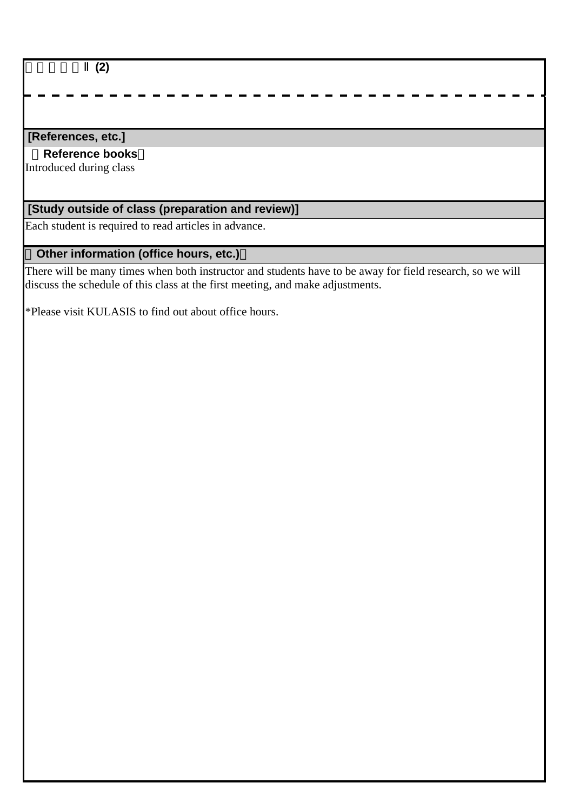社会生態論Ⅱ**(2)**

### **[References, etc.]**

#### **Reference books**

Introduced during class

# **[Study outside of class (preparation and review)]**

Each student is required to read articles in advance.

# **Other information (office hours, etc.)**

There will be many times when both instructor and students have to be away for field research, so we will discuss the schedule of this class at the first meeting, and make adjustments.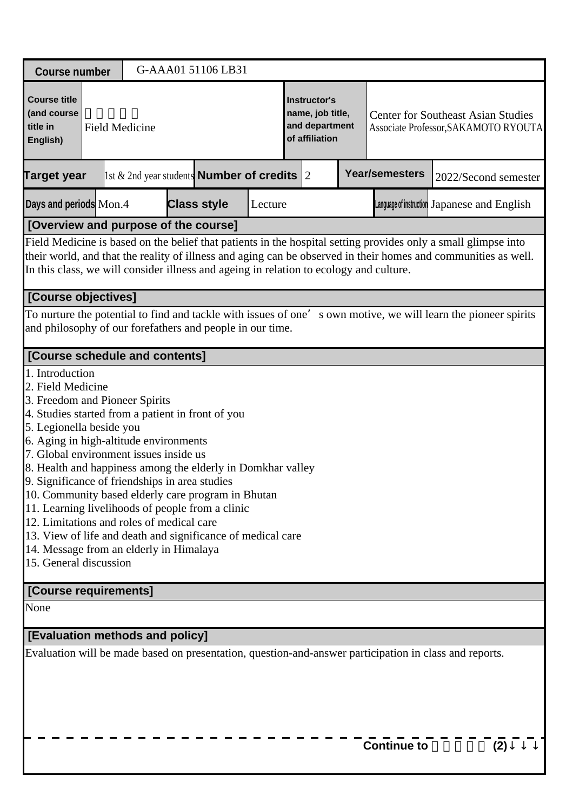| <b>Course number</b>                                                                                                                                                                                                                                                                                                                                               |                                                                                                                                                                                                                                                                                                                                                                                                                                                                                                                                                                                                                                                                                           |                       |  | G-AAA01 51106 LB31                                    |         |                                                                      |  |  |                                                                                   |                                                                                                                 |  |  |
|--------------------------------------------------------------------------------------------------------------------------------------------------------------------------------------------------------------------------------------------------------------------------------------------------------------------------------------------------------------------|-------------------------------------------------------------------------------------------------------------------------------------------------------------------------------------------------------------------------------------------------------------------------------------------------------------------------------------------------------------------------------------------------------------------------------------------------------------------------------------------------------------------------------------------------------------------------------------------------------------------------------------------------------------------------------------------|-----------------------|--|-------------------------------------------------------|---------|----------------------------------------------------------------------|--|--|-----------------------------------------------------------------------------------|-----------------------------------------------------------------------------------------------------------------|--|--|
| <b>Course title</b><br>(and course<br>title in<br>English)                                                                                                                                                                                                                                                                                                         |                                                                                                                                                                                                                                                                                                                                                                                                                                                                                                                                                                                                                                                                                           | <b>Field Medicine</b> |  |                                                       |         | Instructor's<br>name, job title,<br>and department<br>of affiliation |  |  | <b>Center for Southeast Asian Studies</b><br>Associate Professor, SAKAMOTO RYOUTA |                                                                                                                 |  |  |
| <b>Target year</b>                                                                                                                                                                                                                                                                                                                                                 |                                                                                                                                                                                                                                                                                                                                                                                                                                                                                                                                                                                                                                                                                           |                       |  | 1st $\&$ 2nd year students <b>Number of credits</b> 2 |         |                                                                      |  |  | <b>Year/semesters</b>                                                             | 2022/Second semester                                                                                            |  |  |
| Days and periods Mon.4                                                                                                                                                                                                                                                                                                                                             |                                                                                                                                                                                                                                                                                                                                                                                                                                                                                                                                                                                                                                                                                           |                       |  | <b>Class style</b>                                    | Lecture |                                                                      |  |  |                                                                                   | Language of instruction Japanese and English                                                                    |  |  |
|                                                                                                                                                                                                                                                                                                                                                                    |                                                                                                                                                                                                                                                                                                                                                                                                                                                                                                                                                                                                                                                                                           |                       |  |                                                       |         |                                                                      |  |  |                                                                                   |                                                                                                                 |  |  |
| [Overview and purpose of the course]<br>Field Medicine is based on the belief that patients in the hospital setting provides only a small glimpse into<br>their world, and that the reality of illness and aging can be observed in their homes and communities as well.<br>In this class, we will consider illness and ageing in relation to ecology and culture. |                                                                                                                                                                                                                                                                                                                                                                                                                                                                                                                                                                                                                                                                                           |                       |  |                                                       |         |                                                                      |  |  |                                                                                   |                                                                                                                 |  |  |
| [Course objectives]                                                                                                                                                                                                                                                                                                                                                |                                                                                                                                                                                                                                                                                                                                                                                                                                                                                                                                                                                                                                                                                           |                       |  |                                                       |         |                                                                      |  |  |                                                                                   |                                                                                                                 |  |  |
| and philosophy of our forefathers and people in our time.                                                                                                                                                                                                                                                                                                          |                                                                                                                                                                                                                                                                                                                                                                                                                                                                                                                                                                                                                                                                                           |                       |  |                                                       |         |                                                                      |  |  |                                                                                   | To nurture the potential to find and tackle with issues of one' s own motive, we will learn the pioneer spirits |  |  |
|                                                                                                                                                                                                                                                                                                                                                                    |                                                                                                                                                                                                                                                                                                                                                                                                                                                                                                                                                                                                                                                                                           |                       |  |                                                       |         |                                                                      |  |  |                                                                                   |                                                                                                                 |  |  |
|                                                                                                                                                                                                                                                                                                                                                                    | [Course schedule and contents]<br>1. Introduction<br>2. Field Medicine<br>3. Freedom and Pioneer Spirits<br>4. Studies started from a patient in front of you<br>5. Legionella beside you<br>6. Aging in high-altitude environments<br>7. Global environment issues inside us<br>8. Health and happiness among the elderly in Domkhar valley<br>9. Significance of friendships in area studies<br>10. Community based elderly care program in Bhutan<br>11. Learning livelihoods of people from a clinic<br>12. Limitations and roles of medical care<br>13. View of life and death and significance of medical care<br>14. Message from an elderly in Himalaya<br>15. General discussion |                       |  |                                                       |         |                                                                      |  |  |                                                                                   |                                                                                                                 |  |  |
| [Course requirements]                                                                                                                                                                                                                                                                                                                                              |                                                                                                                                                                                                                                                                                                                                                                                                                                                                                                                                                                                                                                                                                           |                       |  |                                                       |         |                                                                      |  |  |                                                                                   |                                                                                                                 |  |  |
| None                                                                                                                                                                                                                                                                                                                                                               |                                                                                                                                                                                                                                                                                                                                                                                                                                                                                                                                                                                                                                                                                           |                       |  |                                                       |         |                                                                      |  |  |                                                                                   |                                                                                                                 |  |  |
| [Evaluation methods and policy]                                                                                                                                                                                                                                                                                                                                    |                                                                                                                                                                                                                                                                                                                                                                                                                                                                                                                                                                                                                                                                                           |                       |  |                                                       |         |                                                                      |  |  |                                                                                   |                                                                                                                 |  |  |
|                                                                                                                                                                                                                                                                                                                                                                    |                                                                                                                                                                                                                                                                                                                                                                                                                                                                                                                                                                                                                                                                                           |                       |  |                                                       |         |                                                                      |  |  | <b>Continue to</b>                                                                | Evaluation will be made based on presentation, question-and-answer participation in class and reports.<br>(2)   |  |  |
|                                                                                                                                                                                                                                                                                                                                                                    |                                                                                                                                                                                                                                                                                                                                                                                                                                                                                                                                                                                                                                                                                           |                       |  |                                                       |         |                                                                      |  |  |                                                                                   |                                                                                                                 |  |  |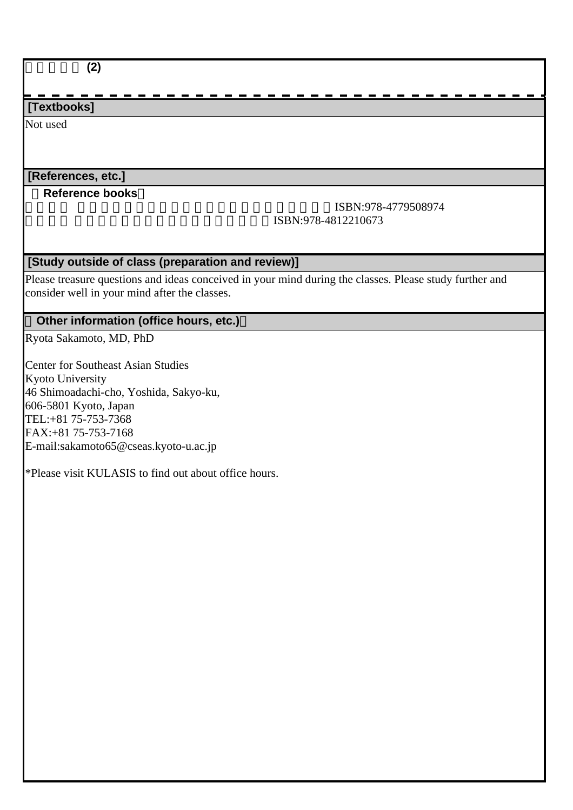| (2)                                                                                                     |                                            |
|---------------------------------------------------------------------------------------------------------|--------------------------------------------|
|                                                                                                         |                                            |
| [Textbooks]                                                                                             |                                            |
| Not used                                                                                                |                                            |
|                                                                                                         |                                            |
|                                                                                                         |                                            |
| [References, etc.]                                                                                      |                                            |
| <b>Reference books</b>                                                                                  |                                            |
|                                                                                                         | ISBN:978-4779508974<br>ISBN:978-4812210673 |
|                                                                                                         |                                            |
|                                                                                                         |                                            |
| [Study outside of class (preparation and review)]                                                       |                                            |
| Please treasure questions and ideas conceived in your mind during the classes. Please study further and |                                            |
| consider well in your mind after the classes.                                                           |                                            |
| Other information (office hours, etc.)                                                                  |                                            |
| Ryota Sakamoto, MD, PhD                                                                                 |                                            |
|                                                                                                         |                                            |
| <b>Center for Southeast Asian Studies</b>                                                               |                                            |
| Kyoto University                                                                                        |                                            |
| 46 Shimoadachi-cho, Yoshida, Sakyo-ku,                                                                  |                                            |
| 606-5801 Kyoto, Japan<br>TEL:+81 75-753-7368                                                            |                                            |
| FAX: +81 75-753-7168                                                                                    |                                            |
| E-mail:sakamoto65@cseas.kyoto-u.ac.jp                                                                   |                                            |
|                                                                                                         |                                            |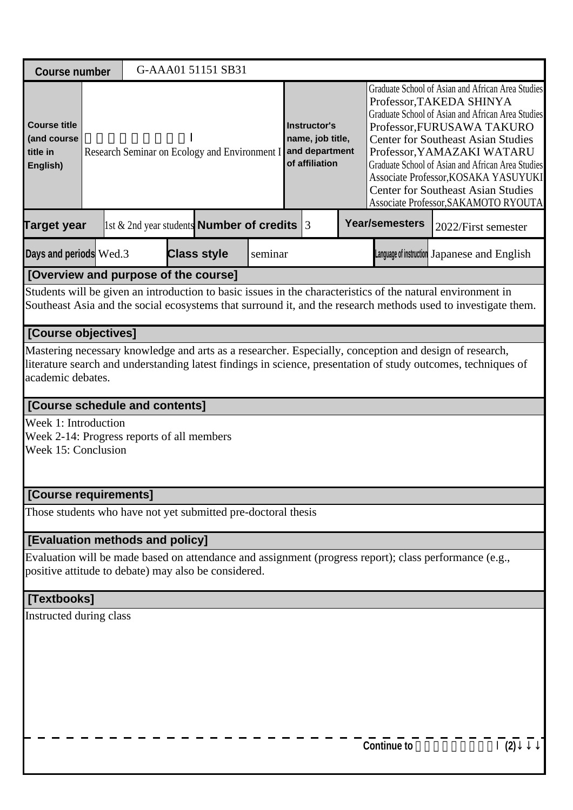| <b>Course number</b>                                                                      |  | G-AAA01 51151 SB31                                         |         |                                                                      |  |  |                                                                                                                                                                                                                                                                                                                                                                                                                               |                                                                                                                                                                                                                              |  |
|-------------------------------------------------------------------------------------------|--|------------------------------------------------------------|---------|----------------------------------------------------------------------|--|--|-------------------------------------------------------------------------------------------------------------------------------------------------------------------------------------------------------------------------------------------------------------------------------------------------------------------------------------------------------------------------------------------------------------------------------|------------------------------------------------------------------------------------------------------------------------------------------------------------------------------------------------------------------------------|--|
| <b>Course title</b><br>(and course<br>title in<br>English)                                |  | Research Seminar on Ecology and Environment I              |         | Instructor's<br>name, job title,<br>and department<br>of affiliation |  |  | Graduate School of Asian and African Area Studies<br>Professor, TAKEDA SHINYA<br>Graduate School of Asian and African Area Studies<br>Professor, FURUSAWA TAKURO<br><b>Center for Southeast Asian Studies</b><br>Professor, YAMAZAKI WATARU<br>Graduate School of Asian and African Area Studies<br>Associate Professor, KOSAKA YASUYUKI<br><b>Center for Southeast Asian Studies</b><br>Associate Professor, SAKAMOTO RYOUTA |                                                                                                                                                                                                                              |  |
| <b>Target year</b>                                                                        |  | $\vert$ 1st & 2nd year students <b>Number of credits</b> 3 |         |                                                                      |  |  | <b>Year/semesters</b>                                                                                                                                                                                                                                                                                                                                                                                                         | 2022/First semester                                                                                                                                                                                                          |  |
| Days and periods Wed.3                                                                    |  | <b>Class style</b>                                         | seminar | Language of instruction Japanese and English                         |  |  |                                                                                                                                                                                                                                                                                                                                                                                                                               |                                                                                                                                                                                                                              |  |
| [Overview and purpose of the course]                                                      |  |                                                            |         |                                                                      |  |  |                                                                                                                                                                                                                                                                                                                                                                                                                               |                                                                                                                                                                                                                              |  |
|                                                                                           |  |                                                            |         |                                                                      |  |  |                                                                                                                                                                                                                                                                                                                                                                                                                               | Students will be given an introduction to basic issues in the characteristics of the natural environment in<br>Southeast Asia and the social ecosystems that surround it, and the research methods used to investigate them. |  |
| [Course objectives]                                                                       |  |                                                            |         |                                                                      |  |  |                                                                                                                                                                                                                                                                                                                                                                                                                               |                                                                                                                                                                                                                              |  |
| academic debates.                                                                         |  |                                                            |         |                                                                      |  |  |                                                                                                                                                                                                                                                                                                                                                                                                                               | Mastering necessary knowledge and arts as a researcher. Especially, conception and design of research,<br>literature search and understanding latest findings in science, presentation of study outcomes, techniques of      |  |
| <b>[Course schedule and contents]</b>                                                     |  |                                                            |         |                                                                      |  |  |                                                                                                                                                                                                                                                                                                                                                                                                                               |                                                                                                                                                                                                                              |  |
| Week 1: Introduction<br>Week 2-14: Progress reports of all members<br>Week 15: Conclusion |  |                                                            |         |                                                                      |  |  |                                                                                                                                                                                                                                                                                                                                                                                                                               |                                                                                                                                                                                                                              |  |
| [Course requirements]                                                                     |  |                                                            |         |                                                                      |  |  |                                                                                                                                                                                                                                                                                                                                                                                                                               |                                                                                                                                                                                                                              |  |
| Those students who have not yet submitted pre-doctoral thesis                             |  |                                                            |         |                                                                      |  |  |                                                                                                                                                                                                                                                                                                                                                                                                                               |                                                                                                                                                                                                                              |  |
| [Evaluation methods and policy]                                                           |  |                                                            |         |                                                                      |  |  |                                                                                                                                                                                                                                                                                                                                                                                                                               |                                                                                                                                                                                                                              |  |
| positive attitude to debate) may also be considered.                                      |  |                                                            |         |                                                                      |  |  |                                                                                                                                                                                                                                                                                                                                                                                                                               | Evaluation will be made based on attendance and assignment (progress report); class performance (e.g.,                                                                                                                       |  |
| [Textbooks]                                                                               |  |                                                            |         |                                                                      |  |  |                                                                                                                                                                                                                                                                                                                                                                                                                               |                                                                                                                                                                                                                              |  |
| Instructed during class                                                                   |  |                                                            |         |                                                                      |  |  |                                                                                                                                                                                                                                                                                                                                                                                                                               |                                                                                                                                                                                                                              |  |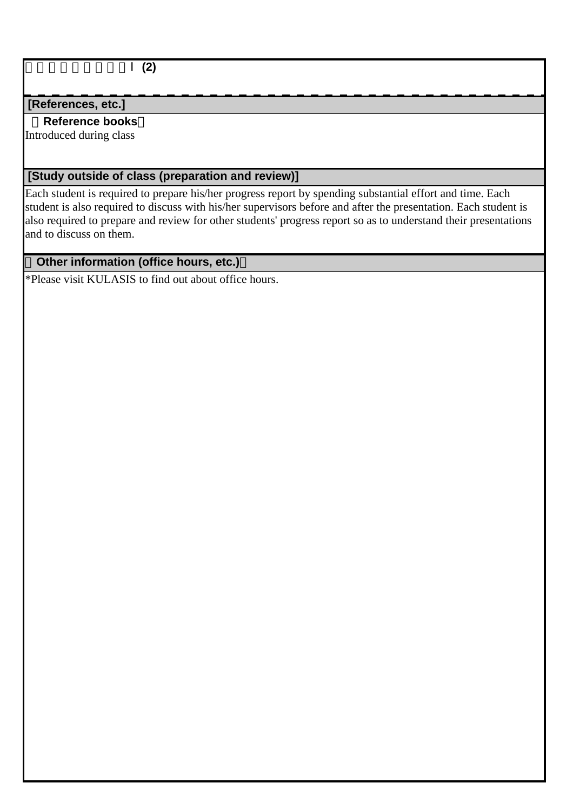生態環境論研究演習Ⅰ**(2)**

### **[References, etc.]**

### **Reference books**

Introduced during class

## **[Study outside of class (preparation and review)]**

Each student is required to prepare his/her progress report by spending substantial effort and time. Each student is also required to discuss with his/her supervisors before and after the presentation. Each student is also required to prepare and review for other students' progress report so as to understand their presentations and to discuss on them.

## **Other information (office hours, etc.)**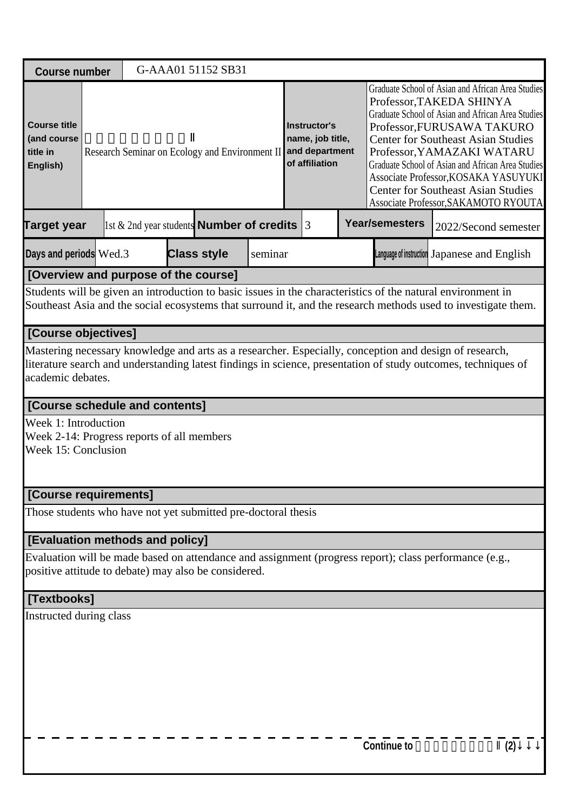| <b>Course number</b>                                                                      |                                                                                                                                                                                                                                              |  |  | G-AAA01 51152 SB31                                         |         |                                                                                                                     |  |  |                                                                                                                                                                                                                                                                                                                                                                                                                               |                                                                                                                                                                                                                              |  |  |
|-------------------------------------------------------------------------------------------|----------------------------------------------------------------------------------------------------------------------------------------------------------------------------------------------------------------------------------------------|--|--|------------------------------------------------------------|---------|---------------------------------------------------------------------------------------------------------------------|--|--|-------------------------------------------------------------------------------------------------------------------------------------------------------------------------------------------------------------------------------------------------------------------------------------------------------------------------------------------------------------------------------------------------------------------------------|------------------------------------------------------------------------------------------------------------------------------------------------------------------------------------------------------------------------------|--|--|
| <b>Course title</b><br>(and course<br>title in<br>English)                                |                                                                                                                                                                                                                                              |  |  |                                                            |         | Instructor's<br>name, job title,<br>Research Seminar on Ecology and Environment II and department<br>of affiliation |  |  | Graduate School of Asian and African Area Studies<br>Professor, TAKEDA SHINYA<br>Graduate School of Asian and African Area Studies<br>Professor, FURUSAWA TAKURO<br><b>Center for Southeast Asian Studies</b><br>Professor, YAMAZAKI WATARU<br>Graduate School of Asian and African Area Studies<br>Associate Professor, KOSAKA YASUYUKI<br><b>Center for Southeast Asian Studies</b><br>Associate Professor, SAKAMOTO RYOUTA |                                                                                                                                                                                                                              |  |  |
| <b>Target year</b>                                                                        |                                                                                                                                                                                                                                              |  |  | $\vert$ 1st & 2nd year students <b>Number of credits</b> 3 |         |                                                                                                                     |  |  | <b>Year/semesters</b>                                                                                                                                                                                                                                                                                                                                                                                                         | 2022/Second semester                                                                                                                                                                                                         |  |  |
| Days and periods Wed.3                                                                    |                                                                                                                                                                                                                                              |  |  | <b>Class style</b>                                         | seminar | Language of instruction Japanese and English                                                                        |  |  |                                                                                                                                                                                                                                                                                                                                                                                                                               |                                                                                                                                                                                                                              |  |  |
| [Overview and purpose of the course]                                                      |                                                                                                                                                                                                                                              |  |  |                                                            |         |                                                                                                                     |  |  |                                                                                                                                                                                                                                                                                                                                                                                                                               |                                                                                                                                                                                                                              |  |  |
|                                                                                           |                                                                                                                                                                                                                                              |  |  |                                                            |         |                                                                                                                     |  |  |                                                                                                                                                                                                                                                                                                                                                                                                                               | Students will be given an introduction to basic issues in the characteristics of the natural environment in<br>Southeast Asia and the social ecosystems that surround it, and the research methods used to investigate them. |  |  |
| [Course objectives]                                                                       |                                                                                                                                                                                                                                              |  |  |                                                            |         |                                                                                                                     |  |  |                                                                                                                                                                                                                                                                                                                                                                                                                               |                                                                                                                                                                                                                              |  |  |
|                                                                                           | Mastering necessary knowledge and arts as a researcher. Especially, conception and design of research,<br>literature search and understanding latest findings in science, presentation of study outcomes, techniques of<br>academic debates. |  |  |                                                            |         |                                                                                                                     |  |  |                                                                                                                                                                                                                                                                                                                                                                                                                               |                                                                                                                                                                                                                              |  |  |
| <b>[Course schedule and contents]</b>                                                     |                                                                                                                                                                                                                                              |  |  |                                                            |         |                                                                                                                     |  |  |                                                                                                                                                                                                                                                                                                                                                                                                                               |                                                                                                                                                                                                                              |  |  |
| Week 1: Introduction<br>Week 2-14: Progress reports of all members<br>Week 15: Conclusion |                                                                                                                                                                                                                                              |  |  |                                                            |         |                                                                                                                     |  |  |                                                                                                                                                                                                                                                                                                                                                                                                                               |                                                                                                                                                                                                                              |  |  |
| [Course requirements]                                                                     |                                                                                                                                                                                                                                              |  |  |                                                            |         |                                                                                                                     |  |  |                                                                                                                                                                                                                                                                                                                                                                                                                               |                                                                                                                                                                                                                              |  |  |
| Those students who have not yet submitted pre-doctoral thesis                             |                                                                                                                                                                                                                                              |  |  |                                                            |         |                                                                                                                     |  |  |                                                                                                                                                                                                                                                                                                                                                                                                                               |                                                                                                                                                                                                                              |  |  |
| [Evaluation methods and policy]                                                           |                                                                                                                                                                                                                                              |  |  |                                                            |         |                                                                                                                     |  |  |                                                                                                                                                                                                                                                                                                                                                                                                                               |                                                                                                                                                                                                                              |  |  |
| positive attitude to debate) may also be considered.                                      |                                                                                                                                                                                                                                              |  |  |                                                            |         |                                                                                                                     |  |  |                                                                                                                                                                                                                                                                                                                                                                                                                               | Evaluation will be made based on attendance and assignment (progress report); class performance (e.g.,                                                                                                                       |  |  |
| [Textbooks]                                                                               |                                                                                                                                                                                                                                              |  |  |                                                            |         |                                                                                                                     |  |  |                                                                                                                                                                                                                                                                                                                                                                                                                               |                                                                                                                                                                                                                              |  |  |
| Instructed during class                                                                   |                                                                                                                                                                                                                                              |  |  |                                                            |         |                                                                                                                     |  |  |                                                                                                                                                                                                                                                                                                                                                                                                                               |                                                                                                                                                                                                                              |  |  |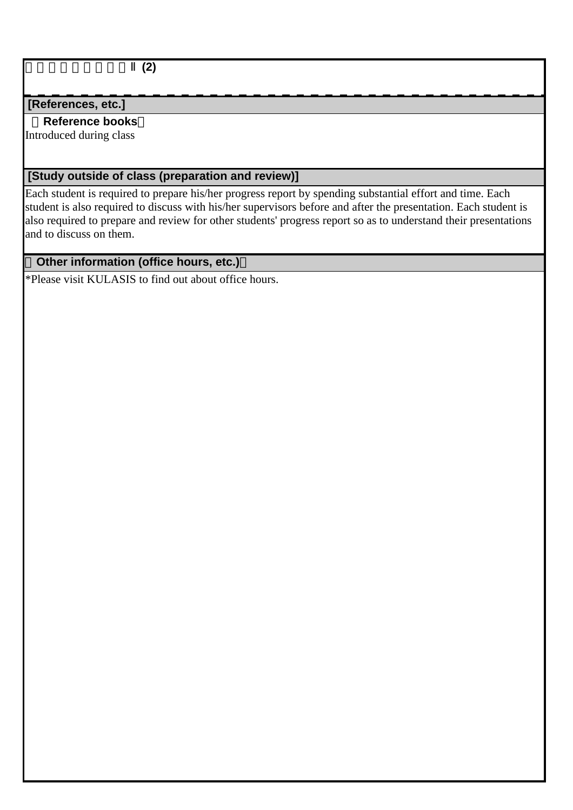生態環境論研究演習Ⅱ**(2)**

### **[References, etc.]**

### **Reference books**

Introduced during class

## **[Study outside of class (preparation and review)]**

Each student is required to prepare his/her progress report by spending substantial effort and time. Each student is also required to discuss with his/her supervisors before and after the presentation. Each student is also required to prepare and review for other students' progress report so as to understand their presentations and to discuss on them.

## **Other information (office hours, etc.)**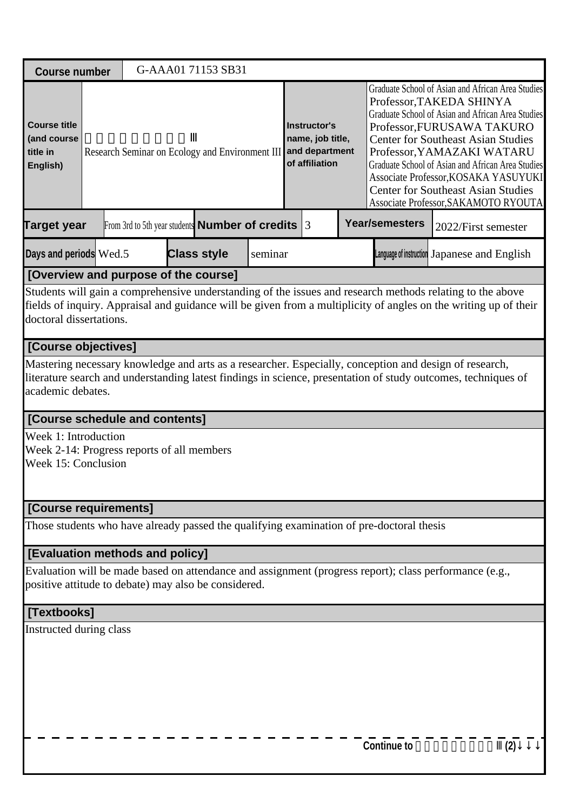| <b>Course number</b>                                       |                                            | G-AAA01 71153 SB31                                                                       |         |                                                           |                       |                                                                                                                                                                                                                                                                                                                                                                                                                               |
|------------------------------------------------------------|--------------------------------------------|------------------------------------------------------------------------------------------|---------|-----------------------------------------------------------|-----------------------|-------------------------------------------------------------------------------------------------------------------------------------------------------------------------------------------------------------------------------------------------------------------------------------------------------------------------------------------------------------------------------------------------------------------------------|
| <b>Course title</b><br>(and course<br>title in<br>English) |                                            | Research Seminar on Ecology and Environment III and department                           |         | <b>Instructor's</b><br>name, job title,<br>of affiliation |                       | Graduate School of Asian and African Area Studies<br>Professor, TAKEDA SHINYA<br>Graduate School of Asian and African Area Studies<br>Professor, FURUSAWA TAKURO<br><b>Center for Southeast Asian Studies</b><br>Professor, YAMAZAKI WATARU<br>Graduate School of Asian and African Area Studies<br>Associate Professor, KOSAKA YASUYUKI<br><b>Center for Southeast Asian Studies</b><br>Associate Professor, SAKAMOTO RYOUTA |
| <b>Target year</b>                                         |                                            | From 3rd to 5th year students <b>Number of credits</b> $ 3 $                             |         |                                                           | <b>Year/semesters</b> | 2022/First semester                                                                                                                                                                                                                                                                                                                                                                                                           |
| Days and periods Wed.5                                     |                                            | <b>Class style</b>                                                                       | seminar |                                                           |                       | Language of instruction Japanese and English                                                                                                                                                                                                                                                                                                                                                                                  |
|                                                            | [Overview and purpose of the course]       |                                                                                          |         |                                                           |                       |                                                                                                                                                                                                                                                                                                                                                                                                                               |
| doctoral dissertations.                                    |                                            |                                                                                          |         |                                                           |                       | Students will gain a comprehensive understanding of the issues and research methods relating to the above<br>fields of inquiry. Appraisal and guidance will be given from a multiplicity of angles on the writing up of their                                                                                                                                                                                                 |
| [Course objectives]                                        |                                            |                                                                                          |         |                                                           |                       |                                                                                                                                                                                                                                                                                                                                                                                                                               |
| academic debates.                                          |                                            |                                                                                          |         |                                                           |                       | Mastering necessary knowledge and arts as a researcher. Especially, conception and design of research,<br>literature search and understanding latest findings in science, presentation of study outcomes, techniques of                                                                                                                                                                                                       |
|                                                            | [Course schedule and contents]             |                                                                                          |         |                                                           |                       |                                                                                                                                                                                                                                                                                                                                                                                                                               |
| Week 1: Introduction<br>Week 15: Conclusion                | Week 2-14: Progress reports of all members |                                                                                          |         |                                                           |                       |                                                                                                                                                                                                                                                                                                                                                                                                                               |
| [Course requirements]                                      |                                            |                                                                                          |         |                                                           |                       |                                                                                                                                                                                                                                                                                                                                                                                                                               |
|                                                            |                                            | Those students who have already passed the qualifying examination of pre-doctoral thesis |         |                                                           |                       |                                                                                                                                                                                                                                                                                                                                                                                                                               |
|                                                            | [Evaluation methods and policy]            |                                                                                          |         |                                                           |                       |                                                                                                                                                                                                                                                                                                                                                                                                                               |
|                                                            |                                            | positive attitude to debate) may also be considered.                                     |         |                                                           |                       | Evaluation will be made based on attendance and assignment (progress report); class performance (e.g.,                                                                                                                                                                                                                                                                                                                        |
| [Textbooks]                                                |                                            |                                                                                          |         |                                                           |                       |                                                                                                                                                                                                                                                                                                                                                                                                                               |
| Instructed during class                                    |                                            |                                                                                          |         |                                                           |                       |                                                                                                                                                                                                                                                                                                                                                                                                                               |
|                                                            |                                            |                                                                                          |         |                                                           | <b>Continue to</b>    | (2)                                                                                                                                                                                                                                                                                                                                                                                                                           |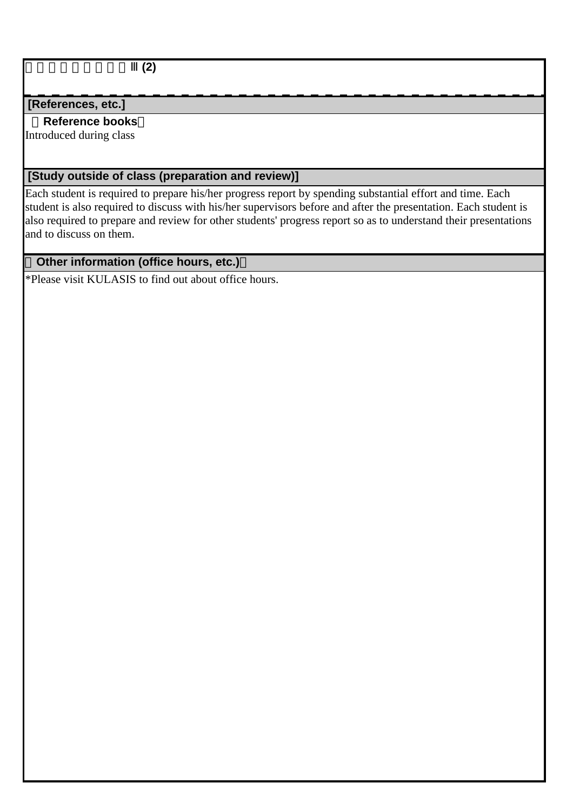生態環境論研究演習Ⅲ**(2)**

### **[References, etc.]**

### **Reference books**

Introduced during class

## **[Study outside of class (preparation and review)]**

Each student is required to prepare his/her progress report by spending substantial effort and time. Each student is also required to discuss with his/her supervisors before and after the presentation. Each student is also required to prepare and review for other students' progress report so as to understand their presentations and to discuss on them.

## **Other information (office hours, etc.)**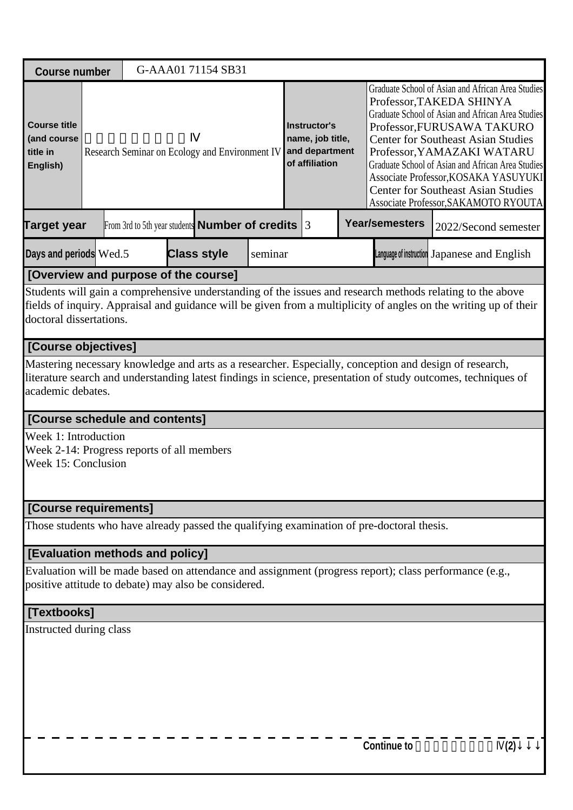| <b>Course number</b>                                                                      |  | G-AAA01 71154 SB31                                     |         |                                                                             |                                                                                                                                                                                                                         |                                                                                                                                                                                                                                             |
|-------------------------------------------------------------------------------------------|--|--------------------------------------------------------|---------|-----------------------------------------------------------------------------|-------------------------------------------------------------------------------------------------------------------------------------------------------------------------------------------------------------------------|---------------------------------------------------------------------------------------------------------------------------------------------------------------------------------------------------------------------------------------------|
| <b>Course title</b><br>(and course<br>title in<br>English)                                |  | Research Seminar on Ecology and Environment IV         |         | <b>Instructor's</b><br>name, job title,<br>and department<br>of affiliation | Professor, TAKEDA SHINYA<br>Professor, FURUSAWA TAKURO<br><b>Center for Southeast Asian Studies</b><br>Professor, YAMAZAKI WATARU<br><b>Center for Southeast Asian Studies</b>                                          | Graduate School of Asian and African Area Studies<br>Graduate School of Asian and African Area Studies<br>Graduate School of Asian and African Area Studies<br>Associate Professor, KOSAKA YASUYUKI<br>Associate Professor, SAKAMOTO RYOUTA |
| <b>Target year</b>                                                                        |  | From 3rd to 5th year students <b>Number of credits</b> |         | 3                                                                           | <b>Year/semesters</b>                                                                                                                                                                                                   | 2022/Second semester                                                                                                                                                                                                                        |
| Days and periods Wed.5                                                                    |  | <b>Class style</b>                                     | seminar |                                                                             | Language of instruction Japanese and English                                                                                                                                                                            |                                                                                                                                                                                                                                             |
| [Overview and purpose of the course]                                                      |  |                                                        |         |                                                                             |                                                                                                                                                                                                                         |                                                                                                                                                                                                                                             |
| doctoral dissertations.                                                                   |  |                                                        |         |                                                                             | Students will gain a comprehensive understanding of the issues and research methods relating to the above                                                                                                               | fields of inquiry. Appraisal and guidance will be given from a multiplicity of angles on the writing up of their                                                                                                                            |
| [Course objectives]                                                                       |  |                                                        |         |                                                                             |                                                                                                                                                                                                                         |                                                                                                                                                                                                                                             |
| academic debates.                                                                         |  |                                                        |         |                                                                             | Mastering necessary knowledge and arts as a researcher. Especially, conception and design of research,<br>literature search and understanding latest findings in science, presentation of study outcomes, techniques of |                                                                                                                                                                                                                                             |
| [Course schedule and contents]                                                            |  |                                                        |         |                                                                             |                                                                                                                                                                                                                         |                                                                                                                                                                                                                                             |
| Week 1: Introduction<br>Week 2-14: Progress reports of all members<br>Week 15: Conclusion |  |                                                        |         |                                                                             |                                                                                                                                                                                                                         |                                                                                                                                                                                                                                             |
| [Course requirements]                                                                     |  |                                                        |         |                                                                             |                                                                                                                                                                                                                         |                                                                                                                                                                                                                                             |
|                                                                                           |  |                                                        |         |                                                                             | Those students who have already passed the qualifying examination of pre-doctoral thesis.                                                                                                                               |                                                                                                                                                                                                                                             |
| [Evaluation methods and policy]                                                           |  |                                                        |         |                                                                             |                                                                                                                                                                                                                         |                                                                                                                                                                                                                                             |
| positive attitude to debate) may also be considered.                                      |  |                                                        |         |                                                                             | Evaluation will be made based on attendance and assignment (progress report); class performance (e.g.,                                                                                                                  |                                                                                                                                                                                                                                             |
| [Textbooks]                                                                               |  |                                                        |         |                                                                             |                                                                                                                                                                                                                         |                                                                                                                                                                                                                                             |
| Instructed during class                                                                   |  |                                                        |         |                                                                             |                                                                                                                                                                                                                         |                                                                                                                                                                                                                                             |
|                                                                                           |  |                                                        |         |                                                                             | <b>Continue to</b>                                                                                                                                                                                                      | (2)                                                                                                                                                                                                                                         |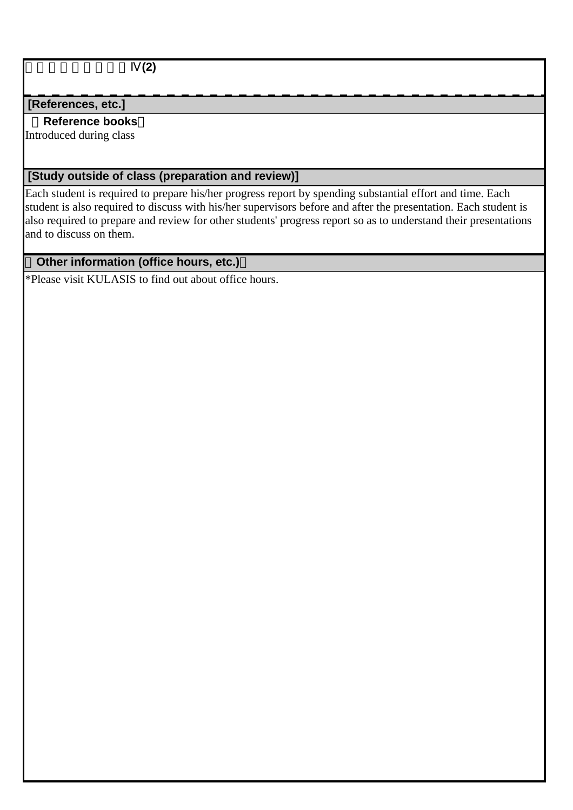生態環境論研究演習Ⅳ**(2)**

### **[References, etc.]**

### **Reference books**

Introduced during class

## **[Study outside of class (preparation and review)]**

Each student is required to prepare his/her progress report by spending substantial effort and time. Each student is also required to discuss with his/her supervisors before and after the presentation. Each student is also required to prepare and review for other students' progress report so as to understand their presentations and to discuss on them.

## **Other information (office hours, etc.)**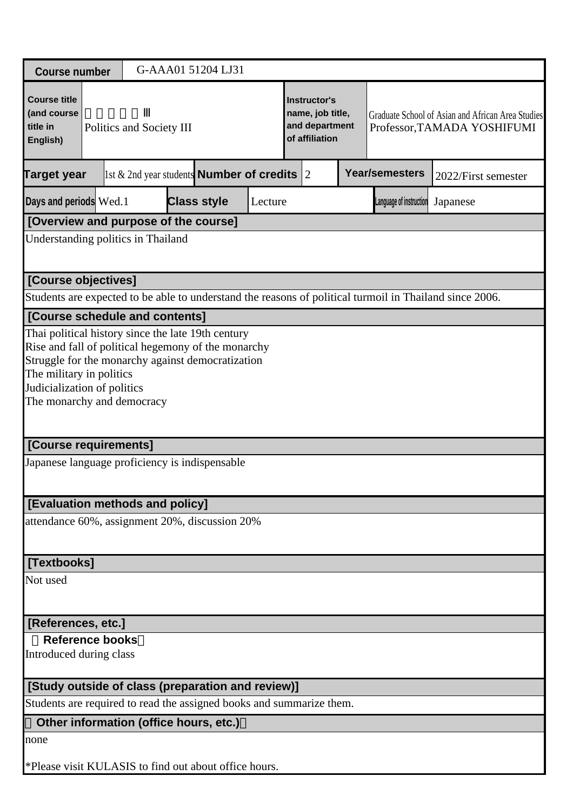| <b>Course number</b>                                                 |                                                                                                                                                                                                                                                         |                          |  | G-AAA01 51204 LJ31                                         |         |  |                                                                                                                                                          |  |                         |                                                                                                         |  |  |  |
|----------------------------------------------------------------------|---------------------------------------------------------------------------------------------------------------------------------------------------------------------------------------------------------------------------------------------------------|--------------------------|--|------------------------------------------------------------|---------|--|----------------------------------------------------------------------------------------------------------------------------------------------------------|--|-------------------------|---------------------------------------------------------------------------------------------------------|--|--|--|
| <b>Course title</b><br>(and course<br>title in<br>English)           |                                                                                                                                                                                                                                                         | Politics and Society III |  |                                                            |         |  | Instructor's<br>name, job title,<br>Graduate School of Asian and African Area Studies<br>and department<br>Professor, TAMADA YOSHIFUMI<br>of affiliation |  |                         |                                                                                                         |  |  |  |
| <b>Target year</b>                                                   |                                                                                                                                                                                                                                                         |                          |  | 1st & 2nd year students <b>Number of credits</b> $\vert$ 2 |         |  |                                                                                                                                                          |  | <b>Year/semesters</b>   | 2022/First semester                                                                                     |  |  |  |
| Days and periods Wed.1                                               |                                                                                                                                                                                                                                                         |                          |  | <b>Class style</b>                                         | Lecture |  |                                                                                                                                                          |  | Language of instruction | Japanese                                                                                                |  |  |  |
| [Overview and purpose of the course]                                 |                                                                                                                                                                                                                                                         |                          |  |                                                            |         |  |                                                                                                                                                          |  |                         |                                                                                                         |  |  |  |
| Understanding politics in Thailand                                   |                                                                                                                                                                                                                                                         |                          |  |                                                            |         |  |                                                                                                                                                          |  |                         |                                                                                                         |  |  |  |
|                                                                      | [Course objectives]                                                                                                                                                                                                                                     |                          |  |                                                            |         |  |                                                                                                                                                          |  |                         |                                                                                                         |  |  |  |
|                                                                      |                                                                                                                                                                                                                                                         |                          |  |                                                            |         |  |                                                                                                                                                          |  |                         | Students are expected to be able to understand the reasons of political turmoil in Thailand since 2006. |  |  |  |
| [Course schedule and contents]                                       |                                                                                                                                                                                                                                                         |                          |  |                                                            |         |  |                                                                                                                                                          |  |                         |                                                                                                         |  |  |  |
|                                                                      | Thai political history since the late 19th century<br>Rise and fall of political hegemony of the monarchy<br>Struggle for the monarchy against democratization<br>The military in politics<br>Judicialization of politics<br>The monarchy and democracy |                          |  |                                                            |         |  |                                                                                                                                                          |  |                         |                                                                                                         |  |  |  |
| [Course requirements]                                                |                                                                                                                                                                                                                                                         |                          |  |                                                            |         |  |                                                                                                                                                          |  |                         |                                                                                                         |  |  |  |
| Japanese language proficiency is indispensable                       |                                                                                                                                                                                                                                                         |                          |  |                                                            |         |  |                                                                                                                                                          |  |                         |                                                                                                         |  |  |  |
| [Evaluation methods and policy]                                      |                                                                                                                                                                                                                                                         |                          |  |                                                            |         |  |                                                                                                                                                          |  |                         |                                                                                                         |  |  |  |
| attendance 60%, assignment 20%, discussion 20%                       |                                                                                                                                                                                                                                                         |                          |  |                                                            |         |  |                                                                                                                                                          |  |                         |                                                                                                         |  |  |  |
| [Textbooks]                                                          |                                                                                                                                                                                                                                                         |                          |  |                                                            |         |  |                                                                                                                                                          |  |                         |                                                                                                         |  |  |  |
| Not used                                                             |                                                                                                                                                                                                                                                         |                          |  |                                                            |         |  |                                                                                                                                                          |  |                         |                                                                                                         |  |  |  |
| [References, etc.]                                                   |                                                                                                                                                                                                                                                         |                          |  |                                                            |         |  |                                                                                                                                                          |  |                         |                                                                                                         |  |  |  |
| <b>Reference books</b><br>Introduced during class                    |                                                                                                                                                                                                                                                         |                          |  |                                                            |         |  |                                                                                                                                                          |  |                         |                                                                                                         |  |  |  |
| [Study outside of class (preparation and review)]                    |                                                                                                                                                                                                                                                         |                          |  |                                                            |         |  |                                                                                                                                                          |  |                         |                                                                                                         |  |  |  |
| Students are required to read the assigned books and summarize them. |                                                                                                                                                                                                                                                         |                          |  |                                                            |         |  |                                                                                                                                                          |  |                         |                                                                                                         |  |  |  |
| Other information (office hours, etc.)                               |                                                                                                                                                                                                                                                         |                          |  |                                                            |         |  |                                                                                                                                                          |  |                         |                                                                                                         |  |  |  |
| none                                                                 |                                                                                                                                                                                                                                                         |                          |  |                                                            |         |  |                                                                                                                                                          |  |                         |                                                                                                         |  |  |  |
| *Please visit KULASIS to find out about office hours.                |                                                                                                                                                                                                                                                         |                          |  |                                                            |         |  |                                                                                                                                                          |  |                         |                                                                                                         |  |  |  |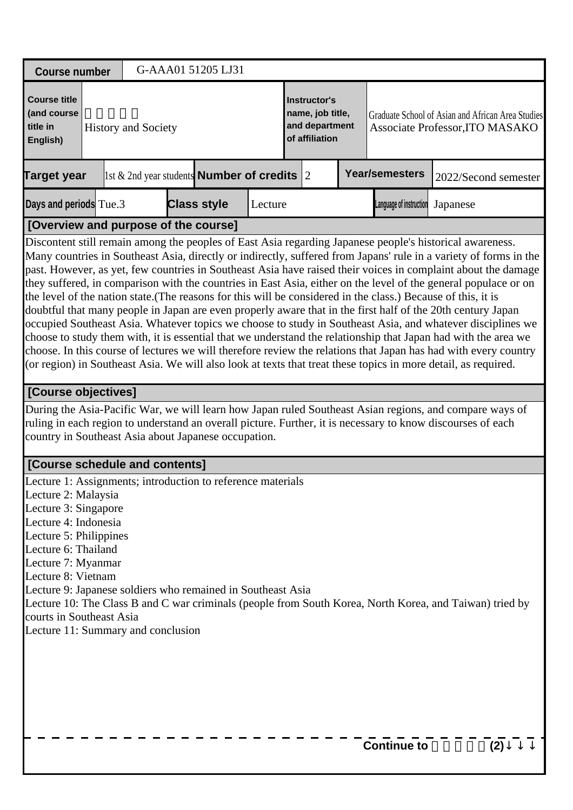| <b>Course number</b>                                                                                                                                                                                                                                                                                                                                             |                            | G-AAA01 51205 LJ31                                    |         |                                                                      |  |  |                         |                                                                                                                                                                                                                                                                                                                                                                                                                                                                                                                                                                                                                                                                                                                                                                                                                                                                                                                                                                                                                                                            |  |  |
|------------------------------------------------------------------------------------------------------------------------------------------------------------------------------------------------------------------------------------------------------------------------------------------------------------------------------------------------------------------|----------------------------|-------------------------------------------------------|---------|----------------------------------------------------------------------|--|--|-------------------------|------------------------------------------------------------------------------------------------------------------------------------------------------------------------------------------------------------------------------------------------------------------------------------------------------------------------------------------------------------------------------------------------------------------------------------------------------------------------------------------------------------------------------------------------------------------------------------------------------------------------------------------------------------------------------------------------------------------------------------------------------------------------------------------------------------------------------------------------------------------------------------------------------------------------------------------------------------------------------------------------------------------------------------------------------------|--|--|
| <b>Course title</b><br>(and course<br>title in<br>English)                                                                                                                                                                                                                                                                                                       | <b>History and Society</b> |                                                       |         | Instructor's<br>name, job title,<br>and department<br>of affiliation |  |  |                         | Graduate School of Asian and African Area Studies<br>Associate Professor, ITO MASAKO                                                                                                                                                                                                                                                                                                                                                                                                                                                                                                                                                                                                                                                                                                                                                                                                                                                                                                                                                                       |  |  |
| <b>Target year</b>                                                                                                                                                                                                                                                                                                                                               |                            | 1st $\&$ 2nd year students <b>Number of credits</b> 2 |         |                                                                      |  |  | <b>Year/semesters</b>   | 2022/Second semester                                                                                                                                                                                                                                                                                                                                                                                                                                                                                                                                                                                                                                                                                                                                                                                                                                                                                                                                                                                                                                       |  |  |
| Days and periods Tue.3                                                                                                                                                                                                                                                                                                                                           |                            | <b>Class style</b>                                    | Lecture |                                                                      |  |  | Language of instruction | Japanese                                                                                                                                                                                                                                                                                                                                                                                                                                                                                                                                                                                                                                                                                                                                                                                                                                                                                                                                                                                                                                                   |  |  |
| [Overview and purpose of the course]                                                                                                                                                                                                                                                                                                                             |                            |                                                       |         |                                                                      |  |  |                         |                                                                                                                                                                                                                                                                                                                                                                                                                                                                                                                                                                                                                                                                                                                                                                                                                                                                                                                                                                                                                                                            |  |  |
|                                                                                                                                                                                                                                                                                                                                                                  |                            |                                                       |         |                                                                      |  |  |                         | Many countries in Southeast Asia, directly or indirectly, suffered from Japans' rule in a variety of forms in the<br>past. However, as yet, few countries in Southeast Asia have raised their voices in complaint about the damage<br>they suffered, in comparison with the countries in East Asia, either on the level of the general populace or on<br>the level of the nation state. (The reasons for this will be considered in the class.) Because of this, it is<br>doubtful that many people in Japan are even properly aware that in the first half of the 20th century Japan<br>occupied Southeast Asia. Whatever topics we choose to study in Southeast Asia, and whatever disciplines we<br>choose to study them with, it is essential that we understand the relationship that Japan had with the area we<br>choose. In this course of lectures we will therefore review the relations that Japan has had with every country<br>(or region) in Southeast Asia. We will also look at texts that treat these topics in more detail, as required. |  |  |
| [Course objectives]                                                                                                                                                                                                                                                                                                                                              |                            |                                                       |         |                                                                      |  |  |                         |                                                                                                                                                                                                                                                                                                                                                                                                                                                                                                                                                                                                                                                                                                                                                                                                                                                                                                                                                                                                                                                            |  |  |
| country in Southeast Asia about Japanese occupation.                                                                                                                                                                                                                                                                                                             |                            |                                                       |         |                                                                      |  |  |                         | During the Asia-Pacific War, we will learn how Japan ruled Southeast Asian regions, and compare ways of<br>ruling in each region to understand an overall picture. Further, it is necessary to know discourses of each                                                                                                                                                                                                                                                                                                                                                                                                                                                                                                                                                                                                                                                                                                                                                                                                                                     |  |  |
| [Course schedule and contents]                                                                                                                                                                                                                                                                                                                                   |                            |                                                       |         |                                                                      |  |  |                         |                                                                                                                                                                                                                                                                                                                                                                                                                                                                                                                                                                                                                                                                                                                                                                                                                                                                                                                                                                                                                                                            |  |  |
| Lecture 1: Assignments; introduction to reference materials<br>Lecture 2: Malaysia<br>Lecture 3: Singapore<br>Lecture 4: Indonesia<br>Lecture 5: Philippines<br>Lecture 6: Thailand<br>Lecture 7: Myanmar<br>Lecture 8: Vietnam<br>Lecture 9: Japanese soldiers who remained in Southeast Asia<br>courts in Southeast Asia<br>Lecture 11: Summary and conclusion |                            |                                                       |         |                                                                      |  |  |                         | Lecture 10: The Class B and C war criminals (people from South Korea, North Korea, and Taiwan) tried by                                                                                                                                                                                                                                                                                                                                                                                                                                                                                                                                                                                                                                                                                                                                                                                                                                                                                                                                                    |  |  |
|                                                                                                                                                                                                                                                                                                                                                                  |                            |                                                       |         |                                                                      |  |  | <b>Continue to</b>      | (2)                                                                                                                                                                                                                                                                                                                                                                                                                                                                                                                                                                                                                                                                                                                                                                                                                                                                                                                                                                                                                                                        |  |  |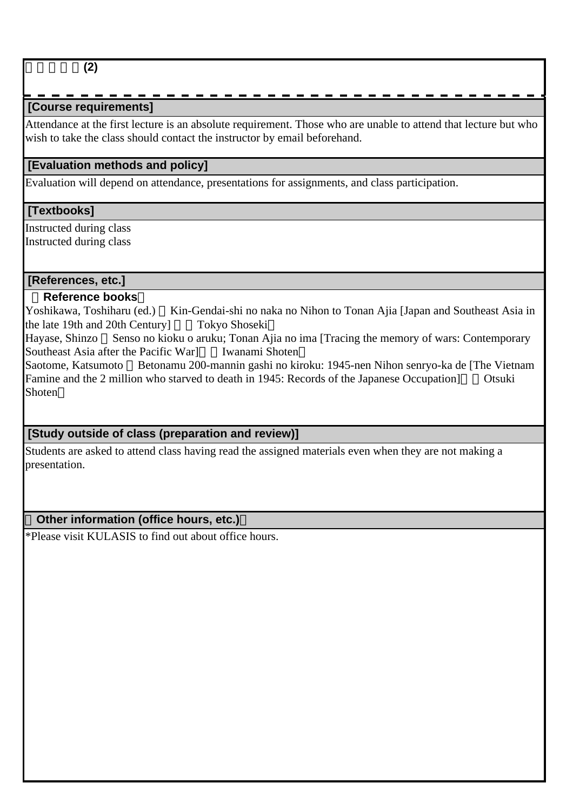地域歴史論**(2)**

# **[Course requirements]**

Attendance at the first lecture is an absolute requirement. Those who are unable to attend that lecture but who wish to take the class should contact the instructor by email beforehand.

## **[Evaluation methods and policy]**

Evaluation will depend on attendance, presentations for assignments, and class participation.

### **[Textbooks]**

Instructed during class Instructed during class

#### **[References, etc.]**

#### **Reference books**

Yoshikawa, Toshiharu (ed.) Kin-Gendai-shi no naka no Nihon to Tonan Ajia [Japan and Southeast Asia in the late 19th and 20th Century] Tokyo Shoseki

Hayase, Shinzo Senso no kioku o aruku; Tonan Ajia no ima [Tracing the memory of wars: Contemporary Southeast Asia after the Pacific Warl Iwanami Shoten

Saotome, Katsumoto Betonamu 200-mannin gashi no kiroku: 1945-nen Nihon senryo-ka de [The Vietnam Famine and the 2 million who starved to death in 1945: Records of the Japanese Occupation] Otsuki Shoten

# **[Study outside of class (preparation and review)]**

Students are asked to attend class having read the assigned materials even when they are not making a presentation.

### **Other information (office hours, etc.)**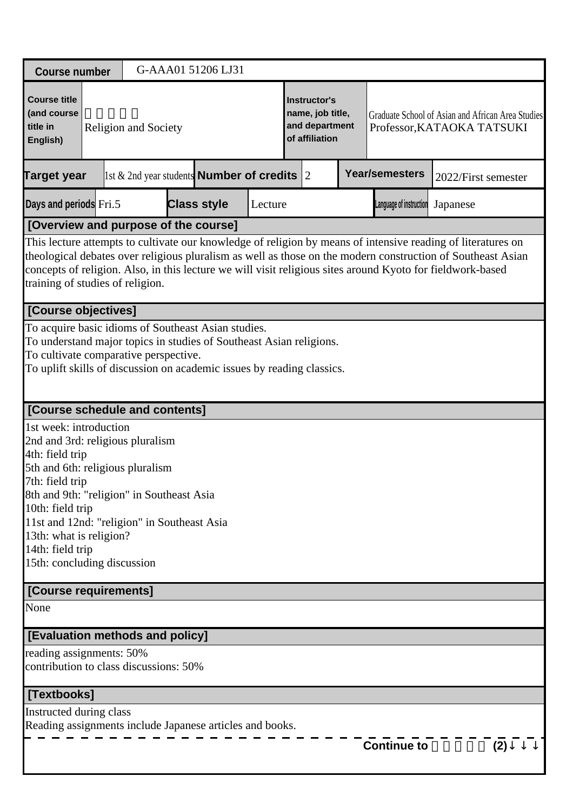| <b>Course number</b>                                                                                                                                                                                                                                                                                                                                                          |                                                                                                                                                                                                                                                                      |                             |  | G-AAA01 51206 LJ31                                     |         |                                                                      |  |  |                         |                                                                                 |     |  |
|-------------------------------------------------------------------------------------------------------------------------------------------------------------------------------------------------------------------------------------------------------------------------------------------------------------------------------------------------------------------------------|----------------------------------------------------------------------------------------------------------------------------------------------------------------------------------------------------------------------------------------------------------------------|-----------------------------|--|--------------------------------------------------------|---------|----------------------------------------------------------------------|--|--|-------------------------|---------------------------------------------------------------------------------|-----|--|
| <b>Course title</b><br>(and course<br>title in<br>English)                                                                                                                                                                                                                                                                                                                    |                                                                                                                                                                                                                                                                      | <b>Religion and Society</b> |  |                                                        |         | Instructor's<br>name, job title,<br>and department<br>of affiliation |  |  |                         | Graduate School of Asian and African Area Studies<br>Professor, KATAOKA TATSUKI |     |  |
| <b>Target year</b>                                                                                                                                                                                                                                                                                                                                                            |                                                                                                                                                                                                                                                                      |                             |  | 1st & 2nd year students <b>Number of credits</b> $ 2 $ |         |                                                                      |  |  | <b>Year/semesters</b>   | 2022/First semester                                                             |     |  |
| Days and periods Fri.5                                                                                                                                                                                                                                                                                                                                                        |                                                                                                                                                                                                                                                                      |                             |  | <b>Class style</b>                                     | Lecture |                                                                      |  |  | Language of instruction | Japanese                                                                        |     |  |
| [Overview and purpose of the course]                                                                                                                                                                                                                                                                                                                                          |                                                                                                                                                                                                                                                                      |                             |  |                                                        |         |                                                                      |  |  |                         |                                                                                 |     |  |
| This lecture attempts to cultivate our knowledge of religion by means of intensive reading of literatures on<br>theological debates over religious pluralism as well as those on the modern construction of Southeast Asian<br>concepts of religion. Also, in this lecture we will visit religious sites around Kyoto for fieldwork-based<br>training of studies of religion. |                                                                                                                                                                                                                                                                      |                             |  |                                                        |         |                                                                      |  |  |                         |                                                                                 |     |  |
|                                                                                                                                                                                                                                                                                                                                                                               |                                                                                                                                                                                                                                                                      |                             |  |                                                        |         |                                                                      |  |  |                         |                                                                                 |     |  |
|                                                                                                                                                                                                                                                                                                                                                                               | [Course objectives]<br>To acquire basic idioms of Southeast Asian studies.<br>To understand major topics in studies of Southeast Asian religions.<br>To cultivate comparative perspective.<br>To uplift skills of discussion on academic issues by reading classics. |                             |  |                                                        |         |                                                                      |  |  |                         |                                                                                 |     |  |
| [Course schedule and contents]                                                                                                                                                                                                                                                                                                                                                |                                                                                                                                                                                                                                                                      |                             |  |                                                        |         |                                                                      |  |  |                         |                                                                                 |     |  |
| 1st week: introduction<br>2nd and 3rd: religious pluralism<br>4th: field trip<br>5th and 6th: religious pluralism<br>7th: field trip<br>8th and 9th: "religion" in Southeast Asia<br>10th: field trip<br>11st and 12nd: "religion" in Southeast Asia<br>13th: what is religion?<br>14th: field trip<br>15th: concluding discussion<br>[Course requirements]                   |                                                                                                                                                                                                                                                                      |                             |  |                                                        |         |                                                                      |  |  |                         |                                                                                 |     |  |
|                                                                                                                                                                                                                                                                                                                                                                               |                                                                                                                                                                                                                                                                      |                             |  |                                                        |         |                                                                      |  |  |                         |                                                                                 |     |  |
| None                                                                                                                                                                                                                                                                                                                                                                          |                                                                                                                                                                                                                                                                      |                             |  |                                                        |         |                                                                      |  |  |                         |                                                                                 |     |  |
| [Evaluation methods and policy]                                                                                                                                                                                                                                                                                                                                               |                                                                                                                                                                                                                                                                      |                             |  |                                                        |         |                                                                      |  |  |                         |                                                                                 |     |  |
| reading assignments: 50%                                                                                                                                                                                                                                                                                                                                                      |                                                                                                                                                                                                                                                                      |                             |  |                                                        |         |                                                                      |  |  |                         |                                                                                 |     |  |
| contribution to class discussions: 50%                                                                                                                                                                                                                                                                                                                                        |                                                                                                                                                                                                                                                                      |                             |  |                                                        |         |                                                                      |  |  |                         |                                                                                 |     |  |
| [Textbooks]                                                                                                                                                                                                                                                                                                                                                                   |                                                                                                                                                                                                                                                                      |                             |  |                                                        |         |                                                                      |  |  |                         |                                                                                 |     |  |
| Instructed during class                                                                                                                                                                                                                                                                                                                                                       |                                                                                                                                                                                                                                                                      |                             |  |                                                        |         |                                                                      |  |  |                         |                                                                                 |     |  |
| Reading assignments include Japanese articles and books.                                                                                                                                                                                                                                                                                                                      |                                                                                                                                                                                                                                                                      |                             |  |                                                        |         |                                                                      |  |  |                         |                                                                                 |     |  |
|                                                                                                                                                                                                                                                                                                                                                                               |                                                                                                                                                                                                                                                                      |                             |  |                                                        |         |                                                                      |  |  | <b>Continue to</b>      |                                                                                 | (2) |  |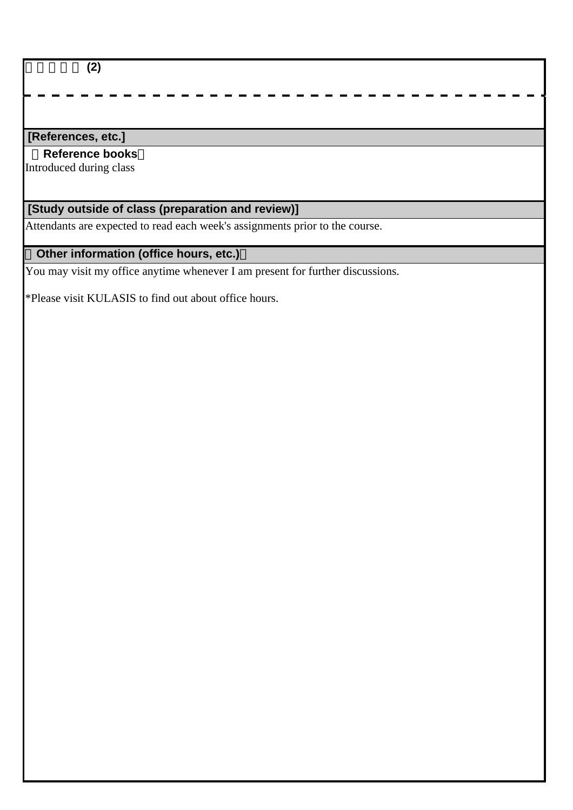宗教社会論 **(2)**

### **[References, etc.]**

#### **Reference books**

Introduced during class

# **[Study outside of class (preparation and review)]**

Attendants are expected to read each week's assignments prior to the course.

# **Other information (office hours, etc.)**

You may visit my office anytime whenever I am present for further discussions.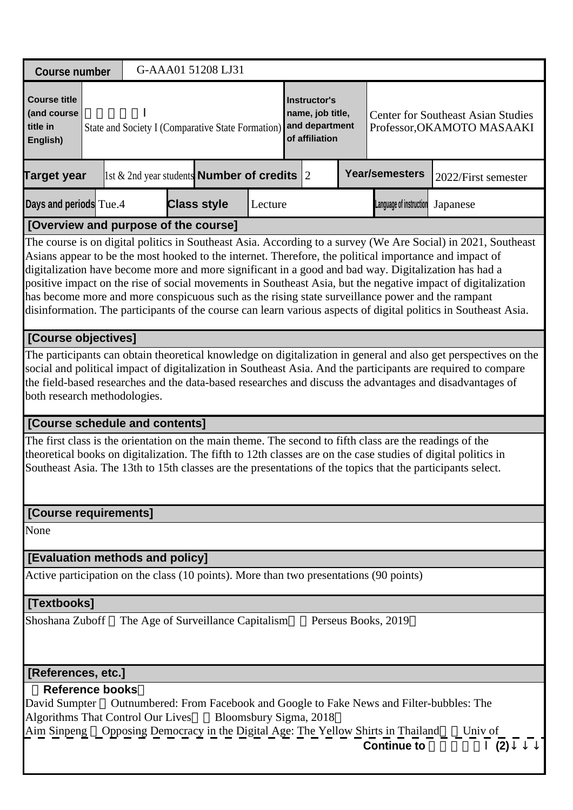| <b>Course number</b>                                                                   |                                                                                                                                                                                                                                                                                                                                                                                                                                                                                                                                                                                                                                                                        |  |  | G-AAA01 51208 LJ31                                         |  |                        |  |                                                                                                         |                                                                                                                                                                                                                             |  |  |  |  |  |
|----------------------------------------------------------------------------------------|------------------------------------------------------------------------------------------------------------------------------------------------------------------------------------------------------------------------------------------------------------------------------------------------------------------------------------------------------------------------------------------------------------------------------------------------------------------------------------------------------------------------------------------------------------------------------------------------------------------------------------------------------------------------|--|--|------------------------------------------------------------|--|------------------------|--|---------------------------------------------------------------------------------------------------------|-----------------------------------------------------------------------------------------------------------------------------------------------------------------------------------------------------------------------------|--|--|--|--|--|
| <b>Course title</b><br>(and course<br>title in<br>English)                             | <b>Instructor's</b><br>name, job title,<br><b>Center for Southeast Asian Studies</b><br>and department<br>Professor, OKAMOTO MASAAKI<br>State and Society I (Comparative State Formation)<br>of affiliation                                                                                                                                                                                                                                                                                                                                                                                                                                                            |  |  |                                                            |  |                        |  |                                                                                                         |                                                                                                                                                                                                                             |  |  |  |  |  |
| Target year                                                                            |                                                                                                                                                                                                                                                                                                                                                                                                                                                                                                                                                                                                                                                                        |  |  | $\vert$ 1st & 2nd year students <b>Number of credits</b> 2 |  |                        |  | <b>Year/semesters</b>                                                                                   | 2022/First semester                                                                                                                                                                                                         |  |  |  |  |  |
|                                                                                        | Days and periods Tue.4<br><b>Class style</b><br>Language of instruction<br>Lecture<br>Japanese<br>[Overview and purpose of the course]                                                                                                                                                                                                                                                                                                                                                                                                                                                                                                                                 |  |  |                                                            |  |                        |  |                                                                                                         |                                                                                                                                                                                                                             |  |  |  |  |  |
|                                                                                        |                                                                                                                                                                                                                                                                                                                                                                                                                                                                                                                                                                                                                                                                        |  |  |                                                            |  |                        |  |                                                                                                         |                                                                                                                                                                                                                             |  |  |  |  |  |
|                                                                                        | The course is on digital politics in Southeast Asia. According to a survey (We Are Social) in 2021, Southeast<br>Asians appear to be the most hooked to the internet. Therefore, the political importance and impact of<br>digitalization have become more and more significant in a good and bad way. Digitalization has had a<br>positive impact on the rise of social movements in Southeast Asia, but the negative impact of digitalization<br>has become more and more conspicuous such as the rising state surveillance power and the rampant<br>disinformation. The participants of the course can learn various aspects of digital politics in Southeast Asia. |  |  |                                                            |  |                        |  |                                                                                                         |                                                                                                                                                                                                                             |  |  |  |  |  |
| [Course objectives]                                                                    |                                                                                                                                                                                                                                                                                                                                                                                                                                                                                                                                                                                                                                                                        |  |  |                                                            |  |                        |  |                                                                                                         |                                                                                                                                                                                                                             |  |  |  |  |  |
|                                                                                        | The participants can obtain theoretical knowledge on digitalization in general and also get perspectives on the<br>social and political impact of digitalization in Southeast Asia. And the participants are required to compare<br>the field-based researches and the data-based researches and discuss the advantages and disadvantages of<br>both research methodologies.                                                                                                                                                                                                                                                                                           |  |  |                                                            |  |                        |  |                                                                                                         |                                                                                                                                                                                                                             |  |  |  |  |  |
| [Course schedule and contents]                                                         |                                                                                                                                                                                                                                                                                                                                                                                                                                                                                                                                                                                                                                                                        |  |  |                                                            |  |                        |  |                                                                                                         |                                                                                                                                                                                                                             |  |  |  |  |  |
|                                                                                        |                                                                                                                                                                                                                                                                                                                                                                                                                                                                                                                                                                                                                                                                        |  |  |                                                            |  |                        |  | The first class is the orientation on the main theme. The second to fifth class are the readings of the | theoretical books on digitalization. The fifth to 12th classes are on the case studies of digital politics in<br>Southeast Asia. The 13th to 15th classes are the presentations of the topics that the participants select. |  |  |  |  |  |
| [Course requirements]                                                                  |                                                                                                                                                                                                                                                                                                                                                                                                                                                                                                                                                                                                                                                                        |  |  |                                                            |  |                        |  |                                                                                                         |                                                                                                                                                                                                                             |  |  |  |  |  |
| None                                                                                   |                                                                                                                                                                                                                                                                                                                                                                                                                                                                                                                                                                                                                                                                        |  |  |                                                            |  |                        |  |                                                                                                         |                                                                                                                                                                                                                             |  |  |  |  |  |
| [Evaluation methods and policy]                                                        |                                                                                                                                                                                                                                                                                                                                                                                                                                                                                                                                                                                                                                                                        |  |  |                                                            |  |                        |  |                                                                                                         |                                                                                                                                                                                                                             |  |  |  |  |  |
| Active participation on the class (10 points). More than two presentations (90 points) |                                                                                                                                                                                                                                                                                                                                                                                                                                                                                                                                                                                                                                                                        |  |  |                                                            |  |                        |  |                                                                                                         |                                                                                                                                                                                                                             |  |  |  |  |  |
| [Textbooks]                                                                            |                                                                                                                                                                                                                                                                                                                                                                                                                                                                                                                                                                                                                                                                        |  |  |                                                            |  |                        |  |                                                                                                         |                                                                                                                                                                                                                             |  |  |  |  |  |
| Shoshana Zuboff                                                                        |                                                                                                                                                                                                                                                                                                                                                                                                                                                                                                                                                                                                                                                                        |  |  | The Age of Surveillance Capitalism                         |  |                        |  | Perseus Books, 2019                                                                                     |                                                                                                                                                                                                                             |  |  |  |  |  |
| [References, etc.]                                                                     |                                                                                                                                                                                                                                                                                                                                                                                                                                                                                                                                                                                                                                                                        |  |  |                                                            |  |                        |  |                                                                                                         |                                                                                                                                                                                                                             |  |  |  |  |  |
| <b>Reference books</b><br>David Sumpter<br><b>Algorithms That Control Our Lives</b>    |                                                                                                                                                                                                                                                                                                                                                                                                                                                                                                                                                                                                                                                                        |  |  |                                                            |  | Bloomsbury Sigma, 2018 |  | Outnumbered: From Facebook and Google to Fake News and Filter-bubbles: The<br><b>Continue to</b>        | Aim Sinpeng Opposing Democracy in the Digital Age: The Yellow Shirts in Thailand Univ of<br>(2)                                                                                                                             |  |  |  |  |  |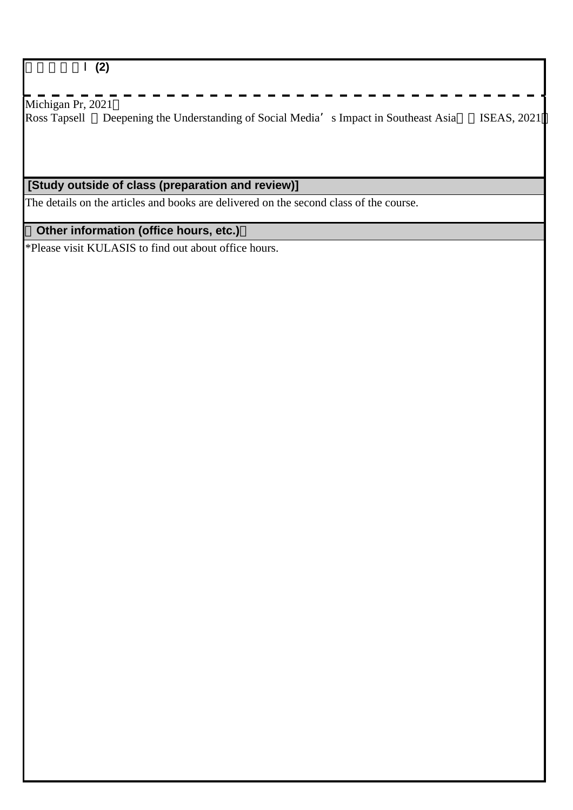# 地域相関論Ⅰ**(2)**

Michigan Pr, 2021 Ross Tapsell Deepening the Understanding of Social Media's Impact in Southeast Asia ISEAS, 2021

# **[Study outside of class (preparation and review)]**

The details on the articles and books are delivered on the second class of the course.

# **Other information (office hours, etc.)**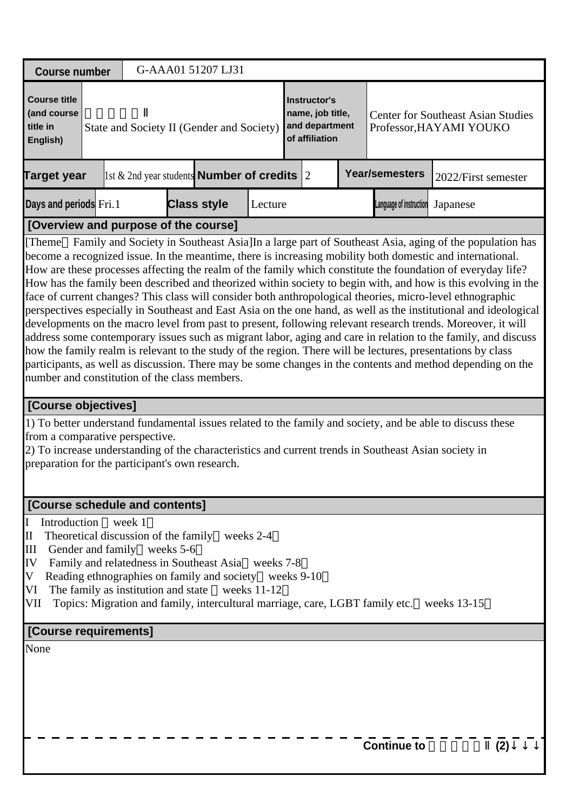| <b>Course number</b>                                                                                                                                                                                                                                                                                                                                                                                                                                                                                                                                                                                                                                                                                                                                                                                                                                                                                                                                                                                                                                                                                                                                                                                       |                                                                                                        | G-AAA01 51207 LJ31                                                                                                                             |               |  |  |                    |     |  |  |  |  |  |  |
|------------------------------------------------------------------------------------------------------------------------------------------------------------------------------------------------------------------------------------------------------------------------------------------------------------------------------------------------------------------------------------------------------------------------------------------------------------------------------------------------------------------------------------------------------------------------------------------------------------------------------------------------------------------------------------------------------------------------------------------------------------------------------------------------------------------------------------------------------------------------------------------------------------------------------------------------------------------------------------------------------------------------------------------------------------------------------------------------------------------------------------------------------------------------------------------------------------|--------------------------------------------------------------------------------------------------------|------------------------------------------------------------------------------------------------------------------------------------------------|---------------|--|--|--------------------|-----|--|--|--|--|--|--|
| <b>Course title</b><br>Instructor's<br>(and course<br>name, job title,<br><b>Center for Southeast Asian Studies</b><br>and department<br>title in<br>State and Society II (Gender and Society)<br>Professor, HAYAMI YOUKO<br>of affiliation<br>English)                                                                                                                                                                                                                                                                                                                                                                                                                                                                                                                                                                                                                                                                                                                                                                                                                                                                                                                                                    |                                                                                                        |                                                                                                                                                |               |  |  |                    |     |  |  |  |  |  |  |
| <b>Target year</b>                                                                                                                                                                                                                                                                                                                                                                                                                                                                                                                                                                                                                                                                                                                                                                                                                                                                                                                                                                                                                                                                                                                                                                                         | <b>Year/semesters</b><br>1st & 2nd year students <b>Number of credits</b> $ 2 $<br>2022/First semester |                                                                                                                                                |               |  |  |                    |     |  |  |  |  |  |  |
| <b>Class style</b><br>Days and periods Fri.1<br>Lecture<br>Language of instruction<br>Japanese                                                                                                                                                                                                                                                                                                                                                                                                                                                                                                                                                                                                                                                                                                                                                                                                                                                                                                                                                                                                                                                                                                             |                                                                                                        |                                                                                                                                                |               |  |  |                    |     |  |  |  |  |  |  |
| [Overview and purpose of the course]                                                                                                                                                                                                                                                                                                                                                                                                                                                                                                                                                                                                                                                                                                                                                                                                                                                                                                                                                                                                                                                                                                                                                                       |                                                                                                        |                                                                                                                                                |               |  |  |                    |     |  |  |  |  |  |  |
| Family and Society in Southeast Asia]In a large part of Southeast Asia, aging of the population has<br>[Theme]<br>become a recognized issue. In the meantime, there is increasing mobility both domestic and international.<br>How are these processes affecting the realm of the family which constitute the foundation of everyday life?<br>How has the family been described and theorized within society to begin with, and how is this evolving in the<br>face of current changes? This class will consider both anthropological theories, micro-level ethnographic<br>perspectives especially in Southeast and East Asia on the one hand, as well as the institutional and ideological<br>developments on the macro level from past to present, following relevant research trends. Moreover, it will<br>address some contemporary issues such as migrant labor, aging and care in relation to the family, and discuss<br>how the family realm is relevant to the study of the region. There will be lectures, presentations by class<br>participants, as well as discussion. There may be some changes in the contents and method depending on the<br>number and constitution of the class members. |                                                                                                        |                                                                                                                                                |               |  |  |                    |     |  |  |  |  |  |  |
| [Course objectives]                                                                                                                                                                                                                                                                                                                                                                                                                                                                                                                                                                                                                                                                                                                                                                                                                                                                                                                                                                                                                                                                                                                                                                                        |                                                                                                        |                                                                                                                                                |               |  |  |                    |     |  |  |  |  |  |  |
| 1) To better understand fundamental issues related to the family and society, and be able to discuss these<br>from a comparative perspective.<br>2) To increase understanding of the characteristics and current trends in Southeast Asian society in<br>preparation for the participant's own research.                                                                                                                                                                                                                                                                                                                                                                                                                                                                                                                                                                                                                                                                                                                                                                                                                                                                                                   |                                                                                                        |                                                                                                                                                |               |  |  |                    |     |  |  |  |  |  |  |
| [Course schedule and contents]                                                                                                                                                                                                                                                                                                                                                                                                                                                                                                                                                                                                                                                                                                                                                                                                                                                                                                                                                                                                                                                                                                                                                                             |                                                                                                        |                                                                                                                                                |               |  |  |                    |     |  |  |  |  |  |  |
| Introduction<br>$\mathbf I$<br>Theoretical discussion of the family weeks 2-4<br>$\rm II$<br>III<br>Gender and family weeks 5-6<br>IV<br>Reading ethnographies on family and society weeks 9-10<br>V<br>The family as institution and state<br>VI<br>VII                                                                                                                                                                                                                                                                                                                                                                                                                                                                                                                                                                                                                                                                                                                                                                                                                                                                                                                                                   | week 1                                                                                                 | Family and relatedness in Southeast Asia weeks 7-8<br>Topics: Migration and family, intercultural marriage, care, LGBT family etc. weeks 13-15 | weeks $11-12$ |  |  |                    |     |  |  |  |  |  |  |
| [Course requirements]                                                                                                                                                                                                                                                                                                                                                                                                                                                                                                                                                                                                                                                                                                                                                                                                                                                                                                                                                                                                                                                                                                                                                                                      |                                                                                                        |                                                                                                                                                |               |  |  |                    |     |  |  |  |  |  |  |
| None                                                                                                                                                                                                                                                                                                                                                                                                                                                                                                                                                                                                                                                                                                                                                                                                                                                                                                                                                                                                                                                                                                                                                                                                       |                                                                                                        |                                                                                                                                                |               |  |  | <b>Continue to</b> | (2) |  |  |  |  |  |  |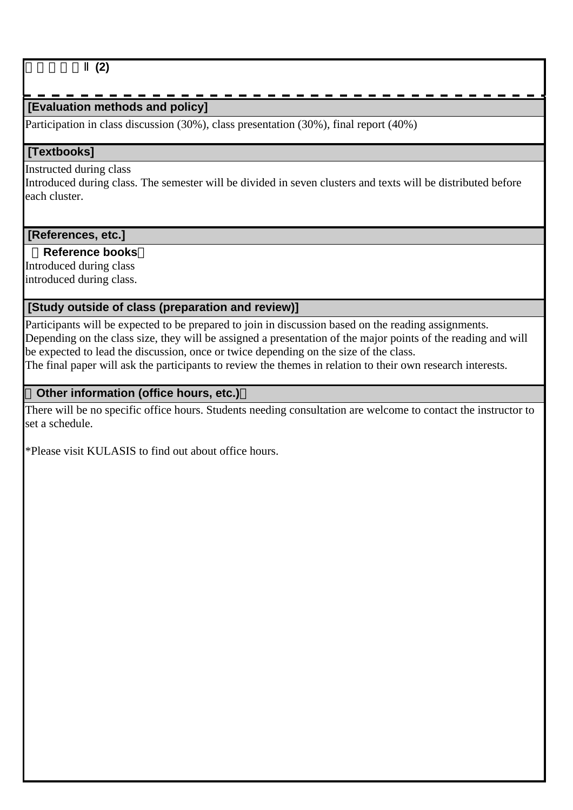### 地域相関論Ⅱ**(2)**

# **[Evaluation methods and policy]**

Participation in class discussion (30%), class presentation (30%), final report (40%)

### **[Textbooks]**

Instructed during class

Introduced during class. The semester will be divided in seven clusters and texts will be distributed before each cluster.

#### **[References, etc.]**

#### **Reference books**

Introduced during class introduced during class.

### **[Study outside of class (preparation and review)]**

Participants will be expected to be prepared to join in discussion based on the reading assignments. Depending on the class size, they will be assigned a presentation of the major points of the reading and will be expected to lead the discussion, once or twice depending on the size of the class.

The final paper will ask the participants to review the themes in relation to their own research interests.

## **Other information (office hours, etc.)**

There will be no specific office hours. Students needing consultation are welcome to contact the instructor to set a schedule.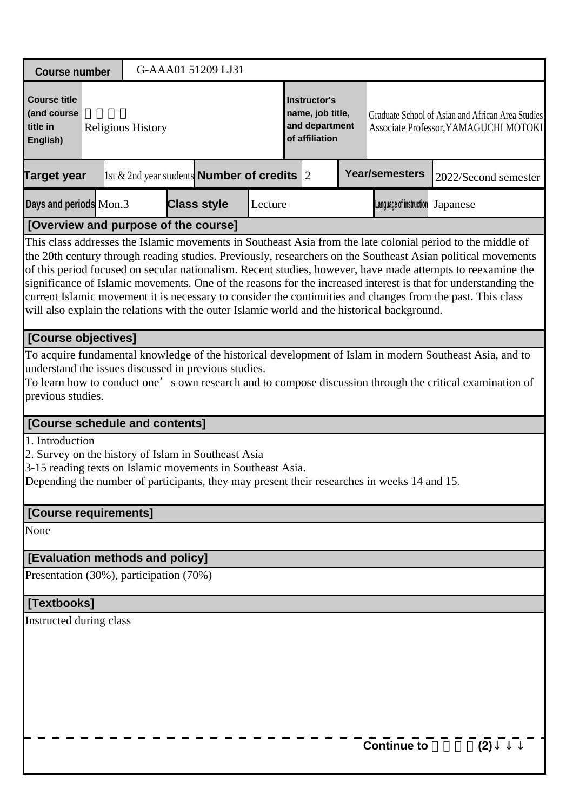| <b>Course number</b>                                                                                                           |                                                                                                     |                          |  | G-AAA01 51209 LJ31 |  |  |                                                                      |  |                                                                                             |                                                                                                                                                                                                                                                                                                                                                                                                                                                                                                                                                                             |  |  |
|--------------------------------------------------------------------------------------------------------------------------------|-----------------------------------------------------------------------------------------------------|--------------------------|--|--------------------|--|--|----------------------------------------------------------------------|--|---------------------------------------------------------------------------------------------|-----------------------------------------------------------------------------------------------------------------------------------------------------------------------------------------------------------------------------------------------------------------------------------------------------------------------------------------------------------------------------------------------------------------------------------------------------------------------------------------------------------------------------------------------------------------------------|--|--|
| <b>Course title</b><br>(and course<br>title in<br>English)                                                                     |                                                                                                     | <b>Religious History</b> |  |                    |  |  | Instructor's<br>name, job title,<br>and department<br>of affiliation |  |                                                                                             | Graduate School of Asian and African Area Studies<br>Associate Professor, YAMAGUCHI MOTOKI                                                                                                                                                                                                                                                                                                                                                                                                                                                                                  |  |  |
| <b>Target year</b>                                                                                                             | <b>Year/semesters</b><br>1st & 2nd year students <b>Number of credits</b> 2<br>2022/Second semester |                          |  |                    |  |  |                                                                      |  |                                                                                             |                                                                                                                                                                                                                                                                                                                                                                                                                                                                                                                                                                             |  |  |
| Days and periods Mon.3<br><b>Class style</b><br>Language of instruction<br>Lecture<br>Japanese                                 |                                                                                                     |                          |  |                    |  |  |                                                                      |  |                                                                                             |                                                                                                                                                                                                                                                                                                                                                                                                                                                                                                                                                                             |  |  |
| [Overview and purpose of the course]                                                                                           |                                                                                                     |                          |  |                    |  |  |                                                                      |  |                                                                                             |                                                                                                                                                                                                                                                                                                                                                                                                                                                                                                                                                                             |  |  |
|                                                                                                                                |                                                                                                     |                          |  |                    |  |  |                                                                      |  | will also explain the relations with the outer Islamic world and the historical background. | This class addresses the Islamic movements in Southeast Asia from the late colonial period to the middle of<br>the 20th century through reading studies. Previously, researchers on the Southeast Asian political movements<br>of this period focused on secular nationalism. Recent studies, however, have made attempts to reexamine the<br>significance of Islamic movements. One of the reasons for the increased interest is that for understanding the<br>current Islamic movement it is necessary to consider the continuities and changes from the past. This class |  |  |
| [Course objectives]                                                                                                            |                                                                                                     |                          |  |                    |  |  |                                                                      |  |                                                                                             |                                                                                                                                                                                                                                                                                                                                                                                                                                                                                                                                                                             |  |  |
| understand the issues discussed in previous studies.<br>previous studies.<br>[Course schedule and contents]<br>1. Introduction |                                                                                                     |                          |  |                    |  |  |                                                                      |  |                                                                                             | To acquire fundamental knowledge of the historical development of Islam in modern Southeast Asia, and to<br>To learn how to conduct one's own research and to compose discussion through the critical examination of                                                                                                                                                                                                                                                                                                                                                        |  |  |
| 2. Survey on the history of Islam in Southeast Asia<br>3-15 reading texts on Islamic movements in Southeast Asia.              |                                                                                                     |                          |  |                    |  |  |                                                                      |  | Depending the number of participants, they may present their researches in weeks 14 and 15. |                                                                                                                                                                                                                                                                                                                                                                                                                                                                                                                                                                             |  |  |
| [Course requirements]                                                                                                          |                                                                                                     |                          |  |                    |  |  |                                                                      |  |                                                                                             |                                                                                                                                                                                                                                                                                                                                                                                                                                                                                                                                                                             |  |  |
| None                                                                                                                           |                                                                                                     |                          |  |                    |  |  |                                                                      |  |                                                                                             |                                                                                                                                                                                                                                                                                                                                                                                                                                                                                                                                                                             |  |  |
| [Evaluation methods and policy]                                                                                                |                                                                                                     |                          |  |                    |  |  |                                                                      |  |                                                                                             |                                                                                                                                                                                                                                                                                                                                                                                                                                                                                                                                                                             |  |  |
| Presentation (30%), participation (70%)                                                                                        |                                                                                                     |                          |  |                    |  |  |                                                                      |  |                                                                                             |                                                                                                                                                                                                                                                                                                                                                                                                                                                                                                                                                                             |  |  |
| [Textbooks]                                                                                                                    |                                                                                                     |                          |  |                    |  |  |                                                                      |  |                                                                                             |                                                                                                                                                                                                                                                                                                                                                                                                                                                                                                                                                                             |  |  |
| Instructed during class                                                                                                        |                                                                                                     |                          |  |                    |  |  |                                                                      |  | <b>Continue to</b>                                                                          | (2)                                                                                                                                                                                                                                                                                                                                                                                                                                                                                                                                                                         |  |  |
|                                                                                                                                |                                                                                                     |                          |  |                    |  |  |                                                                      |  |                                                                                             |                                                                                                                                                                                                                                                                                                                                                                                                                                                                                                                                                                             |  |  |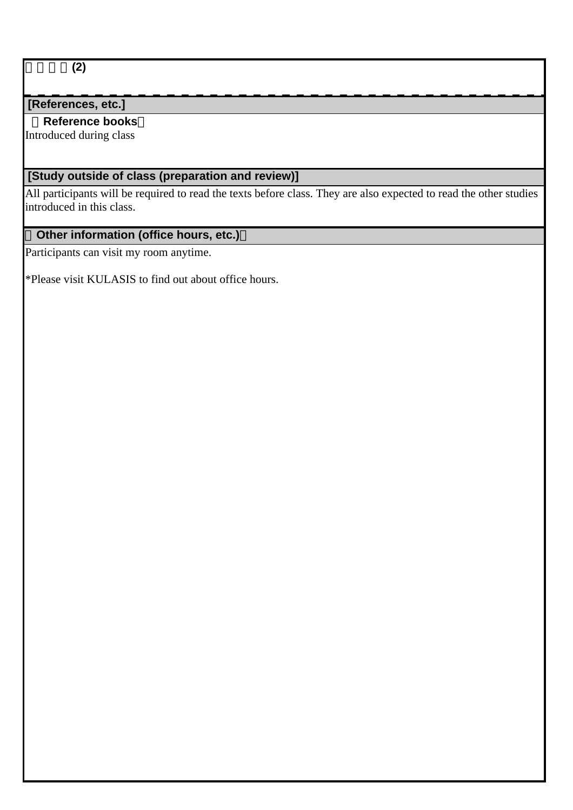# 宗教史論**(2)**

# **[References, etc.]**

# **Reference books**

Introduced during class

# **[Study outside of class (preparation and review)]**

All participants will be required to read the texts before class. They are also expected to read the other studies introduced in this class.

# **Other information (office hours, etc.)**

Participants can visit my room anytime.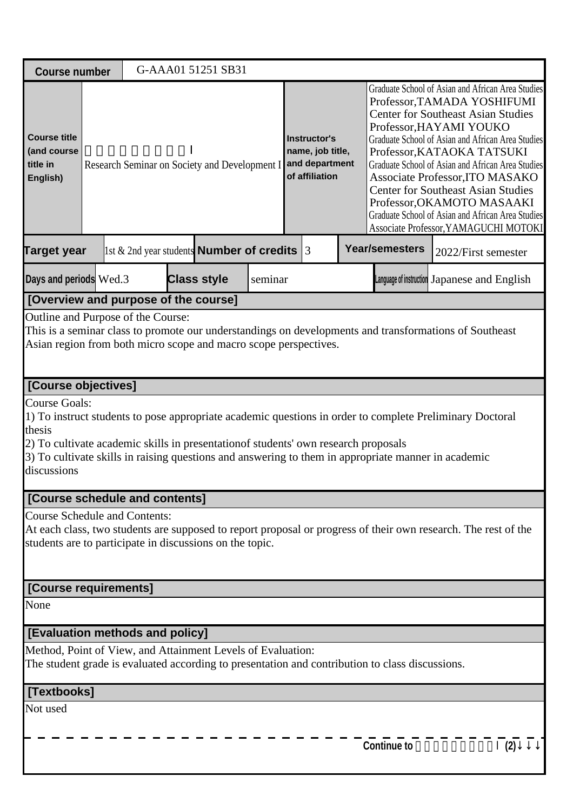| <b>Course number</b>                                                                             |                                                                                                                                                                                                                                                                                                                                |  |  | G-AAA01 51251 SB31                                                                 |         |                                                                      |  |  |                                                                                                                                                                                                                                                                                                                                                                                                                                                                                                              |                                                                                                                |  |  |
|--------------------------------------------------------------------------------------------------|--------------------------------------------------------------------------------------------------------------------------------------------------------------------------------------------------------------------------------------------------------------------------------------------------------------------------------|--|--|------------------------------------------------------------------------------------|---------|----------------------------------------------------------------------|--|--|--------------------------------------------------------------------------------------------------------------------------------------------------------------------------------------------------------------------------------------------------------------------------------------------------------------------------------------------------------------------------------------------------------------------------------------------------------------------------------------------------------------|----------------------------------------------------------------------------------------------------------------|--|--|
| <b>Course title</b><br>(and course<br>title in<br>English)                                       |                                                                                                                                                                                                                                                                                                                                |  |  | Research Seminar on Society and Development I                                      |         | Instructor's<br>name, job title,<br>and department<br>of affiliation |  |  | Graduate School of Asian and African Area Studies<br>Professor, TAMADA YOSHIFUMI<br><b>Center for Southeast Asian Studies</b><br>Professor, HAYAMI YOUKO<br>Graduate School of Asian and African Area Studies<br>Professor, KATAOKA TATSUKI<br>Graduate School of Asian and African Area Studies<br>Associate Professor, ITO MASAKO<br><b>Center for Southeast Asian Studies</b><br>Professor, OKAMOTO MASAAKI<br>Graduate School of Asian and African Area Studies<br>Associate Professor, YAMAGUCHI MOTOKI |                                                                                                                |  |  |
| Target year                                                                                      |                                                                                                                                                                                                                                                                                                                                |  |  | 1st & 2nd year students <b>Number of credits</b> $\begin{bmatrix} 3 \end{bmatrix}$ |         |                                                                      |  |  | <b>Year/semesters</b>                                                                                                                                                                                                                                                                                                                                                                                                                                                                                        | 2022/First semester                                                                                            |  |  |
| Days and periods Wed.3                                                                           |                                                                                                                                                                                                                                                                                                                                |  |  | <b>Class style</b>                                                                 | seminar |                                                                      |  |  |                                                                                                                                                                                                                                                                                                                                                                                                                                                                                                              | Language of instruction Japanese and English                                                                   |  |  |
| [Overview and purpose of the course]                                                             |                                                                                                                                                                                                                                                                                                                                |  |  |                                                                                    |         |                                                                      |  |  |                                                                                                                                                                                                                                                                                                                                                                                                                                                                                                              |                                                                                                                |  |  |
|                                                                                                  | Outline and Purpose of the Course:<br>This is a seminar class to promote our understandings on developments and transformations of Southeast<br>Asian region from both micro scope and macro scope perspectives.                                                                                                               |  |  |                                                                                    |         |                                                                      |  |  |                                                                                                                                                                                                                                                                                                                                                                                                                                                                                                              |                                                                                                                |  |  |
| [Course objectives]                                                                              |                                                                                                                                                                                                                                                                                                                                |  |  |                                                                                    |         |                                                                      |  |  |                                                                                                                                                                                                                                                                                                                                                                                                                                                                                                              |                                                                                                                |  |  |
| thesis<br>discussions                                                                            | <b>Course Goals:</b><br>1) To instruct students to pose appropriate academic questions in order to complete Preliminary Doctoral<br>2) To cultivate academic skills in presentation of students' own research proposals<br>3) To cultivate skills in raising questions and answering to them in appropriate manner in academic |  |  |                                                                                    |         |                                                                      |  |  |                                                                                                                                                                                                                                                                                                                                                                                                                                                                                                              |                                                                                                                |  |  |
| [Course schedule and contents]                                                                   |                                                                                                                                                                                                                                                                                                                                |  |  |                                                                                    |         |                                                                      |  |  |                                                                                                                                                                                                                                                                                                                                                                                                                                                                                                              |                                                                                                                |  |  |
| <b>Course Schedule and Contents:</b><br>students are to participate in discussions on the topic. |                                                                                                                                                                                                                                                                                                                                |  |  |                                                                                    |         |                                                                      |  |  |                                                                                                                                                                                                                                                                                                                                                                                                                                                                                                              | At each class, two students are supposed to report proposal or progress of their own research. The rest of the |  |  |
| [Course requirements]                                                                            |                                                                                                                                                                                                                                                                                                                                |  |  |                                                                                    |         |                                                                      |  |  |                                                                                                                                                                                                                                                                                                                                                                                                                                                                                                              |                                                                                                                |  |  |
| None                                                                                             |                                                                                                                                                                                                                                                                                                                                |  |  |                                                                                    |         |                                                                      |  |  |                                                                                                                                                                                                                                                                                                                                                                                                                                                                                                              |                                                                                                                |  |  |
| [Evaluation methods and policy]                                                                  |                                                                                                                                                                                                                                                                                                                                |  |  |                                                                                    |         |                                                                      |  |  |                                                                                                                                                                                                                                                                                                                                                                                                                                                                                                              |                                                                                                                |  |  |
| Method, Point of View, and Attainment Levels of Evaluation:                                      |                                                                                                                                                                                                                                                                                                                                |  |  |                                                                                    |         |                                                                      |  |  | The student grade is evaluated according to presentation and contribution to class discussions.                                                                                                                                                                                                                                                                                                                                                                                                              |                                                                                                                |  |  |
| [Textbooks]                                                                                      |                                                                                                                                                                                                                                                                                                                                |  |  |                                                                                    |         |                                                                      |  |  |                                                                                                                                                                                                                                                                                                                                                                                                                                                                                                              |                                                                                                                |  |  |
| Not used                                                                                         |                                                                                                                                                                                                                                                                                                                                |  |  |                                                                                    |         |                                                                      |  |  | <b>Continue to</b>                                                                                                                                                                                                                                                                                                                                                                                                                                                                                           | (2)                                                                                                            |  |  |
|                                                                                                  |                                                                                                                                                                                                                                                                                                                                |  |  |                                                                                    |         |                                                                      |  |  |                                                                                                                                                                                                                                                                                                                                                                                                                                                                                                              |                                                                                                                |  |  |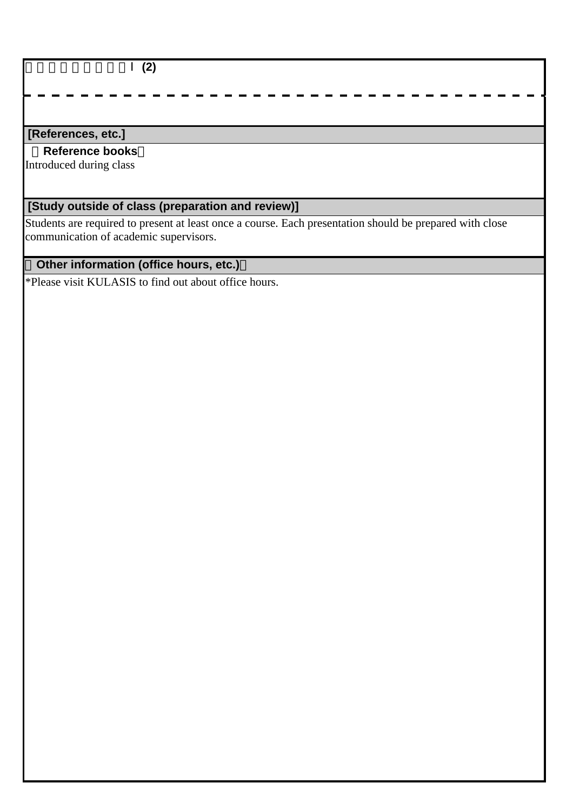#### 地域変動論研究演習Ⅰ**(2)**

### **[References, etc.]**

 **Reference books**

Introduced during class

# **[Study outside of class (preparation and review)]**

Students are required to present at least once a course. Each presentation should be prepared with close communication of academic supervisors.

# **Other information (office hours, etc.)**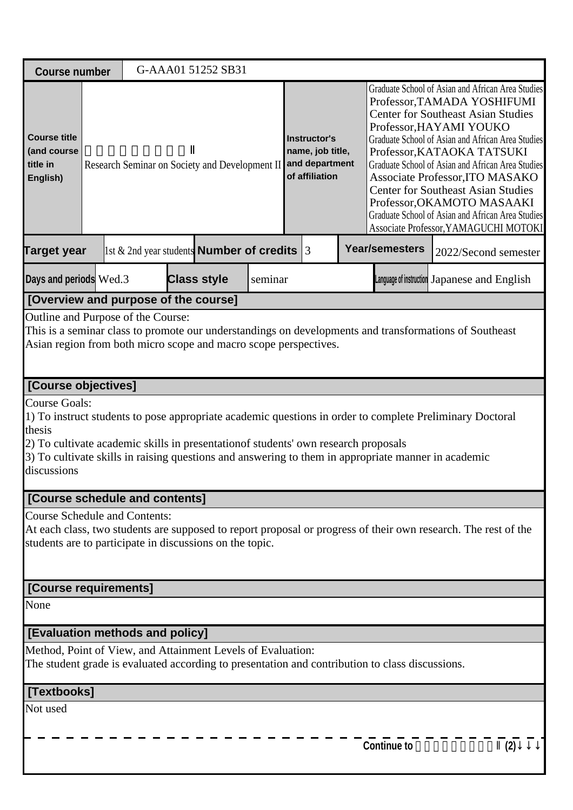| <b>Course number</b>                                                                             |                                                                                                                                                                                                                                                                                                                                |  |  | G-AAA01 51252 SB31                                     |         |                                                                      |  |  |                                                                                                                                                                                                                                                                                                                                                                                                                                                                                                              |                                                                                                                |  |  |
|--------------------------------------------------------------------------------------------------|--------------------------------------------------------------------------------------------------------------------------------------------------------------------------------------------------------------------------------------------------------------------------------------------------------------------------------|--|--|--------------------------------------------------------|---------|----------------------------------------------------------------------|--|--|--------------------------------------------------------------------------------------------------------------------------------------------------------------------------------------------------------------------------------------------------------------------------------------------------------------------------------------------------------------------------------------------------------------------------------------------------------------------------------------------------------------|----------------------------------------------------------------------------------------------------------------|--|--|
| <b>Course title</b><br>(and course<br>title in<br>English)                                       |                                                                                                                                                                                                                                                                                                                                |  |  | Research Seminar on Society and Development II         |         | Instructor's<br>name, job title,<br>and department<br>of affiliation |  |  | Graduate School of Asian and African Area Studies<br>Professor, TAMADA YOSHIFUMI<br><b>Center for Southeast Asian Studies</b><br>Professor, HAYAMI YOUKO<br>Graduate School of Asian and African Area Studies<br>Professor, KATAOKA TATSUKI<br>Graduate School of Asian and African Area Studies<br>Associate Professor, ITO MASAKO<br><b>Center for Southeast Asian Studies</b><br>Professor, OKAMOTO MASAAKI<br>Graduate School of Asian and African Area Studies<br>Associate Professor, YAMAGUCHI MOTOKI |                                                                                                                |  |  |
| Target year                                                                                      |                                                                                                                                                                                                                                                                                                                                |  |  | 1st & 2nd year students <b>Number of credits</b> $ 3 $ |         |                                                                      |  |  | <b>Year/semesters</b>                                                                                                                                                                                                                                                                                                                                                                                                                                                                                        | 2022/Second semester                                                                                           |  |  |
| Days and periods Wed.3                                                                           |                                                                                                                                                                                                                                                                                                                                |  |  | <b>Class style</b>                                     | seminar |                                                                      |  |  |                                                                                                                                                                                                                                                                                                                                                                                                                                                                                                              | Language of instruction Japanese and English                                                                   |  |  |
| [Overview and purpose of the course]                                                             |                                                                                                                                                                                                                                                                                                                                |  |  |                                                        |         |                                                                      |  |  |                                                                                                                                                                                                                                                                                                                                                                                                                                                                                                              |                                                                                                                |  |  |
|                                                                                                  | Outline and Purpose of the Course:<br>This is a seminar class to promote our understandings on developments and transformations of Southeast<br>Asian region from both micro scope and macro scope perspectives.                                                                                                               |  |  |                                                        |         |                                                                      |  |  |                                                                                                                                                                                                                                                                                                                                                                                                                                                                                                              |                                                                                                                |  |  |
| [Course objectives]                                                                              |                                                                                                                                                                                                                                                                                                                                |  |  |                                                        |         |                                                                      |  |  |                                                                                                                                                                                                                                                                                                                                                                                                                                                                                                              |                                                                                                                |  |  |
| thesis<br>discussions                                                                            | <b>Course Goals:</b><br>1) To instruct students to pose appropriate academic questions in order to complete Preliminary Doctoral<br>2) To cultivate academic skills in presentation of students' own research proposals<br>3) To cultivate skills in raising questions and answering to them in appropriate manner in academic |  |  |                                                        |         |                                                                      |  |  |                                                                                                                                                                                                                                                                                                                                                                                                                                                                                                              |                                                                                                                |  |  |
| [Course schedule and contents]                                                                   |                                                                                                                                                                                                                                                                                                                                |  |  |                                                        |         |                                                                      |  |  |                                                                                                                                                                                                                                                                                                                                                                                                                                                                                                              |                                                                                                                |  |  |
| <b>Course Schedule and Contents:</b><br>students are to participate in discussions on the topic. |                                                                                                                                                                                                                                                                                                                                |  |  |                                                        |         |                                                                      |  |  |                                                                                                                                                                                                                                                                                                                                                                                                                                                                                                              | At each class, two students are supposed to report proposal or progress of their own research. The rest of the |  |  |
| [Course requirements]                                                                            |                                                                                                                                                                                                                                                                                                                                |  |  |                                                        |         |                                                                      |  |  |                                                                                                                                                                                                                                                                                                                                                                                                                                                                                                              |                                                                                                                |  |  |
| None                                                                                             |                                                                                                                                                                                                                                                                                                                                |  |  |                                                        |         |                                                                      |  |  |                                                                                                                                                                                                                                                                                                                                                                                                                                                                                                              |                                                                                                                |  |  |
| [Evaluation methods and policy]                                                                  |                                                                                                                                                                                                                                                                                                                                |  |  |                                                        |         |                                                                      |  |  |                                                                                                                                                                                                                                                                                                                                                                                                                                                                                                              |                                                                                                                |  |  |
| Method, Point of View, and Attainment Levels of Evaluation:                                      |                                                                                                                                                                                                                                                                                                                                |  |  |                                                        |         |                                                                      |  |  | The student grade is evaluated according to presentation and contribution to class discussions.                                                                                                                                                                                                                                                                                                                                                                                                              |                                                                                                                |  |  |
| [Textbooks]                                                                                      |                                                                                                                                                                                                                                                                                                                                |  |  |                                                        |         |                                                                      |  |  |                                                                                                                                                                                                                                                                                                                                                                                                                                                                                                              |                                                                                                                |  |  |
| Not used                                                                                         |                                                                                                                                                                                                                                                                                                                                |  |  |                                                        |         |                                                                      |  |  | <b>Continue to</b>                                                                                                                                                                                                                                                                                                                                                                                                                                                                                           | (2)                                                                                                            |  |  |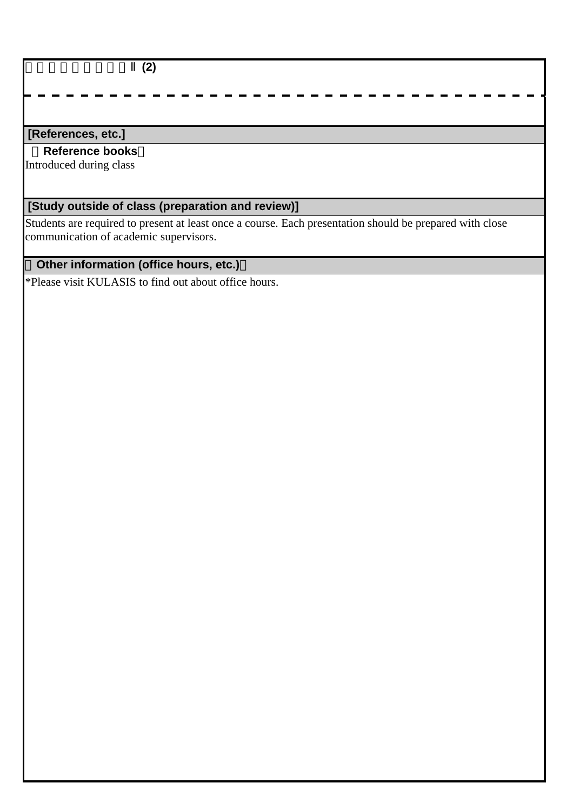#### 地域変動論研究演習Ⅱ**(2)**

### **[References, etc.]**

 **Reference books**

Introduced during class

# **[Study outside of class (preparation and review)]**

Students are required to present at least once a course. Each presentation should be prepared with close communication of academic supervisors.

# **Other information (office hours, etc.)**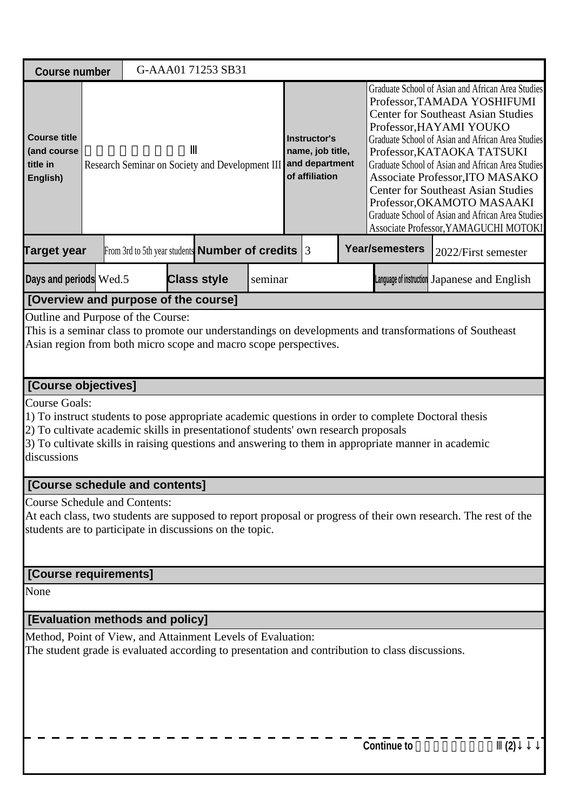| <b>Course number</b>                                                                                                                                                                                             |                                                                                                                                                                                                                                                                                                                           |  |  | G-AAA01 71253 SB31                                       |         |                                                                             |  |  |                                                                                                                                                                                                                                                                                                                                                                                                                                                                                                              |                                                                                                                |  |
|------------------------------------------------------------------------------------------------------------------------------------------------------------------------------------------------------------------|---------------------------------------------------------------------------------------------------------------------------------------------------------------------------------------------------------------------------------------------------------------------------------------------------------------------------|--|--|----------------------------------------------------------|---------|-----------------------------------------------------------------------------|--|--|--------------------------------------------------------------------------------------------------------------------------------------------------------------------------------------------------------------------------------------------------------------------------------------------------------------------------------------------------------------------------------------------------------------------------------------------------------------------------------------------------------------|----------------------------------------------------------------------------------------------------------------|--|
| <b>Course title</b><br>(and course<br>title in<br>English)                                                                                                                                                       |                                                                                                                                                                                                                                                                                                                           |  |  | Research Seminar on Society and Development III          |         | <b>Instructor's</b><br>name, job title,<br>and department<br>of affiliation |  |  | Graduate School of Asian and African Area Studies<br>Professor, TAMADA YOSHIFUMI<br><b>Center for Southeast Asian Studies</b><br>Professor, HAYAMI YOUKO<br>Graduate School of Asian and African Area Studies<br>Professor, KATAOKA TATSUKI<br>Graduate School of Asian and African Area Studies<br>Associate Professor, ITO MASAKO<br><b>Center for Southeast Asian Studies</b><br>Professor, OKAMOTO MASAAKI<br>Graduate School of Asian and African Area Studies<br>Associate Professor, YAMAGUCHI MOTOKI |                                                                                                                |  |
| <b>Target year</b>                                                                                                                                                                                               |                                                                                                                                                                                                                                                                                                                           |  |  | From 3rd to 5th year students <b>Number of credits</b> 3 |         |                                                                             |  |  | <b>Year/semesters</b>                                                                                                                                                                                                                                                                                                                                                                                                                                                                                        | 2022/First semester                                                                                            |  |
| Days and periods Wed.5                                                                                                                                                                                           |                                                                                                                                                                                                                                                                                                                           |  |  | <b>Class style</b>                                       | seminar |                                                                             |  |  |                                                                                                                                                                                                                                                                                                                                                                                                                                                                                                              | Language of instruction Japanese and English                                                                   |  |
| [Overview and purpose of the course]                                                                                                                                                                             |                                                                                                                                                                                                                                                                                                                           |  |  |                                                          |         |                                                                             |  |  |                                                                                                                                                                                                                                                                                                                                                                                                                                                                                                              |                                                                                                                |  |
| Outline and Purpose of the Course:<br>This is a seminar class to promote our understandings on developments and transformations of Southeast<br>Asian region from both micro scope and macro scope perspectives. |                                                                                                                                                                                                                                                                                                                           |  |  |                                                          |         |                                                                             |  |  |                                                                                                                                                                                                                                                                                                                                                                                                                                                                                                              |                                                                                                                |  |
| [Course objectives]                                                                                                                                                                                              |                                                                                                                                                                                                                                                                                                                           |  |  |                                                          |         |                                                                             |  |  |                                                                                                                                                                                                                                                                                                                                                                                                                                                                                                              |                                                                                                                |  |
| discussions                                                                                                                                                                                                      | <b>Course Goals:</b><br>1) To instruct students to pose appropriate academic questions in order to complete Doctoral thesis<br>2) To cultivate academic skills in presentation of students' own research proposals<br>3) To cultivate skills in raising questions and answering to them in appropriate manner in academic |  |  |                                                          |         |                                                                             |  |  |                                                                                                                                                                                                                                                                                                                                                                                                                                                                                                              |                                                                                                                |  |
| [Course schedule and contents]                                                                                                                                                                                   |                                                                                                                                                                                                                                                                                                                           |  |  |                                                          |         |                                                                             |  |  |                                                                                                                                                                                                                                                                                                                                                                                                                                                                                                              |                                                                                                                |  |
| <b>Course Schedule and Contents:</b><br>students are to participate in discussions on the topic.                                                                                                                 |                                                                                                                                                                                                                                                                                                                           |  |  |                                                          |         |                                                                             |  |  |                                                                                                                                                                                                                                                                                                                                                                                                                                                                                                              | At each class, two students are supposed to report proposal or progress of their own research. The rest of the |  |
| [Course requirements]                                                                                                                                                                                            |                                                                                                                                                                                                                                                                                                                           |  |  |                                                          |         |                                                                             |  |  |                                                                                                                                                                                                                                                                                                                                                                                                                                                                                                              |                                                                                                                |  |
| None                                                                                                                                                                                                             |                                                                                                                                                                                                                                                                                                                           |  |  |                                                          |         |                                                                             |  |  |                                                                                                                                                                                                                                                                                                                                                                                                                                                                                                              |                                                                                                                |  |
| [Evaluation methods and policy]                                                                                                                                                                                  |                                                                                                                                                                                                                                                                                                                           |  |  |                                                          |         |                                                                             |  |  |                                                                                                                                                                                                                                                                                                                                                                                                                                                                                                              |                                                                                                                |  |
| Method, Point of View, and Attainment Levels of Evaluation:                                                                                                                                                      |                                                                                                                                                                                                                                                                                                                           |  |  |                                                          |         |                                                                             |  |  | The student grade is evaluated according to presentation and contribution to class discussions.                                                                                                                                                                                                                                                                                                                                                                                                              |                                                                                                                |  |
|                                                                                                                                                                                                                  |                                                                                                                                                                                                                                                                                                                           |  |  |                                                          |         |                                                                             |  |  | <b>Continue to</b>                                                                                                                                                                                                                                                                                                                                                                                                                                                                                           | (2)                                                                                                            |  |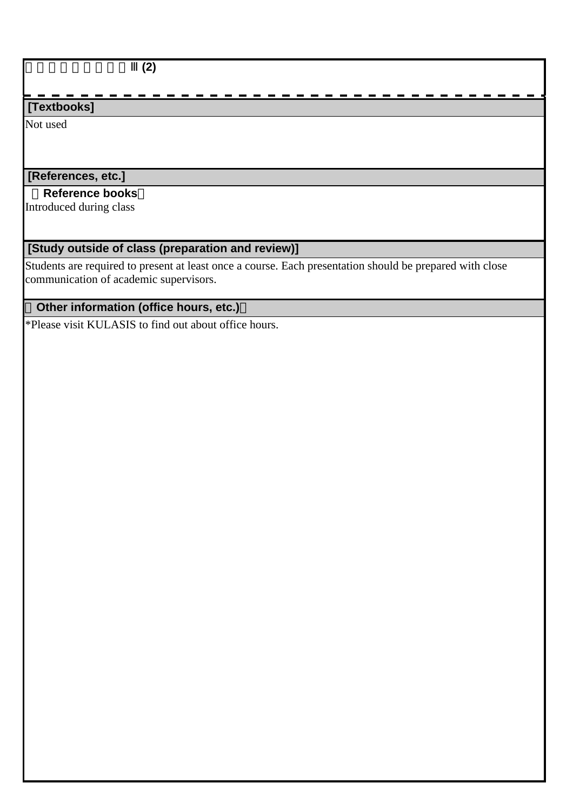$\overline{(2)}$ 

# **[Textbooks]**

Not used

# **[References, etc.]**

### **Reference books**

Introduced during class

# **[Study outside of class (preparation and review)]**

Students are required to present at least once a course. Each presentation should be prepared with close communication of academic supervisors.

# **Other information (office hours, etc.)**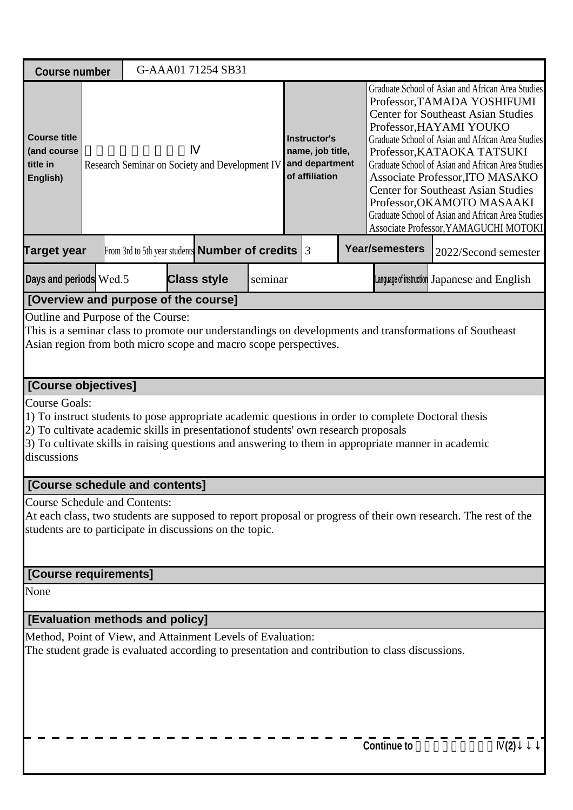| <b>Course number</b>                                                                                                                                                                                                              |  | G-AAA01 71254 SB31                                                                              |         |                                                                      |                                                                                                                                                                                                                                                                                                                                                                                                                                                                                                              |                                                                                                                |  |
|-----------------------------------------------------------------------------------------------------------------------------------------------------------------------------------------------------------------------------------|--|-------------------------------------------------------------------------------------------------|---------|----------------------------------------------------------------------|--------------------------------------------------------------------------------------------------------------------------------------------------------------------------------------------------------------------------------------------------------------------------------------------------------------------------------------------------------------------------------------------------------------------------------------------------------------------------------------------------------------|----------------------------------------------------------------------------------------------------------------|--|
| <b>Course title</b><br>(and course<br>title in<br>English)                                                                                                                                                                        |  | Research Seminar on Society and Development IV                                                  |         | Instructor's<br>name, job title,<br>and department<br>of affiliation | Graduate School of Asian and African Area Studies<br>Professor, TAMADA YOSHIFUMI<br><b>Center for Southeast Asian Studies</b><br>Professor, HAYAMI YOUKO<br>Graduate School of Asian and African Area Studies<br>Professor, KATAOKA TATSUKI<br>Graduate School of Asian and African Area Studies<br>Associate Professor, ITO MASAKO<br><b>Center for Southeast Asian Studies</b><br>Professor, OKAMOTO MASAAKI<br>Graduate School of Asian and African Area Studies<br>Associate Professor, YAMAGUCHI MOTOKI |                                                                                                                |  |
| <b>Target year</b>                                                                                                                                                                                                                |  | From 3rd to 5th year students <b>Number of credits</b> 3                                        |         |                                                                      | <b>Year/semesters</b>                                                                                                                                                                                                                                                                                                                                                                                                                                                                                        | 2022/Second semester                                                                                           |  |
| Days and periods Wed.5                                                                                                                                                                                                            |  | <b>Class style</b>                                                                              | seminar |                                                                      |                                                                                                                                                                                                                                                                                                                                                                                                                                                                                                              | Language of instruction Japanese and English                                                                   |  |
| [Overview and purpose of the course]                                                                                                                                                                                              |  |                                                                                                 |         |                                                                      |                                                                                                                                                                                                                                                                                                                                                                                                                                                                                                              |                                                                                                                |  |
| Outline and Purpose of the Course:<br>Asian region from both micro scope and macro scope perspectives.                                                                                                                            |  |                                                                                                 |         |                                                                      |                                                                                                                                                                                                                                                                                                                                                                                                                                                                                                              | This is a seminar class to promote our understandings on developments and transformations of Southeast         |  |
| [Course objectives]                                                                                                                                                                                                               |  |                                                                                                 |         |                                                                      |                                                                                                                                                                                                                                                                                                                                                                                                                                                                                                              |                                                                                                                |  |
| <b>Course Goals:</b><br>1) To instruct students to pose appropriate academic questions in order to complete Doctoral thesis<br>2) To cultivate academic skills in presentation of students' own research proposals<br>discussions |  |                                                                                                 |         |                                                                      |                                                                                                                                                                                                                                                                                                                                                                                                                                                                                                              | 3) To cultivate skills in raising questions and answering to them in appropriate manner in academic            |  |
| [Course schedule and contents]                                                                                                                                                                                                    |  |                                                                                                 |         |                                                                      |                                                                                                                                                                                                                                                                                                                                                                                                                                                                                                              |                                                                                                                |  |
| <b>Course Schedule and Contents:</b><br>students are to participate in discussions on the topic.                                                                                                                                  |  |                                                                                                 |         |                                                                      |                                                                                                                                                                                                                                                                                                                                                                                                                                                                                                              | At each class, two students are supposed to report proposal or progress of their own research. The rest of the |  |
| [Course requirements]                                                                                                                                                                                                             |  |                                                                                                 |         |                                                                      |                                                                                                                                                                                                                                                                                                                                                                                                                                                                                                              |                                                                                                                |  |
| None                                                                                                                                                                                                                              |  |                                                                                                 |         |                                                                      |                                                                                                                                                                                                                                                                                                                                                                                                                                                                                                              |                                                                                                                |  |
| [Evaluation methods and policy]                                                                                                                                                                                                   |  |                                                                                                 |         |                                                                      |                                                                                                                                                                                                                                                                                                                                                                                                                                                                                                              |                                                                                                                |  |
| Method, Point of View, and Attainment Levels of Evaluation:                                                                                                                                                                       |  | The student grade is evaluated according to presentation and contribution to class discussions. |         |                                                                      |                                                                                                                                                                                                                                                                                                                                                                                                                                                                                                              |                                                                                                                |  |
|                                                                                                                                                                                                                                   |  |                                                                                                 |         |                                                                      | <b>Continue to</b>                                                                                                                                                                                                                                                                                                                                                                                                                                                                                           | (2)                                                                                                            |  |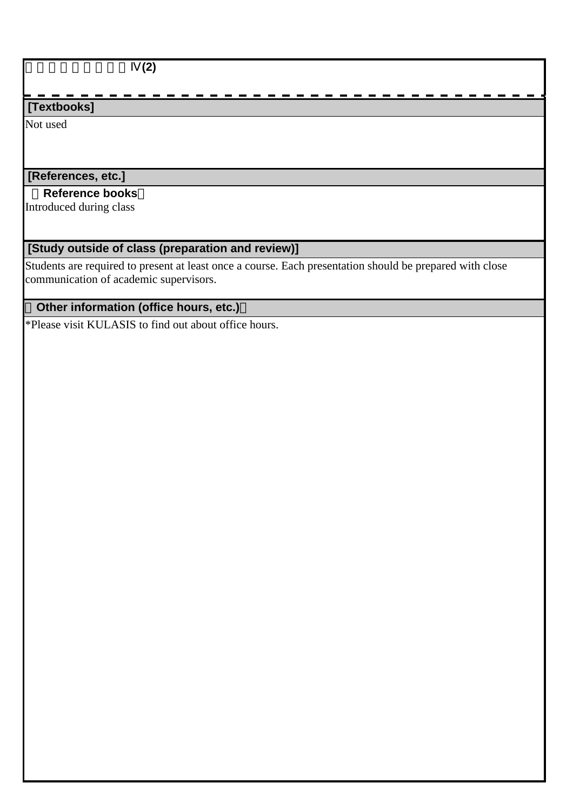$\overline{(2)}$ 

# **[Textbooks]**

Not used

# **[References, etc.]**

### **Reference books**

Introduced during class

# **[Study outside of class (preparation and review)]**

Students are required to present at least once a course. Each presentation should be prepared with close communication of academic supervisors.

# **Other information (office hours, etc.)**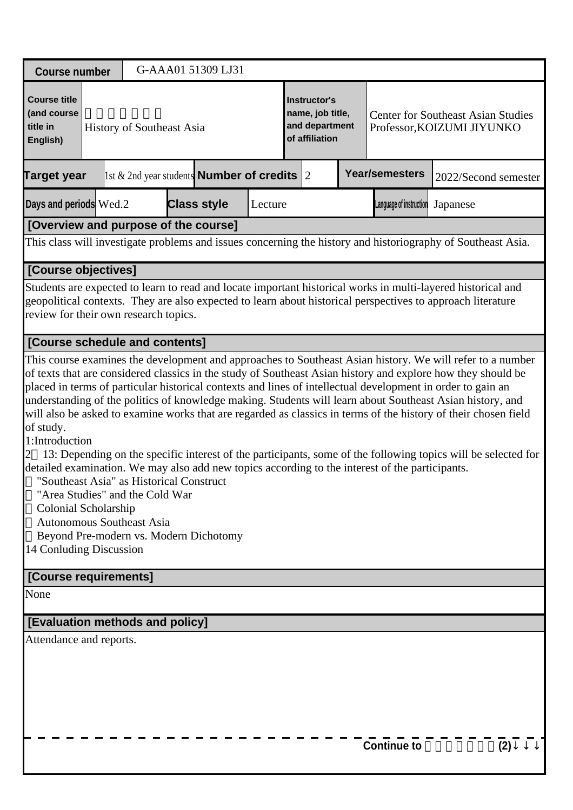| <b>Course number</b>                                                                                                                                                                                                                                                                                                                                                                                                                                                                                                                                                                                                                                                                                                                                                                                          |                                                                      |  |  | G-AAA01 51309 LJ31                                    |  |  |  |  |                                                                         |  |                                                                                                               |
|---------------------------------------------------------------------------------------------------------------------------------------------------------------------------------------------------------------------------------------------------------------------------------------------------------------------------------------------------------------------------------------------------------------------------------------------------------------------------------------------------------------------------------------------------------------------------------------------------------------------------------------------------------------------------------------------------------------------------------------------------------------------------------------------------------------|----------------------------------------------------------------------|--|--|-------------------------------------------------------|--|--|--|--|-------------------------------------------------------------------------|--|---------------------------------------------------------------------------------------------------------------|
| <b>Course title</b><br>(and course<br>title in<br>English)                                                                                                                                                                                                                                                                                                                                                                                                                                                                                                                                                                                                                                                                                                                                                    | History of Southeast Asia                                            |  |  |                                                       |  |  |  |  | <b>Center for Southeast Asian Studies</b><br>Professor, KOIZUMI JIYUNKO |  |                                                                                                               |
| <b>Target year</b>                                                                                                                                                                                                                                                                                                                                                                                                                                                                                                                                                                                                                                                                                                                                                                                            |                                                                      |  |  | 1st $\&$ 2nd year students <b>Number of credits</b> 2 |  |  |  |  | <b>Year/semesters</b><br>2022/Second semester                           |  |                                                                                                               |
| Days and periods Wed.2                                                                                                                                                                                                                                                                                                                                                                                                                                                                                                                                                                                                                                                                                                                                                                                        | <b>Class style</b><br>Lecture<br>Language of instruction<br>Japanese |  |  |                                                       |  |  |  |  |                                                                         |  |                                                                                                               |
| [Overview and purpose of the course]                                                                                                                                                                                                                                                                                                                                                                                                                                                                                                                                                                                                                                                                                                                                                                          |                                                                      |  |  |                                                       |  |  |  |  |                                                                         |  |                                                                                                               |
| This class will investigate problems and issues concerning the history and historiography of Southeast Asia.                                                                                                                                                                                                                                                                                                                                                                                                                                                                                                                                                                                                                                                                                                  |                                                                      |  |  |                                                       |  |  |  |  |                                                                         |  |                                                                                                               |
| [Course objectives]                                                                                                                                                                                                                                                                                                                                                                                                                                                                                                                                                                                                                                                                                                                                                                                           |                                                                      |  |  |                                                       |  |  |  |  |                                                                         |  |                                                                                                               |
| Students are expected to learn to read and locate important historical works in multi-layered historical and<br>geopolitical contexts. They are also expected to learn about historical perspectives to approach literature<br>review for their own research topics.                                                                                                                                                                                                                                                                                                                                                                                                                                                                                                                                          |                                                                      |  |  |                                                       |  |  |  |  |                                                                         |  |                                                                                                               |
| [Course schedule and contents]                                                                                                                                                                                                                                                                                                                                                                                                                                                                                                                                                                                                                                                                                                                                                                                |                                                                      |  |  |                                                       |  |  |  |  |                                                                         |  |                                                                                                               |
| of texts that are considered classics in the study of Southeast Asian history and explore how they should be<br>placed in terms of particular historical contexts and lines of intellectual development in order to gain an<br>understanding of the politics of knowledge making. Students will learn about Southeast Asian history, and<br>will also be asked to examine works that are regarded as classics in terms of the history of their chosen field<br>of study.<br>1:Introduction<br>detailed examination. We may also add new topics according to the interest of the participants.<br>"Southeast Asia" as Historical Construct<br>"Area Studies" and the Cold War<br>Colonial Scholarship<br><b>Autonomous Southeast Asia</b><br>Beyond Pre-modern vs. Modern Dichotomy<br>14 Conluding Discussion |                                                                      |  |  |                                                       |  |  |  |  |                                                                         |  | 13: Depending on the specific interest of the participants, some of the following topics will be selected for |
| [Course requirements]                                                                                                                                                                                                                                                                                                                                                                                                                                                                                                                                                                                                                                                                                                                                                                                         |                                                                      |  |  |                                                       |  |  |  |  |                                                                         |  |                                                                                                               |
| None                                                                                                                                                                                                                                                                                                                                                                                                                                                                                                                                                                                                                                                                                                                                                                                                          |                                                                      |  |  |                                                       |  |  |  |  |                                                                         |  |                                                                                                               |
| [Evaluation methods and policy]                                                                                                                                                                                                                                                                                                                                                                                                                                                                                                                                                                                                                                                                                                                                                                               |                                                                      |  |  |                                                       |  |  |  |  |                                                                         |  |                                                                                                               |
| Attendance and reports.                                                                                                                                                                                                                                                                                                                                                                                                                                                                                                                                                                                                                                                                                                                                                                                       |                                                                      |  |  |                                                       |  |  |  |  |                                                                         |  |                                                                                                               |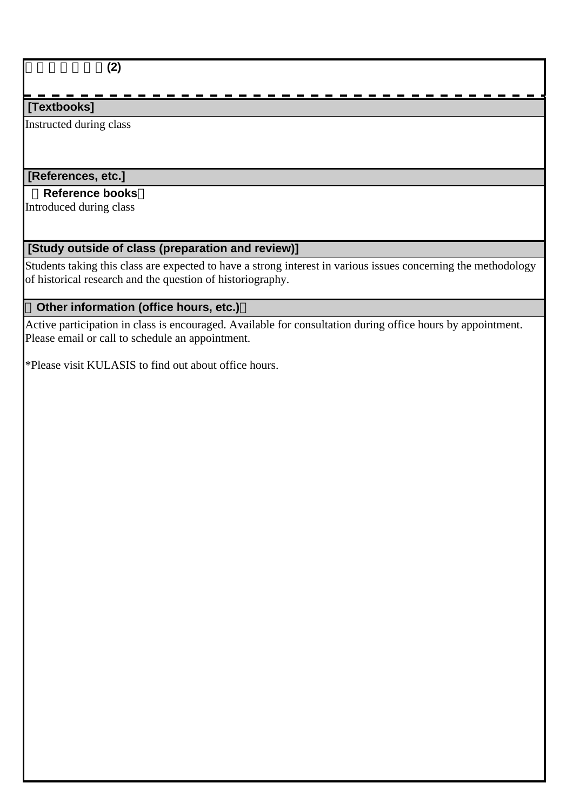東南アジア史論**(2)**

# **[Textbooks]**

Instructed during class

# **[References, etc.]**

### **Reference books**

Introduced during class

# **[Study outside of class (preparation and review)]**

Students taking this class are expected to have a strong interest in various issues concerning the methodology of historical research and the question of historiography.

# **Other information (office hours, etc.)**

Active participation in class is encouraged. Available for consultation during office hours by appointment. Please email or call to schedule an appointment.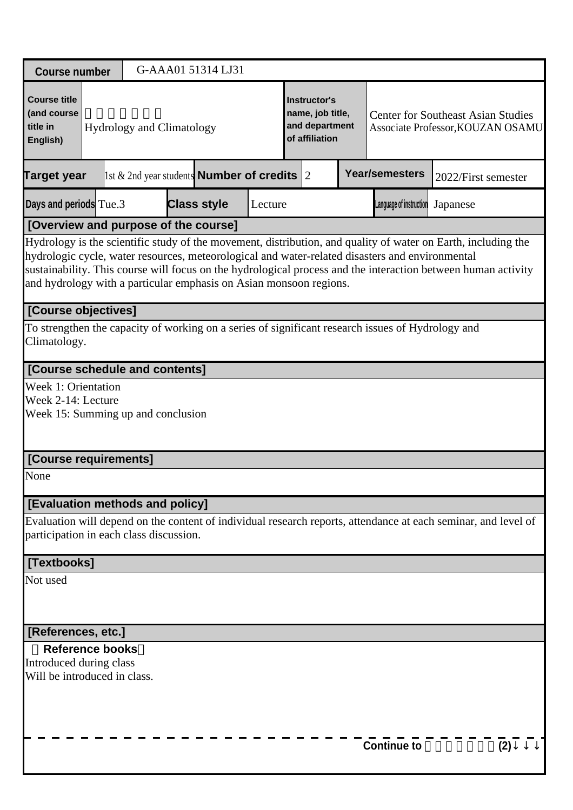| <b>Course number</b>                                                                                                                   |                                                                                 |  | G-AAA01 51314 LJ31                                                                                                                                                                                                                                                                                                                                                                                      |  |  |                                                                      |  |                                                                                |                     |     |  |  |
|----------------------------------------------------------------------------------------------------------------------------------------|---------------------------------------------------------------------------------|--|---------------------------------------------------------------------------------------------------------------------------------------------------------------------------------------------------------------------------------------------------------------------------------------------------------------------------------------------------------------------------------------------------------|--|--|----------------------------------------------------------------------|--|--------------------------------------------------------------------------------|---------------------|-----|--|--|
| <b>Course title</b><br>(and course<br>title in<br>English)                                                                             |                                                                                 |  | <b>Hydrology and Climatology</b>                                                                                                                                                                                                                                                                                                                                                                        |  |  | Instructor's<br>name, job title,<br>and department<br>of affiliation |  | <b>Center for Southeast Asian Studies</b><br>Associate Professor, KOUZAN OSAMU |                     |     |  |  |
| <b>Target year</b>                                                                                                                     |                                                                                 |  | 1st & 2nd year students <b>Number of credits</b> 2                                                                                                                                                                                                                                                                                                                                                      |  |  |                                                                      |  | <b>Year/semesters</b>                                                          | 2022/First semester |     |  |  |
| Days and periods Tue.3<br><b>Class style</b><br>Language of instruction<br>Japanese<br>Lecture<br>[Overview and purpose of the course] |                                                                                 |  |                                                                                                                                                                                                                                                                                                                                                                                                         |  |  |                                                                      |  |                                                                                |                     |     |  |  |
|                                                                                                                                        |                                                                                 |  |                                                                                                                                                                                                                                                                                                                                                                                                         |  |  |                                                                      |  |                                                                                |                     |     |  |  |
|                                                                                                                                        |                                                                                 |  | Hydrology is the scientific study of the movement, distribution, and quality of water on Earth, including the<br>hydrologic cycle, water resources, meteorological and water-related disasters and environmental<br>sustainability. This course will focus on the hydrological process and the interaction between human activity<br>and hydrology with a particular emphasis on Asian monsoon regions. |  |  |                                                                      |  |                                                                                |                     |     |  |  |
| [Course objectives]                                                                                                                    |                                                                                 |  |                                                                                                                                                                                                                                                                                                                                                                                                         |  |  |                                                                      |  |                                                                                |                     |     |  |  |
| Climatology.                                                                                                                           |                                                                                 |  | To strengthen the capacity of working on a series of significant research issues of Hydrology and                                                                                                                                                                                                                                                                                                       |  |  |                                                                      |  |                                                                                |                     |     |  |  |
| [Course schedule and contents]                                                                                                         |                                                                                 |  |                                                                                                                                                                                                                                                                                                                                                                                                         |  |  |                                                                      |  |                                                                                |                     |     |  |  |
|                                                                                                                                        | Week 1: Orientation<br>Week 2-14: Lecture<br>Week 15: Summing up and conclusion |  |                                                                                                                                                                                                                                                                                                                                                                                                         |  |  |                                                                      |  |                                                                                |                     |     |  |  |
| [Course requirements]                                                                                                                  |                                                                                 |  |                                                                                                                                                                                                                                                                                                                                                                                                         |  |  |                                                                      |  |                                                                                |                     |     |  |  |
| None                                                                                                                                   |                                                                                 |  |                                                                                                                                                                                                                                                                                                                                                                                                         |  |  |                                                                      |  |                                                                                |                     |     |  |  |
| [Evaluation methods and policy]                                                                                                        |                                                                                 |  |                                                                                                                                                                                                                                                                                                                                                                                                         |  |  |                                                                      |  |                                                                                |                     |     |  |  |
| participation in each class discussion.                                                                                                |                                                                                 |  | Evaluation will depend on the content of individual research reports, attendance at each seminar, and level of                                                                                                                                                                                                                                                                                          |  |  |                                                                      |  |                                                                                |                     |     |  |  |
| [Textbooks]                                                                                                                            |                                                                                 |  |                                                                                                                                                                                                                                                                                                                                                                                                         |  |  |                                                                      |  |                                                                                |                     |     |  |  |
| Not used                                                                                                                               |                                                                                 |  |                                                                                                                                                                                                                                                                                                                                                                                                         |  |  |                                                                      |  |                                                                                |                     |     |  |  |
| [References, etc.]                                                                                                                     |                                                                                 |  |                                                                                                                                                                                                                                                                                                                                                                                                         |  |  |                                                                      |  |                                                                                |                     |     |  |  |
| <b>Reference books</b>                                                                                                                 |                                                                                 |  |                                                                                                                                                                                                                                                                                                                                                                                                         |  |  |                                                                      |  |                                                                                |                     |     |  |  |
| Introduced during class<br>Will be introduced in class.                                                                                |                                                                                 |  |                                                                                                                                                                                                                                                                                                                                                                                                         |  |  |                                                                      |  |                                                                                |                     |     |  |  |
|                                                                                                                                        |                                                                                 |  |                                                                                                                                                                                                                                                                                                                                                                                                         |  |  |                                                                      |  | <b>Continue to</b>                                                             |                     | (2) |  |  |
|                                                                                                                                        |                                                                                 |  |                                                                                                                                                                                                                                                                                                                                                                                                         |  |  |                                                                      |  |                                                                                |                     |     |  |  |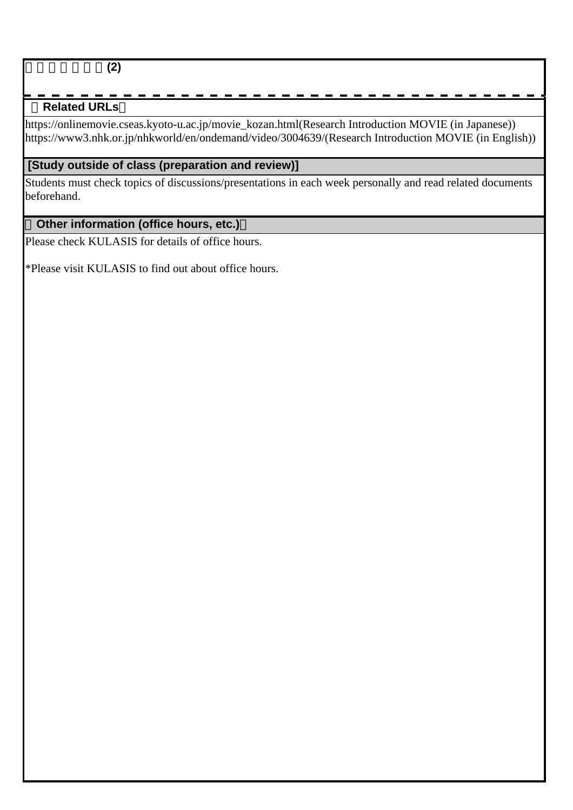### **Related URLs**

https://onlinemovie.cseas.kyoto-u.ac.jp/movie\_kozan.html(Research Introduction MOVIE (in Japanese)) https://www3.nhk.or.jp/nhkworld/en/ondemand/video/3004639/(Research Introduction MOVIE (in English))

### **[Study outside of class (preparation and review)]**

Students must check topics of discussions/presentations in each week personally and read related documents beforehand.

### **Other information (office hours, etc.)**

Please check KULASIS for details of office hours.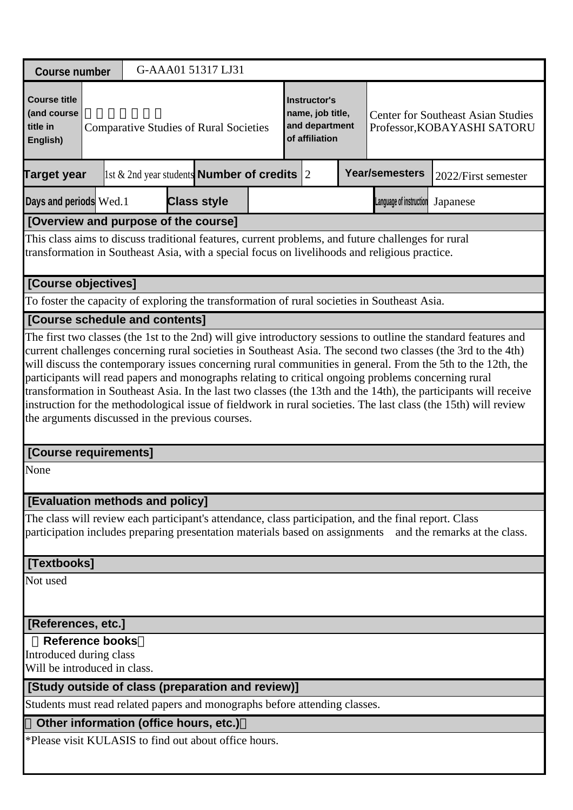| <b>Course number</b>                                                                                                                                                                  |                                                                                                                                                                                                                                                                                                                                                                                                                                                                                                                                                                                                                                                                                                                                                  |  |  |  |  |  |  |  | G-AAA01 51317 LJ31                                     |  |  |  |  |                                                                      |  |                       |                                                                          |
|---------------------------------------------------------------------------------------------------------------------------------------------------------------------------------------|--------------------------------------------------------------------------------------------------------------------------------------------------------------------------------------------------------------------------------------------------------------------------------------------------------------------------------------------------------------------------------------------------------------------------------------------------------------------------------------------------------------------------------------------------------------------------------------------------------------------------------------------------------------------------------------------------------------------------------------------------|--|--|--|--|--|--|--|--------------------------------------------------------|--|--|--|--|----------------------------------------------------------------------|--|-----------------------|--------------------------------------------------------------------------|
| <b>Course title</b><br>(and course<br>title in<br>English)                                                                                                                            | <b>Comparative Studies of Rural Societies</b>                                                                                                                                                                                                                                                                                                                                                                                                                                                                                                                                                                                                                                                                                                    |  |  |  |  |  |  |  |                                                        |  |  |  |  | Instructor's<br>name, job title,<br>and department<br>of affiliation |  |                       | <b>Center for Southeast Asian Studies</b><br>Professor, KOBAYASHI SATORU |
| <b>Target year</b>                                                                                                                                                                    |                                                                                                                                                                                                                                                                                                                                                                                                                                                                                                                                                                                                                                                                                                                                                  |  |  |  |  |  |  |  | 1st & 2nd year students <b>Number of credits</b> $ 2 $ |  |  |  |  |                                                                      |  | <b>Year/semesters</b> | 2022/First semester                                                      |
|                                                                                                                                                                                       | Days and periods Wed.1<br><b>Class style</b><br>Language of instruction<br>Japanese<br>[Overview and purpose of the course]                                                                                                                                                                                                                                                                                                                                                                                                                                                                                                                                                                                                                      |  |  |  |  |  |  |  |                                                        |  |  |  |  |                                                                      |  |                       |                                                                          |
|                                                                                                                                                                                       |                                                                                                                                                                                                                                                                                                                                                                                                                                                                                                                                                                                                                                                                                                                                                  |  |  |  |  |  |  |  |                                                        |  |  |  |  |                                                                      |  |                       |                                                                          |
|                                                                                                                                                                                       | This class aims to discuss traditional features, current problems, and future challenges for rural<br>transformation in Southeast Asia, with a special focus on livelihoods and religious practice.                                                                                                                                                                                                                                                                                                                                                                                                                                                                                                                                              |  |  |  |  |  |  |  |                                                        |  |  |  |  |                                                                      |  |                       |                                                                          |
| [Course objectives]                                                                                                                                                                   |                                                                                                                                                                                                                                                                                                                                                                                                                                                                                                                                                                                                                                                                                                                                                  |  |  |  |  |  |  |  |                                                        |  |  |  |  |                                                                      |  |                       |                                                                          |
| To foster the capacity of exploring the transformation of rural societies in Southeast Asia.                                                                                          |                                                                                                                                                                                                                                                                                                                                                                                                                                                                                                                                                                                                                                                                                                                                                  |  |  |  |  |  |  |  |                                                        |  |  |  |  |                                                                      |  |                       |                                                                          |
| [Course schedule and contents]                                                                                                                                                        |                                                                                                                                                                                                                                                                                                                                                                                                                                                                                                                                                                                                                                                                                                                                                  |  |  |  |  |  |  |  |                                                        |  |  |  |  |                                                                      |  |                       |                                                                          |
|                                                                                                                                                                                       | The first two classes (the 1st to the 2nd) will give introductory sessions to outline the standard features and<br>current challenges concerning rural societies in Southeast Asia. The second two classes (the 3rd to the 4th)<br>will discuss the contemporary issues concerning rural communities in general. From the 5th to the 12th, the<br>participants will read papers and monographs relating to critical ongoing problems concerning rural<br>transformation in Southeast Asia. In the last two classes (the 13th and the 14th), the participants will receive<br>instruction for the methodological issue of fieldwork in rural societies. The last class (the 15th) will review<br>the arguments discussed in the previous courses. |  |  |  |  |  |  |  |                                                        |  |  |  |  |                                                                      |  |                       |                                                                          |
| [Course requirements]                                                                                                                                                                 |                                                                                                                                                                                                                                                                                                                                                                                                                                                                                                                                                                                                                                                                                                                                                  |  |  |  |  |  |  |  |                                                        |  |  |  |  |                                                                      |  |                       |                                                                          |
| None                                                                                                                                                                                  |                                                                                                                                                                                                                                                                                                                                                                                                                                                                                                                                                                                                                                                                                                                                                  |  |  |  |  |  |  |  |                                                        |  |  |  |  |                                                                      |  |                       |                                                                          |
| <b>[Evaluation methods and policy]</b>                                                                                                                                                |                                                                                                                                                                                                                                                                                                                                                                                                                                                                                                                                                                                                                                                                                                                                                  |  |  |  |  |  |  |  |                                                        |  |  |  |  |                                                                      |  |                       |                                                                          |
| The class will review each participant's attendance, class participation, and the final report. Class<br>participation includes preparing presentation materials based on assignments |                                                                                                                                                                                                                                                                                                                                                                                                                                                                                                                                                                                                                                                                                                                                                  |  |  |  |  |  |  |  |                                                        |  |  |  |  |                                                                      |  |                       | and the remarks at the class.                                            |
| [Textbooks]                                                                                                                                                                           |                                                                                                                                                                                                                                                                                                                                                                                                                                                                                                                                                                                                                                                                                                                                                  |  |  |  |  |  |  |  |                                                        |  |  |  |  |                                                                      |  |                       |                                                                          |
| Not used                                                                                                                                                                              |                                                                                                                                                                                                                                                                                                                                                                                                                                                                                                                                                                                                                                                                                                                                                  |  |  |  |  |  |  |  |                                                        |  |  |  |  |                                                                      |  |                       |                                                                          |
| [References, etc.]                                                                                                                                                                    |                                                                                                                                                                                                                                                                                                                                                                                                                                                                                                                                                                                                                                                                                                                                                  |  |  |  |  |  |  |  |                                                        |  |  |  |  |                                                                      |  |                       |                                                                          |
| <b>Reference books</b><br>Introduced during class<br>Will be introduced in class.                                                                                                     |                                                                                                                                                                                                                                                                                                                                                                                                                                                                                                                                                                                                                                                                                                                                                  |  |  |  |  |  |  |  |                                                        |  |  |  |  |                                                                      |  |                       |                                                                          |
| [Study outside of class (preparation and review)]                                                                                                                                     |                                                                                                                                                                                                                                                                                                                                                                                                                                                                                                                                                                                                                                                                                                                                                  |  |  |  |  |  |  |  |                                                        |  |  |  |  |                                                                      |  |                       |                                                                          |
| Students must read related papers and monographs before attending classes.                                                                                                            |                                                                                                                                                                                                                                                                                                                                                                                                                                                                                                                                                                                                                                                                                                                                                  |  |  |  |  |  |  |  |                                                        |  |  |  |  |                                                                      |  |                       |                                                                          |
| Other information (office hours, etc.)                                                                                                                                                |                                                                                                                                                                                                                                                                                                                                                                                                                                                                                                                                                                                                                                                                                                                                                  |  |  |  |  |  |  |  |                                                        |  |  |  |  |                                                                      |  |                       |                                                                          |
| *Please visit KULASIS to find out about office hours.                                                                                                                                 |                                                                                                                                                                                                                                                                                                                                                                                                                                                                                                                                                                                                                                                                                                                                                  |  |  |  |  |  |  |  |                                                        |  |  |  |  |                                                                      |  |                       |                                                                          |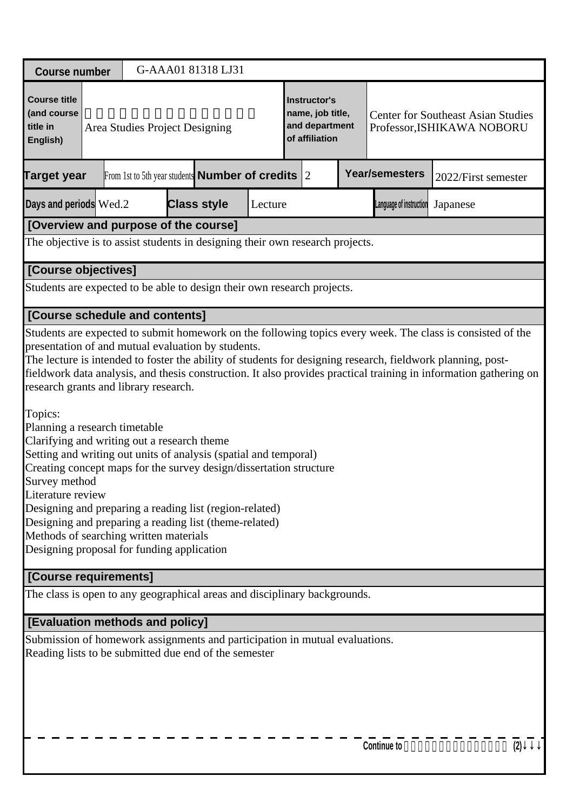| <b>Course number</b>                                                                                                                                                                                                                                                                                                                                                                                                                                                                                                                                                                                                                                                                               |                                                              |                    | G-AAA01 81318 LJ31 |         |                                                                      |  |                         |                                                                                                                                                                                                                                 |  |  |
|----------------------------------------------------------------------------------------------------------------------------------------------------------------------------------------------------------------------------------------------------------------------------------------------------------------------------------------------------------------------------------------------------------------------------------------------------------------------------------------------------------------------------------------------------------------------------------------------------------------------------------------------------------------------------------------------------|--------------------------------------------------------------|--------------------|--------------------|---------|----------------------------------------------------------------------|--|-------------------------|---------------------------------------------------------------------------------------------------------------------------------------------------------------------------------------------------------------------------------|--|--|
| <b>Course title</b><br>(and course<br>title in<br>English)                                                                                                                                                                                                                                                                                                                                                                                                                                                                                                                                                                                                                                         | Area Studies Project Designing                               |                    |                    |         | Instructor's<br>name, job title,<br>and department<br>of affiliation |  |                         | <b>Center for Southeast Asian Studies</b><br>Professor, ISHIKAWA NOBORU                                                                                                                                                         |  |  |
| <b>Target year</b>                                                                                                                                                                                                                                                                                                                                                                                                                                                                                                                                                                                                                                                                                 | From 1st to 5th year students <b>Number of credits</b> $ 2 $ |                    |                    |         |                                                                      |  | <b>Year/semesters</b>   | 2022/First semester                                                                                                                                                                                                             |  |  |
| Days and periods Wed.2                                                                                                                                                                                                                                                                                                                                                                                                                                                                                                                                                                                                                                                                             |                                                              | <b>Class style</b> |                    | Lecture |                                                                      |  | Language of instruction | Japanese                                                                                                                                                                                                                        |  |  |
| [Overview and purpose of the course]                                                                                                                                                                                                                                                                                                                                                                                                                                                                                                                                                                                                                                                               |                                                              |                    |                    |         |                                                                      |  |                         |                                                                                                                                                                                                                                 |  |  |
| The objective is to assist students in designing their own research projects.                                                                                                                                                                                                                                                                                                                                                                                                                                                                                                                                                                                                                      |                                                              |                    |                    |         |                                                                      |  |                         |                                                                                                                                                                                                                                 |  |  |
| [Course objectives]                                                                                                                                                                                                                                                                                                                                                                                                                                                                                                                                                                                                                                                                                |                                                              |                    |                    |         |                                                                      |  |                         |                                                                                                                                                                                                                                 |  |  |
| Students are expected to be able to design their own research projects.                                                                                                                                                                                                                                                                                                                                                                                                                                                                                                                                                                                                                            |                                                              |                    |                    |         |                                                                      |  |                         |                                                                                                                                                                                                                                 |  |  |
| [Course schedule and contents]                                                                                                                                                                                                                                                                                                                                                                                                                                                                                                                                                                                                                                                                     |                                                              |                    |                    |         |                                                                      |  |                         |                                                                                                                                                                                                                                 |  |  |
| presentation of and mutual evaluation by students.<br>The lecture is intended to foster the ability of students for designing research, fieldwork planning, post-<br>research grants and library research.<br>Topics:<br>Planning a research timetable<br>Clarifying and writing out a research theme<br>Setting and writing out units of analysis (spatial and temporal)<br>Creating concept maps for the survey design/dissertation structure<br>Survey method<br>Literature review<br>Designing and preparing a reading list (region-related)<br>Designing and preparing a reading list (theme-related)<br>Methods of searching written materials<br>Designing proposal for funding application |                                                              |                    |                    |         |                                                                      |  |                         | Students are expected to submit homework on the following topics every week. The class is consisted of the<br>fieldwork data analysis, and thesis construction. It also provides practical training in information gathering on |  |  |
| [Course requirements]                                                                                                                                                                                                                                                                                                                                                                                                                                                                                                                                                                                                                                                                              |                                                              |                    |                    |         |                                                                      |  |                         |                                                                                                                                                                                                                                 |  |  |
| The class is open to any geographical areas and disciplinary backgrounds.                                                                                                                                                                                                                                                                                                                                                                                                                                                                                                                                                                                                                          |                                                              |                    |                    |         |                                                                      |  |                         |                                                                                                                                                                                                                                 |  |  |
| [Evaluation methods and policy]                                                                                                                                                                                                                                                                                                                                                                                                                                                                                                                                                                                                                                                                    |                                                              |                    |                    |         |                                                                      |  |                         |                                                                                                                                                                                                                                 |  |  |
| Submission of homework assignments and participation in mutual evaluations.<br>Reading lists to be submitted due end of the semester                                                                                                                                                                                                                                                                                                                                                                                                                                                                                                                                                               |                                                              |                    |                    |         |                                                                      |  | <b>Continue to</b>      | (2)                                                                                                                                                                                                                             |  |  |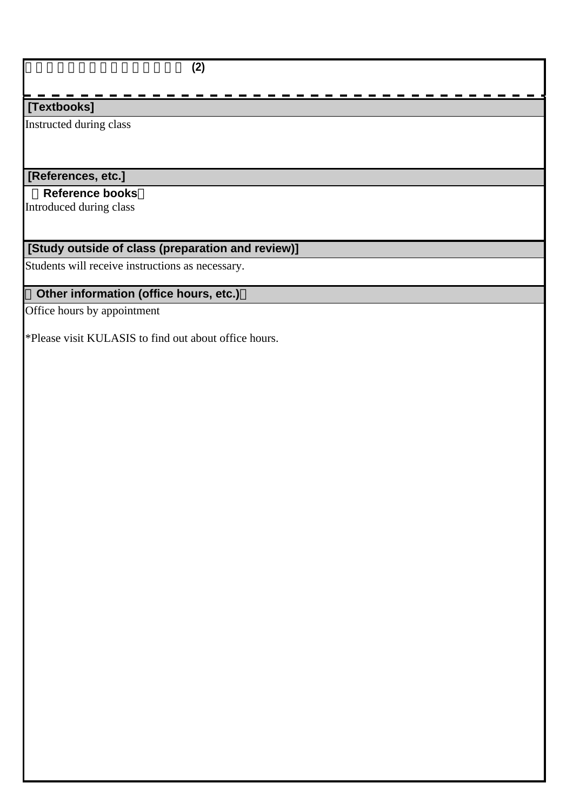### 地域研究プロジェクト・デザイン **(2)**

### **[Textbooks]**

Instructed during class

# **[References, etc.]**

### **Reference books**

Introduced during class

# **[Study outside of class (preparation and review)]**

Students will receive instructions as necessary.

# **Other information (office hours, etc.)**

Office hours by appointment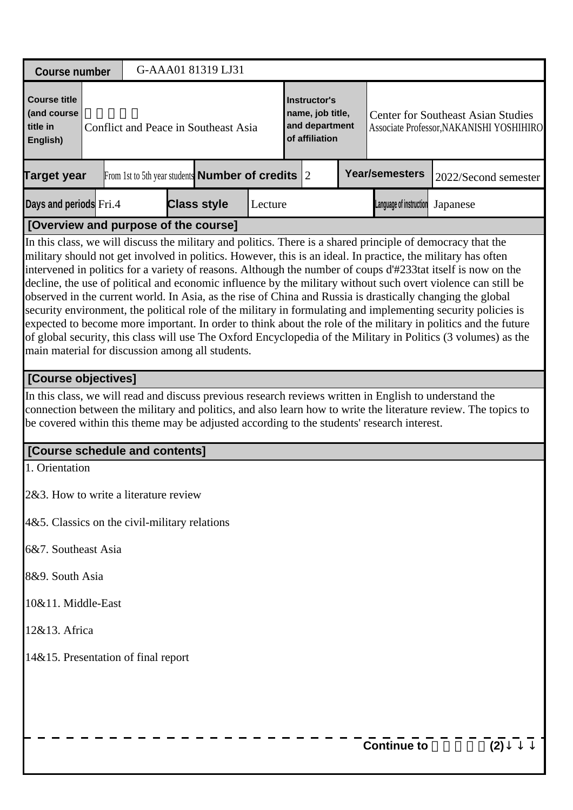| <b>Course number</b>                                                                                                                                                                                                                                                                                                                                                                          | G-AAA01 81319 LJ31                                           |         |                                                                      |                         |                                                                                                                                                                                                                                                                                                                                                                                                                                                                                                                                                                                    |
|-----------------------------------------------------------------------------------------------------------------------------------------------------------------------------------------------------------------------------------------------------------------------------------------------------------------------------------------------------------------------------------------------|--------------------------------------------------------------|---------|----------------------------------------------------------------------|-------------------------|------------------------------------------------------------------------------------------------------------------------------------------------------------------------------------------------------------------------------------------------------------------------------------------------------------------------------------------------------------------------------------------------------------------------------------------------------------------------------------------------------------------------------------------------------------------------------------|
| <b>Course title</b><br>(and course<br>title in<br>English)                                                                                                                                                                                                                                                                                                                                    | Conflict and Peace in Southeast Asia                         |         | Instructor's<br>name, job title,<br>and department<br>of affiliation |                         | <b>Center for Southeast Asian Studies</b><br>Associate Professor, NAKANISHI YOSHIHIRO                                                                                                                                                                                                                                                                                                                                                                                                                                                                                              |
| <b>Target year</b>                                                                                                                                                                                                                                                                                                                                                                            | From 1st to 5th year students <b>Number of credits</b> $ 2 $ |         |                                                                      | <b>Year/semesters</b>   | 2022/Second semester                                                                                                                                                                                                                                                                                                                                                                                                                                                                                                                                                               |
| Days and periods Fri.4                                                                                                                                                                                                                                                                                                                                                                        | <b>Class style</b>                                           | Lecture |                                                                      | Language of instruction | Japanese                                                                                                                                                                                                                                                                                                                                                                                                                                                                                                                                                                           |
| [Overview and purpose of the course]                                                                                                                                                                                                                                                                                                                                                          |                                                              |         |                                                                      |                         |                                                                                                                                                                                                                                                                                                                                                                                                                                                                                                                                                                                    |
| In this class, we will discuss the military and politics. There is a shared principle of democracy that the<br>military should not get involved in politics. However, this is an ideal. In practice, the military has often<br>observed in the current world. In Asia, as the rise of China and Russia is drastically changing the global<br>main material for discussion among all students. |                                                              |         |                                                                      |                         | intervened in politics for a variety of reasons. Although the number of coups d'#233tat itself is now on the<br>decline, the use of political and economic influence by the military without such overt violence can still be<br>security environment, the political role of the military in formulating and implementing security policies is<br>expected to become more important. In order to think about the role of the military in politics and the future<br>of global security, this class will use The Oxford Encyclopedia of the Military in Politics (3 volumes) as the |
| [Course objectives]                                                                                                                                                                                                                                                                                                                                                                           |                                                              |         |                                                                      |                         |                                                                                                                                                                                                                                                                                                                                                                                                                                                                                                                                                                                    |
| In this class, we will read and discuss previous research reviews written in English to understand the<br>be covered within this theme may be adjusted according to the students' research interest.                                                                                                                                                                                          |                                                              |         |                                                                      |                         | connection between the military and politics, and also learn how to write the literature review. The topics to                                                                                                                                                                                                                                                                                                                                                                                                                                                                     |
| [Course schedule and contents]                                                                                                                                                                                                                                                                                                                                                                |                                                              |         |                                                                      |                         |                                                                                                                                                                                                                                                                                                                                                                                                                                                                                                                                                                                    |
| 1. Orientation                                                                                                                                                                                                                                                                                                                                                                                |                                                              |         |                                                                      |                         |                                                                                                                                                                                                                                                                                                                                                                                                                                                                                                                                                                                    |
| 2&3. How to write a literature review                                                                                                                                                                                                                                                                                                                                                         |                                                              |         |                                                                      |                         |                                                                                                                                                                                                                                                                                                                                                                                                                                                                                                                                                                                    |
| $4&5$ . Classics on the civil-military relations                                                                                                                                                                                                                                                                                                                                              |                                                              |         |                                                                      |                         |                                                                                                                                                                                                                                                                                                                                                                                                                                                                                                                                                                                    |
| 6&7. Southeast Asia                                                                                                                                                                                                                                                                                                                                                                           |                                                              |         |                                                                      |                         |                                                                                                                                                                                                                                                                                                                                                                                                                                                                                                                                                                                    |
| 8&9. South Asia                                                                                                                                                                                                                                                                                                                                                                               |                                                              |         |                                                                      |                         |                                                                                                                                                                                                                                                                                                                                                                                                                                                                                                                                                                                    |
| 10&11. Middle-East                                                                                                                                                                                                                                                                                                                                                                            |                                                              |         |                                                                      |                         |                                                                                                                                                                                                                                                                                                                                                                                                                                                                                                                                                                                    |
| 12&13. Africa                                                                                                                                                                                                                                                                                                                                                                                 |                                                              |         |                                                                      |                         |                                                                                                                                                                                                                                                                                                                                                                                                                                                                                                                                                                                    |
| 14&15. Presentation of final report                                                                                                                                                                                                                                                                                                                                                           |                                                              |         |                                                                      |                         |                                                                                                                                                                                                                                                                                                                                                                                                                                                                                                                                                                                    |
|                                                                                                                                                                                                                                                                                                                                                                                               |                                                              |         |                                                                      | <b>Continue to</b>      | (2)                                                                                                                                                                                                                                                                                                                                                                                                                                                                                                                                                                                |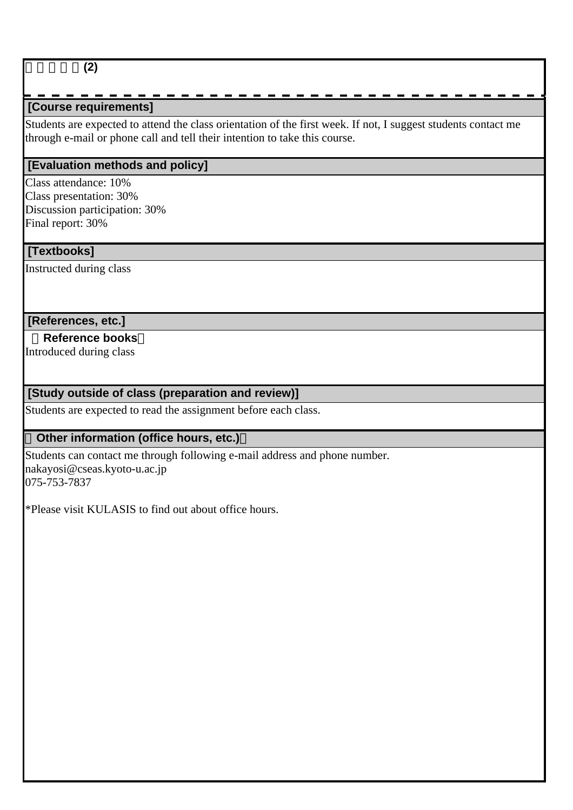### 紛争と平和**(2)**

# **[Course requirements]**

Students are expected to attend the class orientation of the first week. If not, I suggest students contact me through e-mail or phone call and tell their intention to take this course.

#### **[Evaluation methods and policy]**

Class attendance: 10% Class presentation: 30% Discussion participation: 30% Final report: 30%

#### **[Textbooks]**

Instructed during class

#### **[References, etc.]**

# **Reference books**

Introduced during class

### **[Study outside of class (preparation and review)]**

Students are expected to read the assignment before each class.

#### **Other information (office hours, etc.)**

Students can contact me through following e-mail address and phone number. nakayosi@cseas.kyoto-u.ac.jp 075-753-7837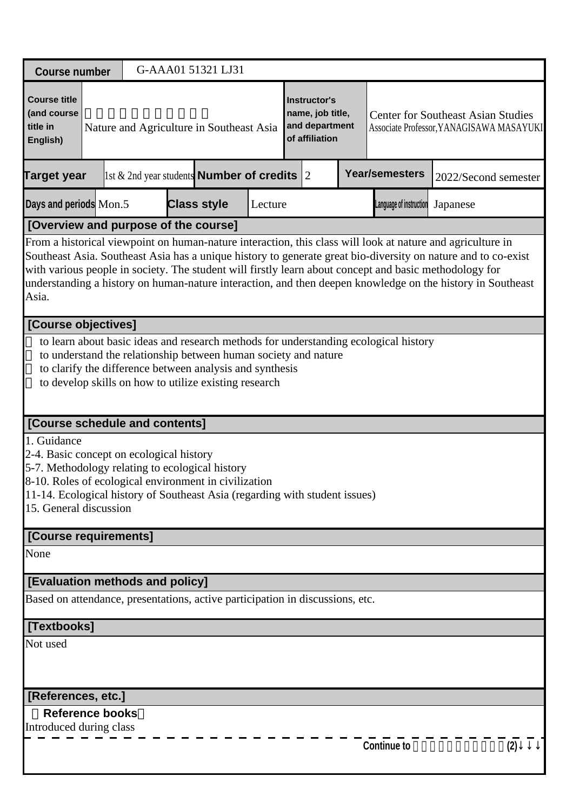| <b>Course number</b>                                                                                                                                                                                                                                                                                                                                                                                                                                                                                                        |  |                                                                                                                                                                                      |  | G-AAA01 51321 LJ31 |         |  |                                                                      |  |                                                                                      |                                                                                       |  |
|-----------------------------------------------------------------------------------------------------------------------------------------------------------------------------------------------------------------------------------------------------------------------------------------------------------------------------------------------------------------------------------------------------------------------------------------------------------------------------------------------------------------------------|--|--------------------------------------------------------------------------------------------------------------------------------------------------------------------------------------|--|--------------------|---------|--|----------------------------------------------------------------------|--|--------------------------------------------------------------------------------------|---------------------------------------------------------------------------------------|--|
| <b>Course title</b><br>(and course<br>title in<br>English)                                                                                                                                                                                                                                                                                                                                                                                                                                                                  |  | Nature and Agriculture in Southeast Asia                                                                                                                                             |  |                    |         |  | Instructor's<br>name, job title,<br>and department<br>of affiliation |  |                                                                                      | <b>Center for Southeast Asian Studies</b><br>Associate Professor, YANAGISAWA MASAYUKI |  |
| <b>Target year</b>                                                                                                                                                                                                                                                                                                                                                                                                                                                                                                          |  | 1st & 2nd year students <b>Number of credits</b> $ 2 $                                                                                                                               |  |                    |         |  |                                                                      |  | <b>Year/semesters</b>                                                                | 2022/Second semester                                                                  |  |
| Days and periods Mon.5                                                                                                                                                                                                                                                                                                                                                                                                                                                                                                      |  |                                                                                                                                                                                      |  | <b>Class style</b> | Lecture |  |                                                                      |  | Language of instruction                                                              | Japanese                                                                              |  |
|                                                                                                                                                                                                                                                                                                                                                                                                                                                                                                                             |  |                                                                                                                                                                                      |  |                    |         |  |                                                                      |  |                                                                                      |                                                                                       |  |
| [Overview and purpose of the course]<br>From a historical viewpoint on human-nature interaction, this class will look at nature and agriculture in<br>Southeast Asia. Southeast Asia has a unique history to generate great bio-diversity on nature and to co-exist<br>with various people in society. The student will firstly learn about concept and basic methodology for<br>understanding a history on human-nature interaction, and then deepen knowledge on the history in Southeast<br>Asia.<br>[Course objectives] |  |                                                                                                                                                                                      |  |                    |         |  |                                                                      |  |                                                                                      |                                                                                       |  |
|                                                                                                                                                                                                                                                                                                                                                                                                                                                                                                                             |  |                                                                                                                                                                                      |  |                    |         |  |                                                                      |  |                                                                                      |                                                                                       |  |
|                                                                                                                                                                                                                                                                                                                                                                                                                                                                                                                             |  | to understand the relationship between human society and nature<br>to clarify the difference between analysis and synthesis<br>to develop skills on how to utilize existing research |  |                    |         |  |                                                                      |  | to learn about basic ideas and research methods for understanding ecological history |                                                                                       |  |
| [Course schedule and contents]                                                                                                                                                                                                                                                                                                                                                                                                                                                                                              |  |                                                                                                                                                                                      |  |                    |         |  |                                                                      |  |                                                                                      |                                                                                       |  |
| 1. Guidance<br>2-4. Basic concept on ecological history<br>5-7. Methodology relating to ecological history<br>8-10. Roles of ecological environment in civilization<br>11-14. Ecological history of Southeast Asia (regarding with student issues)<br>15. General discussion                                                                                                                                                                                                                                                |  |                                                                                                                                                                                      |  |                    |         |  |                                                                      |  |                                                                                      |                                                                                       |  |
| [Course requirements]                                                                                                                                                                                                                                                                                                                                                                                                                                                                                                       |  |                                                                                                                                                                                      |  |                    |         |  |                                                                      |  |                                                                                      |                                                                                       |  |
| None                                                                                                                                                                                                                                                                                                                                                                                                                                                                                                                        |  |                                                                                                                                                                                      |  |                    |         |  |                                                                      |  |                                                                                      |                                                                                       |  |
| [Evaluation methods and policy]                                                                                                                                                                                                                                                                                                                                                                                                                                                                                             |  |                                                                                                                                                                                      |  |                    |         |  |                                                                      |  |                                                                                      |                                                                                       |  |
| Based on attendance, presentations, active participation in discussions, etc.                                                                                                                                                                                                                                                                                                                                                                                                                                               |  |                                                                                                                                                                                      |  |                    |         |  |                                                                      |  |                                                                                      |                                                                                       |  |
| [Textbooks]                                                                                                                                                                                                                                                                                                                                                                                                                                                                                                                 |  |                                                                                                                                                                                      |  |                    |         |  |                                                                      |  |                                                                                      |                                                                                       |  |
| Not used                                                                                                                                                                                                                                                                                                                                                                                                                                                                                                                    |  |                                                                                                                                                                                      |  |                    |         |  |                                                                      |  |                                                                                      |                                                                                       |  |
| [References, etc.]                                                                                                                                                                                                                                                                                                                                                                                                                                                                                                          |  |                                                                                                                                                                                      |  |                    |         |  |                                                                      |  |                                                                                      |                                                                                       |  |
| <b>Reference books</b><br>Introduced during class                                                                                                                                                                                                                                                                                                                                                                                                                                                                           |  |                                                                                                                                                                                      |  |                    |         |  |                                                                      |  | <b>Continue to</b>                                                                   | (2)                                                                                   |  |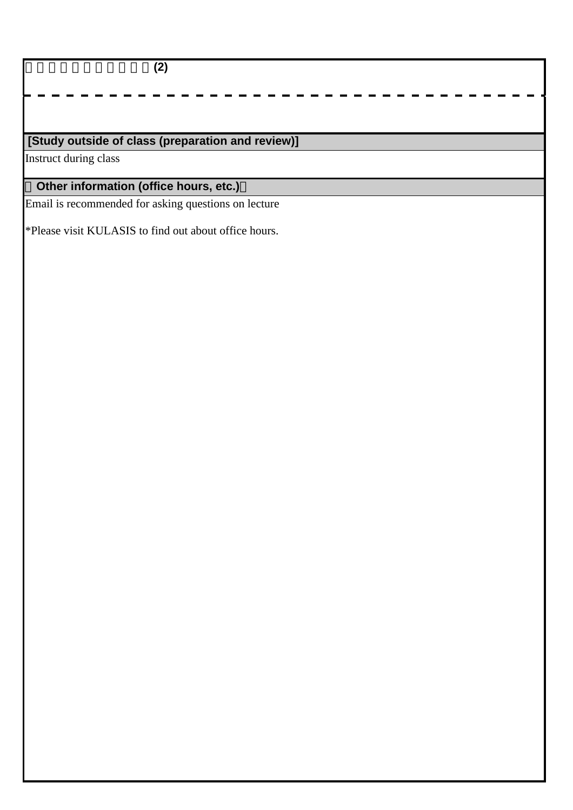東南アジアの農業・農村**(2)**

# **[Study outside of class (preparation and review)]**

Instruct during class

# **Other information (office hours, etc.)**

Email is recommended for asking questions on lecture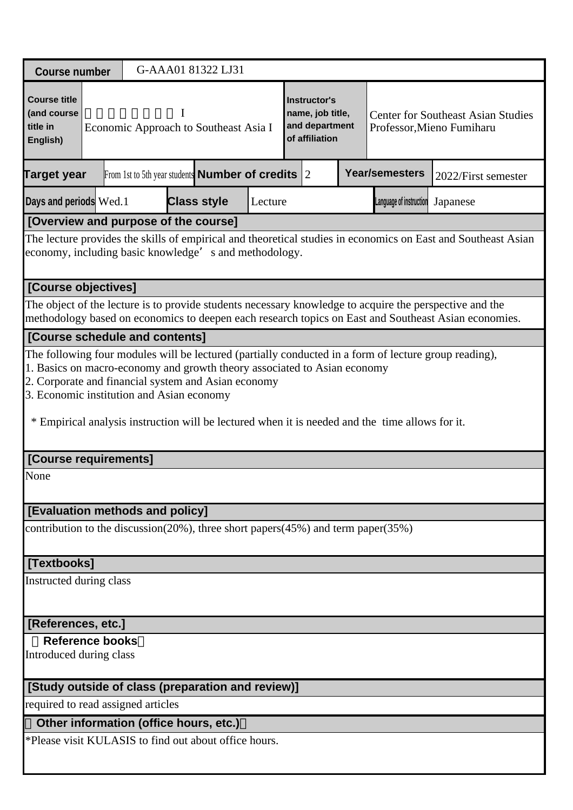| <b>Course number</b>                                                                                                                                                   |                                                                                                                                                                                                |  |  |  | G-AAA01 81322 LJ31                                           |         |  |  |  |                                                                                                 |                                                                                                                                                                                                                 |
|------------------------------------------------------------------------------------------------------------------------------------------------------------------------|------------------------------------------------------------------------------------------------------------------------------------------------------------------------------------------------|--|--|--|--------------------------------------------------------------|---------|--|--|--|-------------------------------------------------------------------------------------------------|-----------------------------------------------------------------------------------------------------------------------------------------------------------------------------------------------------------------|
| <b>Course title</b><br>(and course<br>title in<br>English)                                                                                                             | <b>Instructor's</b><br>name, job title,<br><b>Center for Southeast Asian Studies</b><br>and department<br>Economic Approach to Southeast Asia I<br>Professor, Mieno Fumiharu<br>of affiliation |  |  |  |                                                              |         |  |  |  |                                                                                                 |                                                                                                                                                                                                                 |
| Target year                                                                                                                                                            |                                                                                                                                                                                                |  |  |  | From 1st to 5th year students <b>Number of credits</b> $ 2 $ |         |  |  |  | <b>Year/semesters</b>                                                                           | 2022/First semester                                                                                                                                                                                             |
| Days and periods Wed.1                                                                                                                                                 |                                                                                                                                                                                                |  |  |  | <b>Class style</b>                                           | Lecture |  |  |  | Language of instruction                                                                         | Japanese                                                                                                                                                                                                        |
| [Overview and purpose of the course]                                                                                                                                   |                                                                                                                                                                                                |  |  |  |                                                              |         |  |  |  |                                                                                                 |                                                                                                                                                                                                                 |
| The lecture provides the skills of empirical and theoretical studies in economics on East and Southeast Asian<br>economy, including basic knowledge's and methodology. |                                                                                                                                                                                                |  |  |  |                                                              |         |  |  |  |                                                                                                 |                                                                                                                                                                                                                 |
| [Course objectives]                                                                                                                                                    |                                                                                                                                                                                                |  |  |  |                                                              |         |  |  |  |                                                                                                 |                                                                                                                                                                                                                 |
|                                                                                                                                                                        |                                                                                                                                                                                                |  |  |  |                                                              |         |  |  |  |                                                                                                 | The object of the lecture is to provide students necessary knowledge to acquire the perspective and the<br>methodology based on economics to deepen each research topics on East and Southeast Asian economies. |
| [Course schedule and contents]                                                                                                                                         |                                                                                                                                                                                                |  |  |  |                                                              |         |  |  |  |                                                                                                 |                                                                                                                                                                                                                 |
| 2. Corporate and financial system and Asian economy<br>3. Economic institution and Asian economy                                                                       |                                                                                                                                                                                                |  |  |  |                                                              |         |  |  |  | * Empirical analysis instruction will be lectured when it is needed and the time allows for it. |                                                                                                                                                                                                                 |
| [Course requirements]                                                                                                                                                  |                                                                                                                                                                                                |  |  |  |                                                              |         |  |  |  |                                                                                                 |                                                                                                                                                                                                                 |
| None                                                                                                                                                                   |                                                                                                                                                                                                |  |  |  |                                                              |         |  |  |  |                                                                                                 |                                                                                                                                                                                                                 |
| [Evaluation methods and policy]                                                                                                                                        |                                                                                                                                                                                                |  |  |  |                                                              |         |  |  |  |                                                                                                 |                                                                                                                                                                                                                 |
| contribution to the discussion $(20\%)$ , three short papers $(45\%)$ and term paper $(35\%)$                                                                          |                                                                                                                                                                                                |  |  |  |                                                              |         |  |  |  |                                                                                                 |                                                                                                                                                                                                                 |
| [Textbooks]                                                                                                                                                            |                                                                                                                                                                                                |  |  |  |                                                              |         |  |  |  |                                                                                                 |                                                                                                                                                                                                                 |
| Instructed during class                                                                                                                                                |                                                                                                                                                                                                |  |  |  |                                                              |         |  |  |  |                                                                                                 |                                                                                                                                                                                                                 |
| [References, etc.]                                                                                                                                                     |                                                                                                                                                                                                |  |  |  |                                                              |         |  |  |  |                                                                                                 |                                                                                                                                                                                                                 |
| <b>Reference books</b>                                                                                                                                                 |                                                                                                                                                                                                |  |  |  |                                                              |         |  |  |  |                                                                                                 |                                                                                                                                                                                                                 |
|                                                                                                                                                                        | Introduced during class                                                                                                                                                                        |  |  |  |                                                              |         |  |  |  |                                                                                                 |                                                                                                                                                                                                                 |
| [Study outside of class (preparation and review)]                                                                                                                      |                                                                                                                                                                                                |  |  |  |                                                              |         |  |  |  |                                                                                                 |                                                                                                                                                                                                                 |
| required to read assigned articles                                                                                                                                     |                                                                                                                                                                                                |  |  |  |                                                              |         |  |  |  |                                                                                                 |                                                                                                                                                                                                                 |
| Other information (office hours, etc.)                                                                                                                                 |                                                                                                                                                                                                |  |  |  |                                                              |         |  |  |  |                                                                                                 |                                                                                                                                                                                                                 |
| *Please visit KULASIS to find out about office hours.                                                                                                                  |                                                                                                                                                                                                |  |  |  |                                                              |         |  |  |  |                                                                                                 |                                                                                                                                                                                                                 |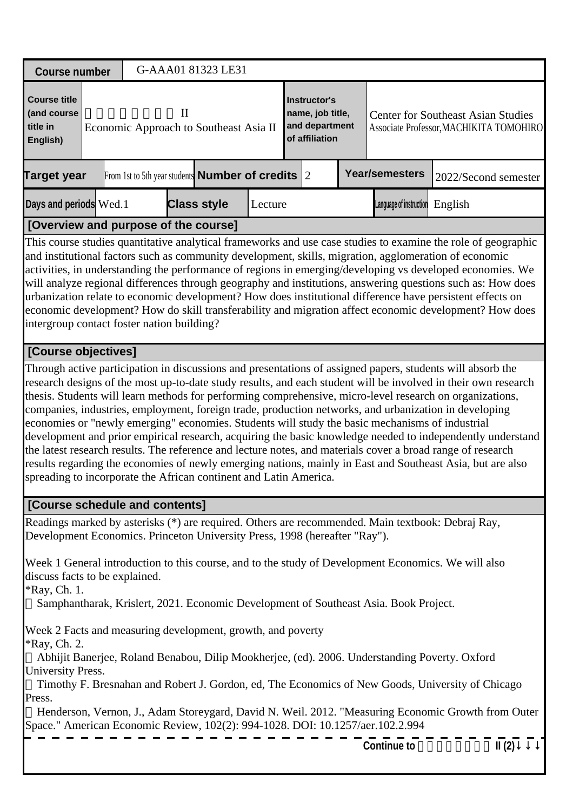| <b>Course number</b>                                                                                                                                                                                                                                                                                                                                                                                                                                                                                                                                                                                   |                                                                                                                                                                                                                                                                                                                                                                                                                                                                                                                                                                                                                                                                                                                                                                                                                                                                                                                                                                                             |  |  | G-AAA01 81323 LE31                                     |         |  |                |  |                                                                                                               |         |                      |  |
|--------------------------------------------------------------------------------------------------------------------------------------------------------------------------------------------------------------------------------------------------------------------------------------------------------------------------------------------------------------------------------------------------------------------------------------------------------------------------------------------------------------------------------------------------------------------------------------------------------|---------------------------------------------------------------------------------------------------------------------------------------------------------------------------------------------------------------------------------------------------------------------------------------------------------------------------------------------------------------------------------------------------------------------------------------------------------------------------------------------------------------------------------------------------------------------------------------------------------------------------------------------------------------------------------------------------------------------------------------------------------------------------------------------------------------------------------------------------------------------------------------------------------------------------------------------------------------------------------------------|--|--|--------------------------------------------------------|---------|--|----------------|--|---------------------------------------------------------------------------------------------------------------|---------|----------------------|--|
|                                                                                                                                                                                                                                                                                                                                                                                                                                                                                                                                                                                                        |                                                                                                                                                                                                                                                                                                                                                                                                                                                                                                                                                                                                                                                                                                                                                                                                                                                                                                                                                                                             |  |  |                                                        |         |  |                |  |                                                                                                               |         |                      |  |
| <b>Course title</b><br>(and course<br>title in<br>English)                                                                                                                                                                                                                                                                                                                                                                                                                                                                                                                                             | <b>Instructor's</b><br>$\mathbf{I}$<br>name, job title,<br><b>Center for Southeast Asian Studies</b><br>and department<br>Economic Approach to Southeast Asia II<br>Associate Professor, MACHIKITA TOMOHIRO<br>of affiliation                                                                                                                                                                                                                                                                                                                                                                                                                                                                                                                                                                                                                                                                                                                                                               |  |  |                                                        |         |  |                |  |                                                                                                               |         |                      |  |
| <b>Target year</b>                                                                                                                                                                                                                                                                                                                                                                                                                                                                                                                                                                                     |                                                                                                                                                                                                                                                                                                                                                                                                                                                                                                                                                                                                                                                                                                                                                                                                                                                                                                                                                                                             |  |  | From 1st to 5th year students <b>Number of credits</b> |         |  | $\overline{2}$ |  | <b>Year/semesters</b>                                                                                         |         | 2022/Second semester |  |
| Days and periods Wed.1                                                                                                                                                                                                                                                                                                                                                                                                                                                                                                                                                                                 |                                                                                                                                                                                                                                                                                                                                                                                                                                                                                                                                                                                                                                                                                                                                                                                                                                                                                                                                                                                             |  |  | <b>Class style</b>                                     | Lecture |  |                |  | Language of instruction                                                                                       | English |                      |  |
| [Overview and purpose of the course]                                                                                                                                                                                                                                                                                                                                                                                                                                                                                                                                                                   |                                                                                                                                                                                                                                                                                                                                                                                                                                                                                                                                                                                                                                                                                                                                                                                                                                                                                                                                                                                             |  |  |                                                        |         |  |                |  |                                                                                                               |         |                      |  |
| and institutional factors such as community development, skills, migration, agglomeration of economic<br>activities, in understanding the performance of regions in emerging/developing vs developed economies. We<br>will analyze regional differences through geography and institutions, answering questions such as: How does<br>urbanization relate to economic development? How does institutional difference have persistent effects on<br>economic development? How do skill transferability and migration affect economic development? How does<br>intergroup contact foster nation building? |                                                                                                                                                                                                                                                                                                                                                                                                                                                                                                                                                                                                                                                                                                                                                                                                                                                                                                                                                                                             |  |  |                                                        |         |  |                |  | This course studies quantitative analytical frameworks and use case studies to examine the role of geographic |         |                      |  |
|                                                                                                                                                                                                                                                                                                                                                                                                                                                                                                                                                                                                        |                                                                                                                                                                                                                                                                                                                                                                                                                                                                                                                                                                                                                                                                                                                                                                                                                                                                                                                                                                                             |  |  |                                                        |         |  |                |  |                                                                                                               |         |                      |  |
|                                                                                                                                                                                                                                                                                                                                                                                                                                                                                                                                                                                                        | [Course objectives]<br>Through active participation in discussions and presentations of assigned papers, students will absorb the<br>research designs of the most up-to-date study results, and each student will be involved in their own research<br>thesis. Students will learn methods for performing comprehensive, micro-level research on organizations,<br>companies, industries, employment, foreign trade, production networks, and urbanization in developing<br>economies or "newly emerging" economies. Students will study the basic mechanisms of industrial<br>development and prior empirical research, acquiring the basic knowledge needed to independently understand<br>the latest research results. The reference and lecture notes, and materials cover a broad range of research<br>results regarding the economies of newly emerging nations, mainly in East and Southeast Asia, but are also<br>spreading to incorporate the African continent and Latin America. |  |  |                                                        |         |  |                |  |                                                                                                               |         |                      |  |
| [Course schedule and contents]                                                                                                                                                                                                                                                                                                                                                                                                                                                                                                                                                                         |                                                                                                                                                                                                                                                                                                                                                                                                                                                                                                                                                                                                                                                                                                                                                                                                                                                                                                                                                                                             |  |  |                                                        |         |  |                |  |                                                                                                               |         |                      |  |
| Readings marked by asterisks (*) are required. Others are recommended. Main textbook: Debraj Ray,<br>Development Economics. Princeton University Press, 1998 (hereafter "Ray").                                                                                                                                                                                                                                                                                                                                                                                                                        |                                                                                                                                                                                                                                                                                                                                                                                                                                                                                                                                                                                                                                                                                                                                                                                                                                                                                                                                                                                             |  |  |                                                        |         |  |                |  |                                                                                                               |         |                      |  |
| Week 1 General introduction to this course, and to the study of Development Economics. We will also<br>discuss facts to be explained.<br><i>*Ray</i> , Ch. 1.                                                                                                                                                                                                                                                                                                                                                                                                                                          |                                                                                                                                                                                                                                                                                                                                                                                                                                                                                                                                                                                                                                                                                                                                                                                                                                                                                                                                                                                             |  |  |                                                        |         |  |                |  | Samphantharak, Krislert, 2021. Economic Development of Southeast Asia. Book Project.                          |         |                      |  |
| Week 2 Facts and measuring development, growth, and poverty<br>*Ray, Ch. 2.                                                                                                                                                                                                                                                                                                                                                                                                                                                                                                                            |                                                                                                                                                                                                                                                                                                                                                                                                                                                                                                                                                                                                                                                                                                                                                                                                                                                                                                                                                                                             |  |  |                                                        |         |  |                |  | Abhijit Banerjee, Roland Benabou, Dilip Mookherjee, (ed). 2006. Understanding Poverty. Oxford                 |         |                      |  |
| <b>University Press.</b><br>Press.                                                                                                                                                                                                                                                                                                                                                                                                                                                                                                                                                                     |                                                                                                                                                                                                                                                                                                                                                                                                                                                                                                                                                                                                                                                                                                                                                                                                                                                                                                                                                                                             |  |  |                                                        |         |  |                |  | Timothy F. Bresnahan and Robert J. Gordon, ed, The Economics of New Goods, University of Chicago              |         |                      |  |
| Space." American Economic Review, 102(2): 994-1028. DOI: 10.1257/aer.102.2.994                                                                                                                                                                                                                                                                                                                                                                                                                                                                                                                         |                                                                                                                                                                                                                                                                                                                                                                                                                                                                                                                                                                                                                                                                                                                                                                                                                                                                                                                                                                                             |  |  |                                                        |         |  |                |  | Henderson, Vernon, J., Adam Storeygard, David N. Weil. 2012. "Measuring Economic Growth from Outer            |         |                      |  |
|                                                                                                                                                                                                                                                                                                                                                                                                                                                                                                                                                                                                        |                                                                                                                                                                                                                                                                                                                                                                                                                                                                                                                                                                                                                                                                                                                                                                                                                                                                                                                                                                                             |  |  |                                                        |         |  |                |  | <b>Continue to</b>                                                                                            |         | II(2)                |  |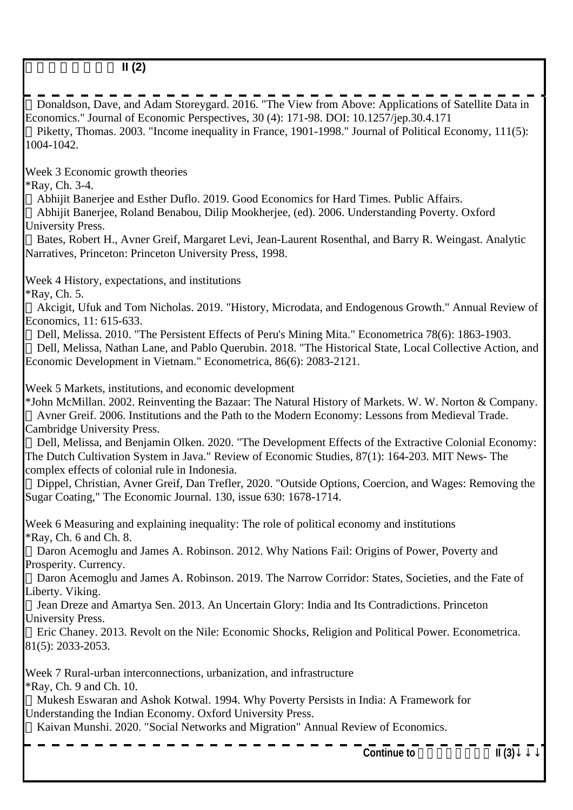Donaldson, Dave, and Adam Storeygard. 2016. "The View from Above: Applications of Satellite Data in Economics." Journal of Economic Perspectives, 30 (4): 171-98. DOI: 10.1257/jep.30.4.171 Piketty, Thomas. 2003. "Income inequality in France, 1901-1998." Journal of Political Economy, 111(5): 1004-1042. Week 3 Economic growth theories \*Ray, Ch. 3-4. Abhijit Banerjee and Esther Duflo. 2019. Good Economics for Hard Times. Public Affairs. Abhijit Banerjee, Roland Benabou, Dilip Mookherjee, (ed). 2006. Understanding Poverty. Oxford University Press. Bates, Robert H., Avner Greif, Margaret Levi, Jean-Laurent Rosenthal, and Barry R. Weingast. Analytic Narratives, Princeton: Princeton University Press, 1998. Week 4 History, expectations, and institutions \*Ray, Ch. 5. Akcigit, Ufuk and Tom Nicholas. 2019. "History, Microdata, and Endogenous Growth." Annual Review of Economics, 11: 615-633. Dell, Melissa. 2010. "The Persistent Effects of Peru's Mining Mita." Econometrica 78(6): 1863-1903. Dell, Melissa, Nathan Lane, and Pablo Querubin. 2018. "The Historical State, Local Collective Action, and Economic Development in Vietnam." Econometrica, 86(6): 2083-2121. Week 5 Markets, institutions, and economic development \*John McMillan. 2002. Reinventing the Bazaar: The Natural History of Markets. W. W. Norton & Company. Avner Greif. 2006. Institutions and the Path to the Modern Economy: Lessons from Medieval Trade. Cambridge University Press. Dell, Melissa, and Benjamin Olken. 2020. "The Development Effects of the Extractive Colonial Economy: The Dutch Cultivation System in Java." Review of Economic Studies, 87(1): 164-203. MIT News- The complex effects of colonial rule in Indonesia. Dippel, Christian, Avner Greif, Dan Trefler, 2020. "Outside Options, Coercion, and Wages: Removing the Sugar Coating," The Economic Journal. 130, issue 630: 1678-1714. Week 6 Measuring and explaining inequality: The role of political economy and institutions \*Ray, Ch. 6 and Ch. 8. Daron Acemoglu and James A. Robinson. 2012. Why Nations Fail: Origins of Power, Poverty and Prosperity. Currency. Daron Acemoglu and James A. Robinson. 2019. The Narrow Corridor: States, Societies, and the Fate of Liberty. Viking. Jean Dreze and Amartya Sen. 2013. An Uncertain Glory: India and Its Contradictions. Princeton University Press. Eric Chaney. 2013. Revolt on the Nile: Economic Shocks, Religion and Political Power. Econometrica. 81(5): 2033-2053. Week 7 Rural-urban interconnections, urbanization, and infrastructure \*Ray, Ch. 9 and Ch. 10. Mukesh Eswaran and Ashok Kotwal. 1994. Why Poverty Persists in India: A Framework for Understanding the Indian Economy. Oxford University Press. Kaivan Munshi. 2020. "Social Networks and Migration" Annual Review of Economics. **Continue to II (3)**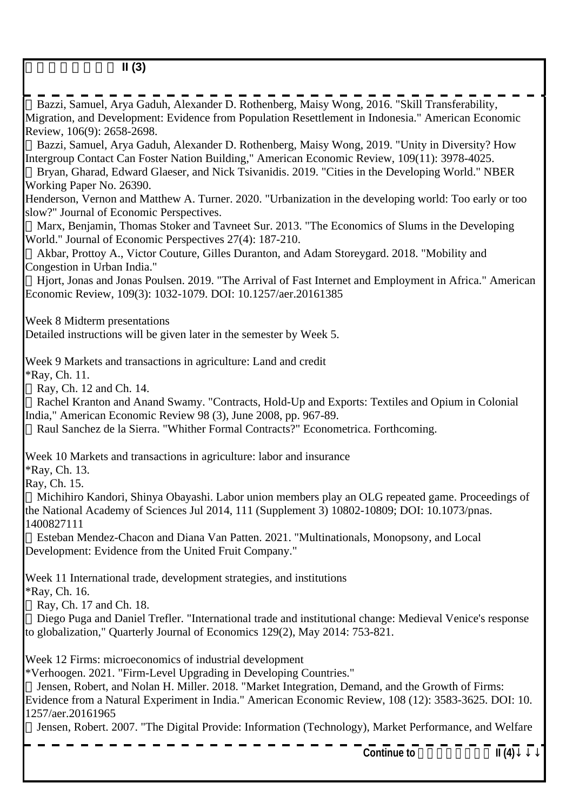| <b>Continue to</b>                                                                                                                                                                                                                                                                                                                      | II(4) |
|-----------------------------------------------------------------------------------------------------------------------------------------------------------------------------------------------------------------------------------------------------------------------------------------------------------------------------------------|-------|
| Jensen, Robert, and Nolan H. Miller. 2018. "Market Integration, Demand, and the Growth of Firms:<br>Evidence from a Natural Experiment in India." American Economic Review, 108 (12): 3583-3625. DOI: 10.<br>1257/aer.20161965<br>Jensen, Robert. 2007. "The Digital Provide: Information (Technology), Market Performance, and Welfare |       |
| Week 12 Firms: microeconomics of industrial development<br>*Verhoogen. 2021. "Firm-Level Upgrading in Developing Countries."                                                                                                                                                                                                            |       |
| Ray, Ch. 17 and Ch. 18.<br>Diego Puga and Daniel Trefler. "International trade and institutional change: Medieval Venice's response<br>to globalization," Quarterly Journal of Economics 129(2), May 2014: 753-821.                                                                                                                     |       |
| Week 11 International trade, development strategies, and institutions<br><i>*Ray</i> , Ch. 16.                                                                                                                                                                                                                                          |       |
| Esteban Mendez-Chacon and Diana Van Patten. 2021. "Multinationals, Monopsony, and Local<br>Development: Evidence from the United Fruit Company."                                                                                                                                                                                        |       |
| Ray, Ch. 15.<br>Michihiro Kandori, Shinya Obayashi. Labor union members play an OLG repeated game. Proceedings of<br>the National Academy of Sciences Jul 2014, 111 (Supplement 3) 10802-10809; DOI: 10.1073/pnas.<br>1400827111                                                                                                        |       |
| Week 10 Markets and transactions in agriculture: labor and insurance<br><b>*Ray</b> , Ch. 13.                                                                                                                                                                                                                                           |       |
| Ray, Ch. 12 and Ch. 14.<br>Rachel Kranton and Anand Swamy. "Contracts, Hold-Up and Exports: Textiles and Opium in Colonial<br>India," American Economic Review 98 (3), June 2008, pp. 967-89.<br>Raul Sanchez de la Sierra. "Whither Formal Contracts?" Econometrica. Forthcoming.                                                      |       |
| Week 9 Markets and transactions in agriculture: Land and credit<br><i>*Ray</i> , Ch. 11.                                                                                                                                                                                                                                                |       |
| Detailed instructions will be given later in the semester by Week 5.                                                                                                                                                                                                                                                                    |       |
| Week 8 Midterm presentations                                                                                                                                                                                                                                                                                                            |       |
| Hjort, Jonas and Jonas Poulsen. 2019. "The Arrival of Fast Internet and Employment in Africa." American<br>Economic Review, 109(3): 1032-1079. DOI: 10.1257/aer.20161385                                                                                                                                                                |       |
| Akbar, Prottoy A., Victor Couture, Gilles Duranton, and Adam Storeygard. 2018. "Mobility and<br>Congestion in Urban India."                                                                                                                                                                                                             |       |
| Marx, Benjamin, Thomas Stoker and Tavneet Sur. 2013. "The Economics of Slums in the Developing<br>World." Journal of Economic Perspectives 27(4): 187-210.                                                                                                                                                                              |       |
| Henderson, Vernon and Matthew A. Turner. 2020. "Urbanization in the developing world: Too early or too<br>slow?" Journal of Economic Perspectives.                                                                                                                                                                                      |       |
| Working Paper No. 26390.                                                                                                                                                                                                                                                                                                                |       |
| Intergroup Contact Can Foster Nation Building," American Economic Review, 109(11): 3978-4025.<br>Bryan, Gharad, Edward Glaeser, and Nick Tsivanidis. 2019. "Cities in the Developing World." NBER                                                                                                                                       |       |
| Bazzi, Samuel, Arya Gaduh, Alexander D. Rothenberg, Maisy Wong, 2019. "Unity in Diversity? How                                                                                                                                                                                                                                          |       |
| Migration, and Development: Evidence from Population Resettlement in Indonesia." American Economic<br>Review, 106(9): 2658-2698.                                                                                                                                                                                                        |       |
| ------------------------<br>Bazzi, Samuel, Arya Gaduh, Alexander D. Rothenberg, Maisy Wong, 2016. "Skill Transferability,                                                                                                                                                                                                               |       |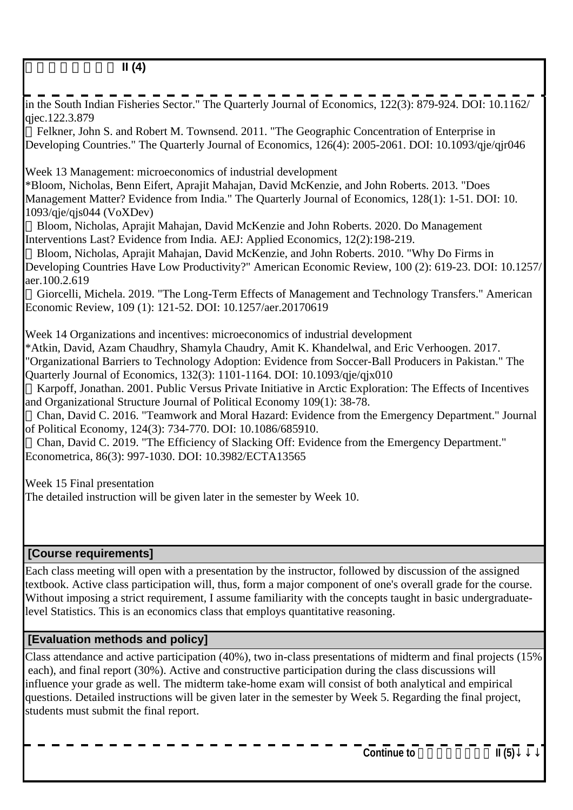in the South Indian Fisheries Sector." The Quarterly Journal of Economics, 122(3): 879-924. DOI: 10.1162/ qjec.122.3.879 Felkner, John S. and Robert M. Townsend. 2011. "The Geographic Concentration of Enterprise in Developing Countries." The Quarterly Journal of Economics, 126(4): 2005-2061. DOI: 10.1093/qje/qjr046 Week 13 Management: microeconomics of industrial development \*Bloom, Nicholas, Benn Eifert, Aprajit Mahajan, David McKenzie, and John Roberts. 2013. "Does Management Matter? Evidence from India." The Quarterly Journal of Economics, 128(1): 1-51. DOI: 10. 1093/qje/qjs044 (VoXDev) Bloom, Nicholas, Aprajit Mahajan, David McKenzie and John Roberts. 2020. Do Management Interventions Last? Evidence from India. AEJ: Applied Economics, 12(2):198-219. Bloom, Nicholas, Aprajit Mahajan, David McKenzie, and John Roberts. 2010. "Why Do Firms in Developing Countries Have Low Productivity?" American Economic Review, 100 (2): 619-23. DOI: 10.1257/ aer.100.2.619 Giorcelli, Michela. 2019. "The Long-Term Effects of Management and Technology Transfers." American Economic Review, 109 (1): 121-52. DOI: 10.1257/aer.20170619 Week 14 Organizations and incentives: microeconomics of industrial development \*Atkin, David, Azam Chaudhry, Shamyla Chaudry, Amit K. Khandelwal, and Eric Verhoogen. 2017. "Organizational Barriers to Technology Adoption: Evidence from Soccer-Ball Producers in Pakistan." The Quarterly Journal of Economics, 132(3): 1101-1164. DOI: 10.1093/qje/qjx010 Karpoff, Jonathan. 2001. Public Versus Private Initiative in Arctic Exploration: The Effects of Incentives and Organizational Structure Journal of Political Economy 109(1): 38-78. Chan, David C. 2016. "Teamwork and Moral Hazard: Evidence from the Emergency Department." Journal of Political Economy, 124(3): 734-770. DOI: 10.1086/685910. Chan, David C. 2019. "The Efficiency of Slacking Off: Evidence from the Emergency Department." Econometrica, 86(3): 997-1030. DOI: 10.3982/ECTA13565 Week 15 Final presentation The detailed instruction will be given later in the semester by Week 10.  **[Course requirements]** Each class meeting will open with a presentation by the instructor, followed by discussion of the assigned textbook. Active class participation will, thus, form a major component of one's overall grade for the course. Without imposing a strict requirement, I assume familiarity with the concepts taught in basic undergraduatelevel Statistics. This is an economics class that employs quantitative reasoning.  **[Evaluation methods and policy]** Class attendance and active participation (40%), two in-class presentations of midterm and final projects (15%

 each), and final report (30%). Active and constructive participation during the class discussions will influence your grade as well. The midterm take-home exam will consist of both analytical and empirical questions. Detailed instructions will be given later in the semester by Week 5. Regarding the final project, students must submit the final report.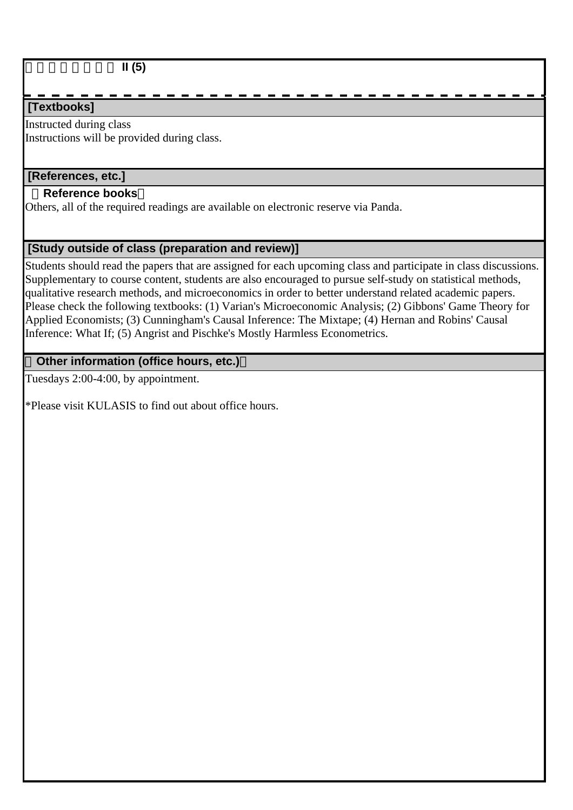### 東南アジア経済論 **II (5)**

### **[Textbooks]**

Instructed during class Instructions will be provided during class.

#### **[References, etc.]**

#### **Reference books**

Others, all of the required readings are available on electronic reserve via Panda.

### **[Study outside of class (preparation and review)]**

Students should read the papers that are assigned for each upcoming class and participate in class discussions. Supplementary to course content, students are also encouraged to pursue self-study on statistical methods, qualitative research methods, and microeconomics in order to better understand related academic papers. Please check the following textbooks: (1) Varian's Microeconomic Analysis; (2) Gibbons' Game Theory for Applied Economists; (3) Cunningham's Causal Inference: The Mixtape; (4) Hernan and Robins' Causal Inference: What If; (5) Angrist and Pischke's Mostly Harmless Econometrics.

### **Other information (office hours, etc.)**

Tuesdays 2:00-4:00, by appointment.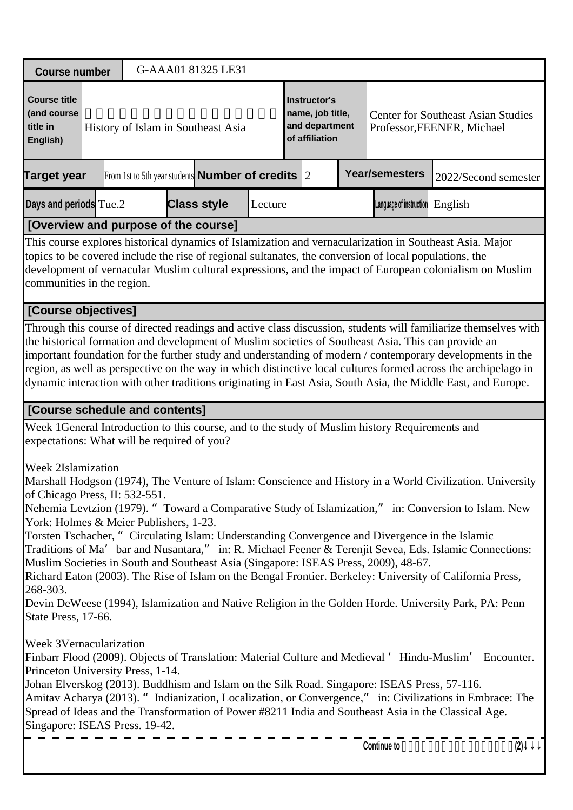| <b>Course number</b>                                                                                                               |                                                                                                                                                                                                                                                                                                                                                                                                                                                                                                                                                                       |  |  | G-AAA01 81325 LE31                                     |         |                                                                             |                |  |                                                                                                                                                                                                                                                                                                                                                                                                                                                                                                                                                                                                                                                                                                                                             |                      |  |     |  |
|------------------------------------------------------------------------------------------------------------------------------------|-----------------------------------------------------------------------------------------------------------------------------------------------------------------------------------------------------------------------------------------------------------------------------------------------------------------------------------------------------------------------------------------------------------------------------------------------------------------------------------------------------------------------------------------------------------------------|--|--|--------------------------------------------------------|---------|-----------------------------------------------------------------------------|----------------|--|---------------------------------------------------------------------------------------------------------------------------------------------------------------------------------------------------------------------------------------------------------------------------------------------------------------------------------------------------------------------------------------------------------------------------------------------------------------------------------------------------------------------------------------------------------------------------------------------------------------------------------------------------------------------------------------------------------------------------------------------|----------------------|--|-----|--|
| <b>Course title</b><br>(and course<br>title in<br>English)                                                                         |                                                                                                                                                                                                                                                                                                                                                                                                                                                                                                                                                                       |  |  | History of Islam in Southeast Asia                     |         | <b>Instructor's</b><br>name, job title,<br>and department<br>of affiliation |                |  | <b>Center for Southeast Asian Studies</b><br>Professor, FEENER, Michael                                                                                                                                                                                                                                                                                                                                                                                                                                                                                                                                                                                                                                                                     |                      |  |     |  |
| Target year                                                                                                                        |                                                                                                                                                                                                                                                                                                                                                                                                                                                                                                                                                                       |  |  | From 1st to 5th year students <b>Number of credits</b> |         |                                                                             | $\overline{2}$ |  | <b>Year/semesters</b>                                                                                                                                                                                                                                                                                                                                                                                                                                                                                                                                                                                                                                                                                                                       | 2022/Second semester |  |     |  |
| Days and periods Tue.2                                                                                                             |                                                                                                                                                                                                                                                                                                                                                                                                                                                                                                                                                                       |  |  | <b>Class style</b>                                     | Lecture |                                                                             |                |  | Language of instruction                                                                                                                                                                                                                                                                                                                                                                                                                                                                                                                                                                                                                                                                                                                     | English              |  |     |  |
| [Overview and purpose of the course]                                                                                               |                                                                                                                                                                                                                                                                                                                                                                                                                                                                                                                                                                       |  |  |                                                        |         |                                                                             |                |  |                                                                                                                                                                                                                                                                                                                                                                                                                                                                                                                                                                                                                                                                                                                                             |                      |  |     |  |
|                                                                                                                                    | This course explores historical dynamics of Islamization and vernacularization in Southeast Asia. Major<br>topics to be covered include the rise of regional sultanates, the conversion of local populations, the<br>development of vernacular Muslim cultural expressions, and the impact of European colonialism on Muslim<br>communities in the region.<br>[Course objectives]                                                                                                                                                                                     |  |  |                                                        |         |                                                                             |                |  |                                                                                                                                                                                                                                                                                                                                                                                                                                                                                                                                                                                                                                                                                                                                             |                      |  |     |  |
|                                                                                                                                    |                                                                                                                                                                                                                                                                                                                                                                                                                                                                                                                                                                       |  |  |                                                        |         |                                                                             |                |  |                                                                                                                                                                                                                                                                                                                                                                                                                                                                                                                                                                                                                                                                                                                                             |                      |  |     |  |
|                                                                                                                                    | Through this course of directed readings and active class discussion, students will familiarize themselves with<br>the historical formation and development of Muslim societies of Southeast Asia. This can provide an<br>important foundation for the further study and understanding of modern / contemporary developments in the<br>region, as well as perspective on the way in which distinctive local cultures formed across the archipelago in<br>dynamic interaction with other traditions originating in East Asia, South Asia, the Middle East, and Europe. |  |  |                                                        |         |                                                                             |                |  |                                                                                                                                                                                                                                                                                                                                                                                                                                                                                                                                                                                                                                                                                                                                             |                      |  |     |  |
| [Course schedule and contents]                                                                                                     |                                                                                                                                                                                                                                                                                                                                                                                                                                                                                                                                                                       |  |  |                                                        |         |                                                                             |                |  |                                                                                                                                                                                                                                                                                                                                                                                                                                                                                                                                                                                                                                                                                                                                             |                      |  |     |  |
| expectations: What will be required of you?                                                                                        |                                                                                                                                                                                                                                                                                                                                                                                                                                                                                                                                                                       |  |  |                                                        |         |                                                                             |                |  | Week 1 General Introduction to this course, and to the study of Muslim history Requirements and                                                                                                                                                                                                                                                                                                                                                                                                                                                                                                                                                                                                                                             |                      |  |     |  |
| Week 2 Islamization<br>of Chicago Press, II: 532-551.<br>York: Holmes & Meier Publishers, 1-23.<br>268-303.<br>State Press, 17-66. |                                                                                                                                                                                                                                                                                                                                                                                                                                                                                                                                                                       |  |  |                                                        |         |                                                                             |                |  | Marshall Hodgson (1974), The Venture of Islam: Conscience and History in a World Civilization. University<br>Nehemia Levtzion (1979). " Toward a Comparative Study of Islamization," in: Conversion to Islam. New<br>Torsten Tschacher, "Circulating Islam: Understanding Convergence and Divergence in the Islamic<br>Traditions of Ma' bar and Nusantara," in: R. Michael Feener & Terenjit Sevea, Eds. Islamic Connections:<br>Muslim Societies in South and Southeast Asia (Singapore: ISEAS Press, 2009), 48-67.<br>Richard Eaton (2003). The Rise of Islam on the Bengal Frontier. Berkeley: University of California Press,<br>Devin DeWeese (1994), Islamization and Native Religion in the Golden Horde. University Park, PA: Penn |                      |  |     |  |
|                                                                                                                                    | <b>Week 3 Vernacularization</b><br>Finbarr Flood (2009). Objects of Translation: Material Culture and Medieval ' Hindu-Muslim' Encounter.<br>Princeton University Press, 1-14.<br>Johan Elverskog (2013). Buddhism and Islam on the Silk Road. Singapore: ISEAS Press, 57-116.<br>Amitav Acharya (2013). "Indianization, Localization, or Convergence," in: Civilizations in Embrace: The<br>Spread of Ideas and the Transformation of Power #8211 India and Southeast Asia in the Classical Age.<br>Singapore: ISEAS Press. 19-42.                                   |  |  |                                                        |         |                                                                             |                |  |                                                                                                                                                                                                                                                                                                                                                                                                                                                                                                                                                                                                                                                                                                                                             |                      |  |     |  |
|                                                                                                                                    |                                                                                                                                                                                                                                                                                                                                                                                                                                                                                                                                                                       |  |  |                                                        |         |                                                                             |                |  | Continue to                                                                                                                                                                                                                                                                                                                                                                                                                                                                                                                                                                                                                                                                                                                                 |                      |  | (2) |  |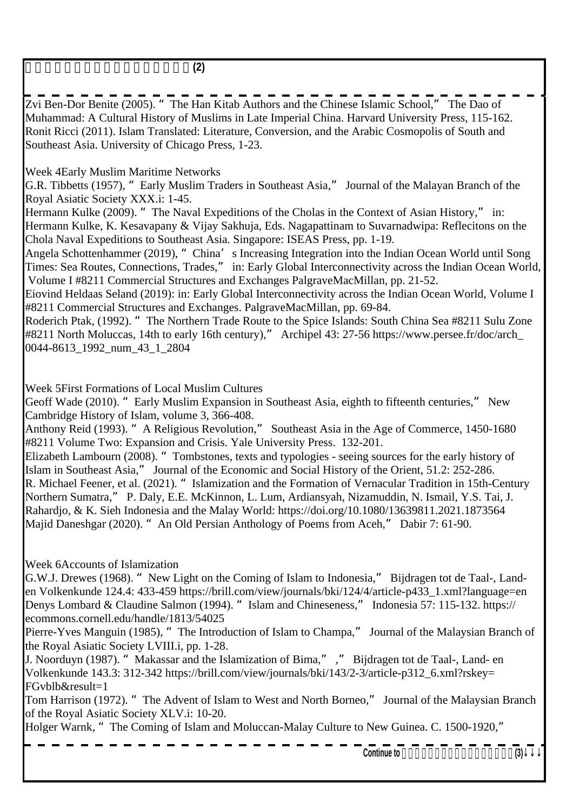東南アジアにおけるイスラームの歴史**(2)**

Zvi Ben-Dor Benite (2005). "The Han Kitab Authors and the Chinese Islamic School," The Dao of Muhammad: A Cultural History of Muslims in Late Imperial China. Harvard University Press, 115-162. Ronit Ricci (2011). Islam Translated: Literature, Conversion, and the Arabic Cosmopolis of South and Southeast Asia. University of Chicago Press, 1-23.

Week 4 Early Muslim Maritime Networks

G.R. Tibbetts (1957), "Early Muslim Traders in Southeast Asia," Journal of the Malayan Branch of the Royal Asiatic Society XXX.i: 1-45.

Hermann Kulke (2009). "The Naval Expeditions of the Cholas in the Context of Asian History," in: Hermann Kulke, K. Kesavapany & Vijay Sakhuja, Eds. Nagapattinam to Suvarnadwipa: Reflecitons on the Chola Naval Expeditions to Southeast Asia. Singapore: ISEAS Press, pp. 1-19.

Angela Schottenhammer (2019), "China's Increasing Integration into the Indian Ocean World until Song Times: Sea Routes, Connections, Trades," in: Early Global Interconnectivity across the Indian Ocean World, Volume I #8211 Commercial Structures and Exchanges PalgraveMacMillan, pp. 21-52.

Eiovind Heldaas Seland (2019): in: Early Global Interconnectivity across the Indian Ocean World, Volume I #8211 Commercial Structures and Exchanges. PalgraveMacMillan, pp. 69-84.

Roderich Ptak, (1992). "The Northern Trade Route to the Spice Islands: South China Sea #8211 Sulu Zone #8211 North Moluccas, 14th to early 16th century)," Archipel 43: 27-56 https://www.persee.fr/doc/arch\_ 0044-8613\_1992\_num\_43\_1\_2804

Week 5 First Formations of Local Muslim Cultures

Geoff Wade (2010). " Early Muslim Expansion in Southeast Asia, eighth to fifteenth centuries," New Cambridge History of Islam, volume 3, 366-408.

Anthony Reid (1993). "A Religious Revolution," Southeast Asia in the Age of Commerce, 1450-1680 #8211 Volume Two: Expansion and Crisis. Yale University Press. 132-201.

Elizabeth Lambourn (2008). "Tombstones, texts and typologies - seeing sources for the early history of Islam in Southeast Asia," Journal of the Economic and Social History of the Orient, 51.2: 252-286. R. Michael Feener, et al. (2021). "Islamization and the Formation of Vernacular Tradition in 15th-Century Northern Sumatra," P. Daly, E.E. McKinnon, L. Lum, Ardiansyah, Nizamuddin, N. Ismail, Y.S. Tai, J. Rahardjo, & K. Sieh Indonesia and the Malay World: https://doi.org/10.1080/13639811.2021.1873564 Majid Daneshgar (2020). "An Old Persian Anthology of Poems from Aceh," Dabir 7: 61-90.

Week 6 Accounts of Islamization

G.W.J. Drewes (1968). "New Light on the Coming of Islam to Indonesia," Bijdragen tot de Taal-, Landen Volkenkunde 124.4: 433-459 https://brill.com/view/journals/bki/124/4/article-p433\_1.xml?language=en Denys Lombard & Claudine Salmon (1994). "Islam and Chineseness," Indonesia 57: 115-132. https:// ecommons.cornell.edu/handle/1813/54025

Pierre-Yves Manguin (1985), "The Introduction of Islam to Champa," Journal of the Malaysian Branch of the Royal Asiatic Society LVIII.i, pp. 1-28.

J. Noorduyn (1987). "Makassar and the Islamization of Bima," ," Bijdragen tot de Taal-, Land- en Volkenkunde 143.3: 312-342 https://brill.com/view/journals/bki/143/2-3/article-p312\_6.xml?rskey= FGvblb&result=1

Tom Harrison (1972). "The Advent of Islam to West and North Borneo," Journal of the Malaysian Branch of the Royal Asiatic Society XLV.i: 10-20.

Holger Warnk, "The Coming of Islam and Moluccan-Malay Culture to New Guinea. C. 1500-1920,"

Continue to  $\overline{a}$  **Continue to**  $\overline{a}$  **c**  $\overline{a}$  **c**  $\overline{a}$  **c**  $\overline{a}$  **c**  $\overline{a}$  **c**  $\overline{a}$  **c**  $\overline{a}$  **c**  $\overline{a}$  **c**  $\overline{a}$  **c**  $\overline{a}$  **c**  $\overline{a}$  **c**  $\overline{a}$  **c**  $\overline{a}$  **c**  $\overline{a}$  **c**  $\overline$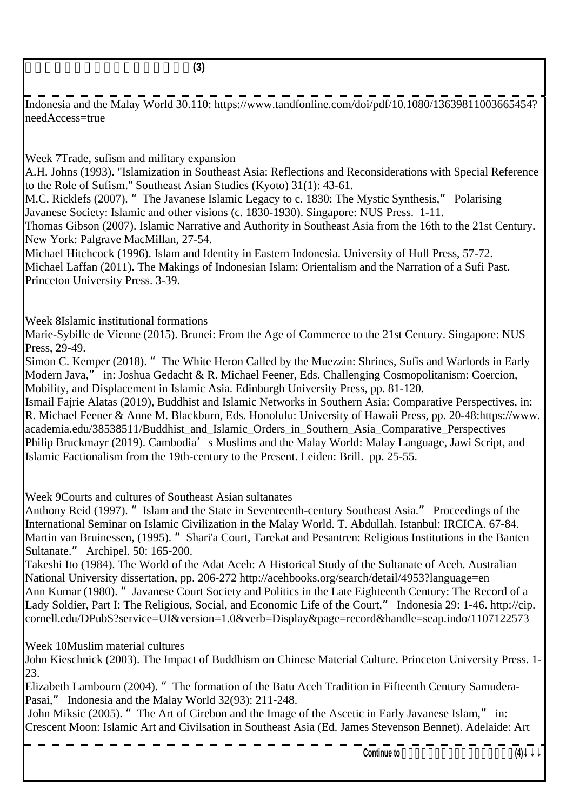東南アジアにおけるイスラームの歴史**(3)**

Indonesia and the Malay World 30.110: https://www.tandfonline.com/doi/pdf/10.1080/13639811003665454? needAccess=true

Week 7 Trade, sufism and military expansion

A.H. Johns (1993). "Islamization in Southeast Asia: Reflections and Reconsiderations with Special Reference to the Role of Sufism." Southeast Asian Studies (Kyoto) 31(1): 43-61.

M.C. Ricklefs (2007). "The Javanese Islamic Legacy to c. 1830: The Mystic Synthesis," Polarising Javanese Society: Islamic and other visions (c. 1830-1930). Singapore: NUS Press. 1-11.

Thomas Gibson (2007). Islamic Narrative and Authority in Southeast Asia from the 16th to the 21st Century. New York: Palgrave MacMillan, 27-54.

Michael Hitchcock (1996). Islam and Identity in Eastern Indonesia. University of Hull Press, 57-72. Michael Laffan (2011). The Makings of Indonesian Islam: Orientalism and the Narration of a Sufi Past. Princeton University Press. 3-39.

Week 8 Islamic institutional formations

Marie-Sybille de Vienne (2015). Brunei: From the Age of Commerce to the 21st Century. Singapore: NUS Press, 29-49.

Simon C. Kemper (2018). " The White Heron Called by the Muezzin: Shrines, Sufis and Warlords in Early Modern Java," in: Joshua Gedacht & R. Michael Feener, Eds. Challenging Cosmopolitanism: Coercion, Mobility, and Displacement in Islamic Asia. Edinburgh University Press, pp. 81-120.

Ismail Fajrie Alatas (2019), Buddhist and Islamic Networks in Southern Asia: Comparative Perspectives, in: R. Michael Feener & Anne M. Blackburn, Eds. Honolulu: University of Hawaii Press, pp. 20-48:https://www. academia.edu/38538511/Buddhist and Islamic Orders in Southern Asia Comparative Perspectives Philip Bruckmayr (2019). Cambodia's Muslims and the Malay World: Malay Language, Jawi Script, and Islamic Factionalism from the 19th-century to the Present. Leiden: Brill. pp. 25-55.

Week 9 Courts and cultures of Southeast Asian sultanates

Anthony Reid (1997). "Islam and the State in Seventeenth-century Southeast Asia." Proceedings of the International Seminar on Islamic Civilization in the Malay World. T. Abdullah. Istanbul: IRCICA. 67-84. Martin van Bruinessen, (1995). "Shari'a Court, Tarekat and Pesantren: Religious Institutions in the Banten Sultanate." Archipel. 50: 165-200.

Takeshi Ito (1984). The World of the Adat Aceh: A Historical Study of the Sultanate of Aceh. Australian National University dissertation, pp. 206-272 http://acehbooks.org/search/detail/4953?language=en Ann Kumar (1980). "Javanese Court Society and Politics in the Late Eighteenth Century: The Record of a Lady Soldier, Part I: The Religious, Social, and Economic Life of the Court," Indonesia 29: 1-46. http://cip. cornell.edu/DPubS?service=UI&version=1.0&verb=Display&page=record&handle=seap.indo/1107122573

Week 10 Muslim material cultures

John Kieschnick (2003). The Impact of Buddhism on Chinese Material Culture. Princeton University Press. 1- 23.

Elizabeth Lambourn (2004). "The formation of the Batu Aceh Tradition in Fifteenth Century Samudera-Pasai," Indonesia and the Malay World 32(93): 211-248.

 John Miksic (2005). "The Art of Cirebon and the Image of the Ascetic in Early Javanese Islam," in: Crescent Moon: Islamic Art and Civilsation in Southeast Asia (Ed. James Stevenson Bennet). Adelaide: Art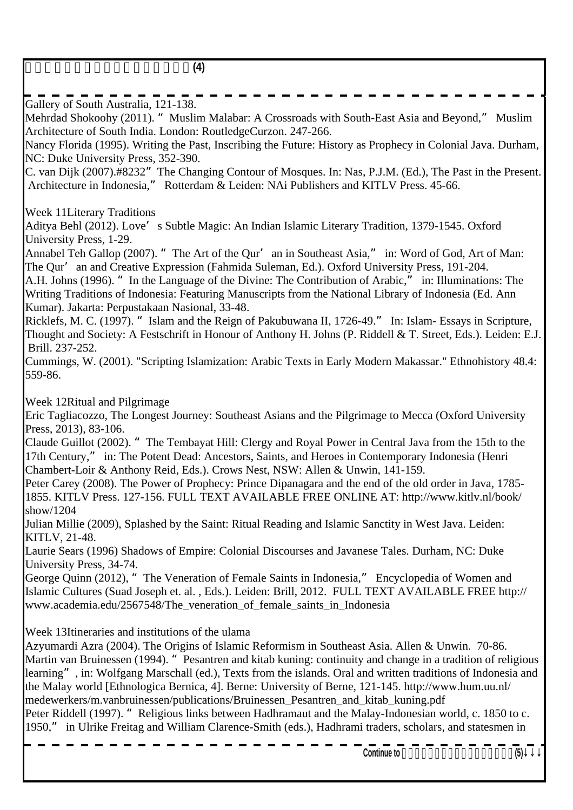| - | <b>CONTRACTOR</b> |
|---|-------------------|

Gallery of South Australia, 121-138. Mehrdad Shokoohy (2011). "Muslim Malabar: A Crossroads with South-East Asia and Beyond," Muslim Architecture of South India. London: RoutledgeCurzon. 247-266. Nancy Florida (1995). Writing the Past, Inscribing the Future: History as Prophecy in Colonial Java. Durham, NC: Duke University Press, 352-390. C. van Dijk (2007).#8232" The Changing Contour of Mosques. In: Nas, P.J.M. (Ed.), The Past in the Present. Architecture in Indonesia," Rotterdam & Leiden: NAi Publishers and KITLV Press. 45-66. Week 11 Literary Traditions Aditya Behl (2012). Love's Subtle Magic: An Indian Islamic Literary Tradition, 1379-1545. Oxford University Press, 1-29. Annabel Teh Gallop (2007). " The Art of the Qur'an in Southeast Asia," in: Word of God, Art of Man: The Qur'an and Creative Expression (Fahmida Suleman, Ed.). Oxford University Press, 191-204. A.H. Johns (1996). "In the Language of the Divine: The Contribution of Arabic," in: Illuminations: The Writing Traditions of Indonesia: Featuring Manuscripts from the National Library of Indonesia (Ed. Ann Kumar). Jakarta: Perpustakaan Nasional, 33-48. Ricklefs, M. C. (1997). "Islam and the Reign of Pakubuwana II, 1726-49." In: Islam- Essays in Scripture, Thought and Society: A Festschrift in Honour of Anthony H. Johns (P. Riddell & T. Street, Eds.). Leiden: E.J. Brill. 237-252. Cummings, W. (2001). "Scripting Islamization: Arabic Texts in Early Modern Makassar." Ethnohistory 48.4: 559-86. Week 12 Ritual and Pilgrimage Eric Tagliacozzo, The Longest Journey: Southeast Asians and the Pilgrimage to Mecca (Oxford University Press. 2013), 83-106. Claude Guillot (2002). "The Tembayat Hill: Clergy and Royal Power in Central Java from the 15th to the 17th Century," in: The Potent Dead: Ancestors, Saints, and Heroes in Contemporary Indonesia (Henri Chambert-Loir & Anthony Reid, Eds.). Crows Nest, NSW: Allen & Unwin, 141-159. Peter Carey (2008). The Power of Prophecy: Prince Dipanagara and the end of the old order in Java, 1785- 1855. KITLV Press. 127-156. FULL TEXT AVAILABLE FREE ONLINE AT: http://www.kitlv.nl/book/ show/1204 Julian Millie (2009), Splashed by the Saint: Ritual Reading and Islamic Sanctity in West Java. Leiden: KITLV, 21-48. Laurie Sears (1996) Shadows of Empire: Colonial Discourses and Javanese Tales. Durham, NC: Duke University Press, 34-74. George Quinn (2012), "The Veneration of Female Saints in Indonesia," Encyclopedia of Women and Islamic Cultures (Suad Joseph et. al. , Eds.). Leiden: Brill, 2012. FULL TEXT AVAILABLE FREE http:// www.academia.edu/2567548/The veneration of female saints in Indonesia Week 13 Itineraries and institutions of the ulama Azyumardi Azra (2004). The Origins of Islamic Reformism in Southeast Asia. Allen & Unwin. 70-86. Martin van Bruinessen (1994). "Pesantren and kitab kuning: continuity and change in a tradition of religious learning", in: Wolfgang Marschall (ed.), Texts from the islands. Oral and written traditions of Indonesia and the Malay world [Ethnologica Bernica, 4]. Berne: University of Berne, 121-145. http://www.hum.uu.nl/ medewerkers/m.vanbruinessen/publications/Bruinessen\_Pesantren\_and\_kitab\_kuning.pdf Peter Riddell (1997). "Religious links between Hadhramaut and the Malay-Indonesian world, c. 1850 to c. 1950," in Ulrike Freitag and William Clarence-Smith (eds.), Hadhrami traders, scholars, and statesmen in Continue to  $(5)$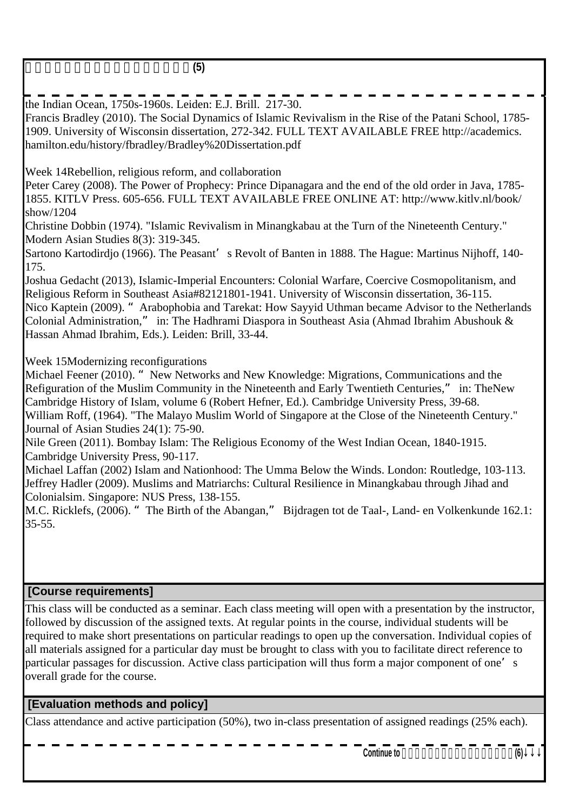東南アジアにおけるイスラームの歴史**(5)**

the Indian Ocean, 1750s-1960s. Leiden: E.J. Brill. 217-30.

Francis Bradley (2010). The Social Dynamics of Islamic Revivalism in the Rise of the Patani School, 1785- 1909. University of Wisconsin dissertation, 272-342. FULL TEXT AVAILABLE FREE http://academics. hamilton.edu/history/fbradley/Bradley%20Dissertation.pdf Week 14 Rebellion, religious reform, and collaboration Peter Carey (2008). The Power of Prophecy: Prince Dipanagara and the end of the old order in Java, 1785- 1855. KITLV Press. 605-656. FULL TEXT AVAILABLE FREE ONLINE AT: http://www.kitlv.nl/book/ show/1204 Christine Dobbin (1974). "Islamic Revivalism in Minangkabau at the Turn of the Nineteenth Century." Modern Asian Studies 8(3): 319-345. Sartono Kartodirdjo (1966). The Peasant's Revolt of Banten in 1888. The Hague: Martinus Nijhoff, 140-175. Joshua Gedacht (2013), Islamic-Imperial Encounters: Colonial Warfare, Coercive Cosmopolitanism, and Religious Reform in Southeast Asia#82121801-1941. University of Wisconsin dissertation, 36-115. Nico Kaptein (2009). "Arabophobia and Tarekat: How Sayyid Uthman became Advisor to the Netherlands Colonial Administration," in: The Hadhrami Diaspora in Southeast Asia (Ahmad Ibrahim Abushouk & Hassan Ahmad Ibrahim, Eds.). Leiden: Brill, 33-44. Week 15 Modernizing reconfigurations Michael Feener (2010). "New Networks and New Knowledge: Migrations, Communications and the Refiguration of the Muslim Community in the Nineteenth and Early Twentieth Centuries," in: The New Cambridge History of Islam, volume 6 (Robert Hefner, Ed.). Cambridge University Press, 39-68. William Roff, (1964). "The Malayo Muslim World of Singapore at the Close of the Nineteenth Century." Journal of Asian Studies 24(1): 75-90. Nile Green (2011). Bombay Islam: The Religious Economy of the West Indian Ocean, 1840-1915. Cambridge University Press, 90-117. Michael Laffan (2002) Islam and Nationhood: The Umma Below the Winds. London: Routledge, 103-113. Jeffrey Hadler (2009). Muslims and Matriarchs: Cultural Resilience in Minangkabau through Jihad and Colonialsim. Singapore: NUS Press, 138-155. M.C. Ricklefs, (2006). "The Birth of the Abangan," Bijdragen tot de Taal-, Land- en Volkenkunde 162.1:  $35 - 55$ .

### **[Course requirements]**

This class will be conducted as a seminar. Each class meeting will open with a presentation by the instructor, followed by discussion of the assigned texts. At regular points in the course, individual students will be required to make short presentations on particular readings to open up the conversation. Individual copies of all materials assigned for a particular day must be brought to class with you to facilitate direct reference to particular passages for discussion. Active class participation will thus form a major component of one's overall grade for the course.

### **[Evaluation methods and policy]**

Class attendance and active participation (50%), two in-class presentation of assigned readings (25% each).

Continue to **(6)**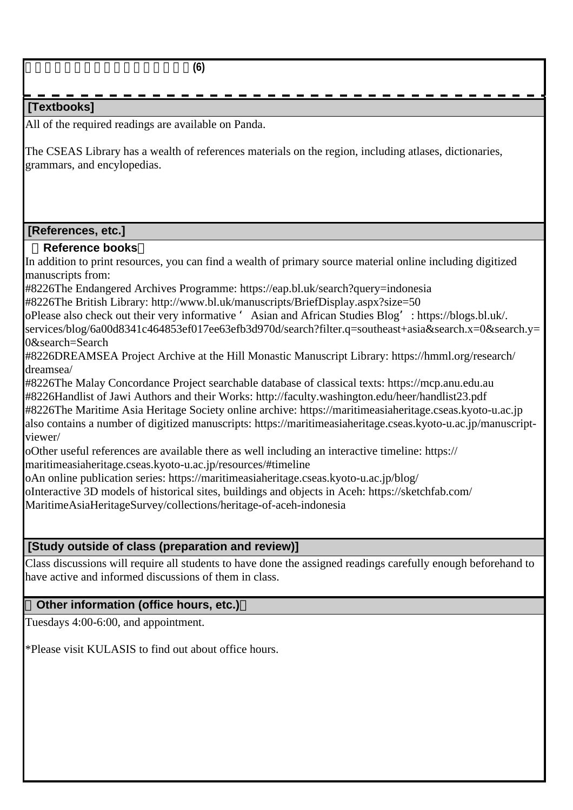東南アジアにおけるイスラームの歴史**(6)**

### **[Textbooks]**

All of the required readings are available on Panda.

The CSEAS Library has a wealth of references materials on the region, including atlases, dictionaries, grammars, and encylopedias.

#### **[References, etc.]**

#### **Reference books**

In addition to print resources, you can find a wealth of primary source material online including digitized manuscripts from:

#8226 The Endangered Archives Programme: https://eap.bl.uk/search?query=indonesia

 $\#8226$  The British Library: http://www.bl.uk/manuscripts/BriefDisplay.aspx?size=50

o Please also check out their very informative 'Asian and African Studies Blog': https://blogs.bl.uk/. services/blog/6a00d8341c464853ef017ee63efb3d970d/search?filter.q=southeast+asia&search.x=0&search.y= 0&search=Search

#8226 DREAMSEA Project Archive at the Hill Monastic Manuscript Library: https://hmml.org/research/ dreamsea/

#8226 The Malay Concordance Project searchable database of classical texts: https://mcp.anu.edu.au #8226 Handlist of Jawi Authors and their Works: http://faculty.washington.edu/heer/handlist23.pdf

#8226 The Maritime Asia Heritage Society online archive: https://maritimeasiaheritage.cseas.kyoto-u.ac.jp also contains a number of digitized manuscripts: https://maritimeasiaheritage.cseas.kyoto-u.ac.jp/manuscriptviewer/

o Other useful references are available there as well including an interactive timeline: https:// maritimeasiaheritage.cseas.kyoto-u.ac.jp/resources/#timeline

o An online publication series: https://maritimeasiaheritage.cseas.kyoto-u.ac.jp/blog/

o Interactive 3D models of historical sites, buildings and objects in Aceh: https://sketchfab.com/

MaritimeAsiaHeritageSurvey/collections/heritage-of-aceh-indonesia

### **[Study outside of class (preparation and review)]**

Class discussions will require all students to have done the assigned readings carefully enough beforehand to have active and informed discussions of them in class.

### **Other information (office hours, etc.)**

Tuesdays 4:00-6:00, and appointment.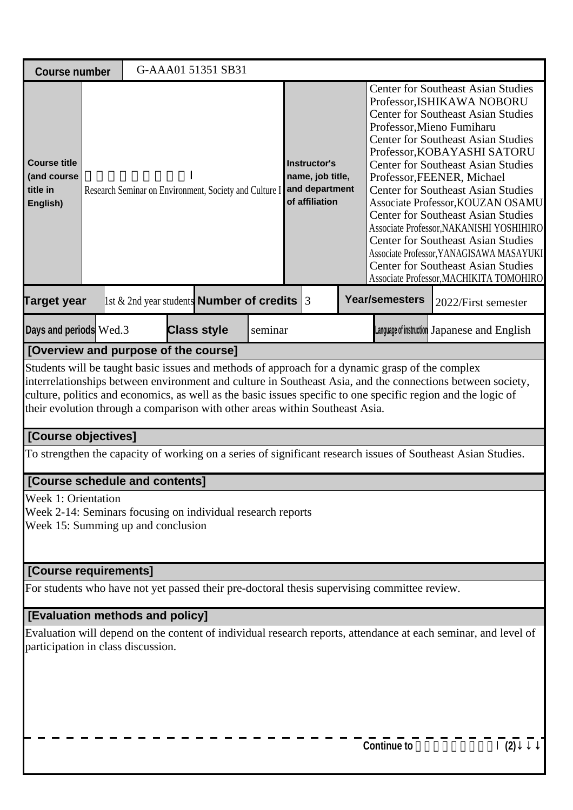| <b>Course number</b>                                                                                                     |                                                                                                                                                                                                                                                                                                                                                                                                                                                        | G-AAA01 51351 SB31 |  |  |  |  |  |                                    |                                                                                                                                                                                                                                                                                                                                                                                                                                                                                                                                                                                                                                                                      |                                                                                                                |     |  |
|--------------------------------------------------------------------------------------------------------------------------|--------------------------------------------------------------------------------------------------------------------------------------------------------------------------------------------------------------------------------------------------------------------------------------------------------------------------------------------------------------------------------------------------------------------------------------------------------|--------------------|--|--|--|--|--|------------------------------------|----------------------------------------------------------------------------------------------------------------------------------------------------------------------------------------------------------------------------------------------------------------------------------------------------------------------------------------------------------------------------------------------------------------------------------------------------------------------------------------------------------------------------------------------------------------------------------------------------------------------------------------------------------------------|----------------------------------------------------------------------------------------------------------------|-----|--|
| <b>Course title</b><br>(and course<br>title in<br>English)                                                               | Research Seminar on Environment, Society and Culture I and department                                                                                                                                                                                                                                                                                                                                                                                  |                    |  |  |  |  |  | name, job title,<br>of affiliation | <b>Center for Southeast Asian Studies</b><br>Professor, ISHIKAWA NOBORU<br><b>Center for Southeast Asian Studies</b><br>Professor, Mieno Fumiharu<br><b>Center for Southeast Asian Studies</b><br>Professor, KOBAYASHI SATORU<br><b>Center for Southeast Asian Studies</b><br>Professor, FEENER, Michael<br><b>Center for Southeast Asian Studies</b><br>Associate Professor, KOUZAN OSAMU<br><b>Center for Southeast Asian Studies</b><br>Associate Professor, NAKANISHI YOSHIHIRO<br><b>Center for Southeast Asian Studies</b><br>Associate Professor, YANAGISAWA MASAYUKI<br><b>Center for Southeast Asian Studies</b><br>Associate Professor, MACHIKITA TOMOHIRO |                                                                                                                |     |  |
| <b>Year/semesters</b><br>$\vert$ 1st & 2nd year students <b>Number of credits</b> 3<br><b>Target year</b>                |                                                                                                                                                                                                                                                                                                                                                                                                                                                        |                    |  |  |  |  |  |                                    |                                                                                                                                                                                                                                                                                                                                                                                                                                                                                                                                                                                                                                                                      | 2022/First semester                                                                                            |     |  |
| Days and periods Wed.3<br><b>Class style</b><br>seminar                                                                  |                                                                                                                                                                                                                                                                                                                                                                                                                                                        |                    |  |  |  |  |  |                                    |                                                                                                                                                                                                                                                                                                                                                                                                                                                                                                                                                                                                                                                                      | Language of instruction Japanese and English                                                                   |     |  |
|                                                                                                                          |                                                                                                                                                                                                                                                                                                                                                                                                                                                        |                    |  |  |  |  |  |                                    |                                                                                                                                                                                                                                                                                                                                                                                                                                                                                                                                                                                                                                                                      |                                                                                                                |     |  |
| [Course objectives]                                                                                                      | [Overview and purpose of the course]<br>Students will be taught basic issues and methods of approach for a dynamic grasp of the complex<br>interrelationships between environment and culture in Southeast Asia, and the connections between society,<br>culture, politics and economics, as well as the basic issues specific to one specific region and the logic of<br>their evolution through a comparison with other areas within Southeast Asia. |                    |  |  |  |  |  |                                    |                                                                                                                                                                                                                                                                                                                                                                                                                                                                                                                                                                                                                                                                      |                                                                                                                |     |  |
|                                                                                                                          |                                                                                                                                                                                                                                                                                                                                                                                                                                                        |                    |  |  |  |  |  |                                    |                                                                                                                                                                                                                                                                                                                                                                                                                                                                                                                                                                                                                                                                      | To strengthen the capacity of working on a series of significant research issues of Southeast Asian Studies.   |     |  |
| [Course schedule and contents]                                                                                           |                                                                                                                                                                                                                                                                                                                                                                                                                                                        |                    |  |  |  |  |  |                                    |                                                                                                                                                                                                                                                                                                                                                                                                                                                                                                                                                                                                                                                                      |                                                                                                                |     |  |
| Week 1: Orientation<br>Week 2-14: Seminars focusing on individual research reports<br>Week 15: Summing up and conclusion |                                                                                                                                                                                                                                                                                                                                                                                                                                                        |                    |  |  |  |  |  |                                    |                                                                                                                                                                                                                                                                                                                                                                                                                                                                                                                                                                                                                                                                      |                                                                                                                |     |  |
| [Course requirements]                                                                                                    |                                                                                                                                                                                                                                                                                                                                                                                                                                                        |                    |  |  |  |  |  |                                    |                                                                                                                                                                                                                                                                                                                                                                                                                                                                                                                                                                                                                                                                      |                                                                                                                |     |  |
| For students who have not yet passed their pre-doctoral thesis supervising committee review.                             |                                                                                                                                                                                                                                                                                                                                                                                                                                                        |                    |  |  |  |  |  |                                    |                                                                                                                                                                                                                                                                                                                                                                                                                                                                                                                                                                                                                                                                      |                                                                                                                |     |  |
| [Evaluation methods and policy]                                                                                          |                                                                                                                                                                                                                                                                                                                                                                                                                                                        |                    |  |  |  |  |  |                                    |                                                                                                                                                                                                                                                                                                                                                                                                                                                                                                                                                                                                                                                                      |                                                                                                                |     |  |
| participation in class discussion.                                                                                       |                                                                                                                                                                                                                                                                                                                                                                                                                                                        |                    |  |  |  |  |  |                                    |                                                                                                                                                                                                                                                                                                                                                                                                                                                                                                                                                                                                                                                                      | Evaluation will depend on the content of individual research reports, attendance at each seminar, and level of |     |  |
|                                                                                                                          |                                                                                                                                                                                                                                                                                                                                                                                                                                                        |                    |  |  |  |  |  |                                    | <b>Continue to</b>                                                                                                                                                                                                                                                                                                                                                                                                                                                                                                                                                                                                                                                   |                                                                                                                | (2) |  |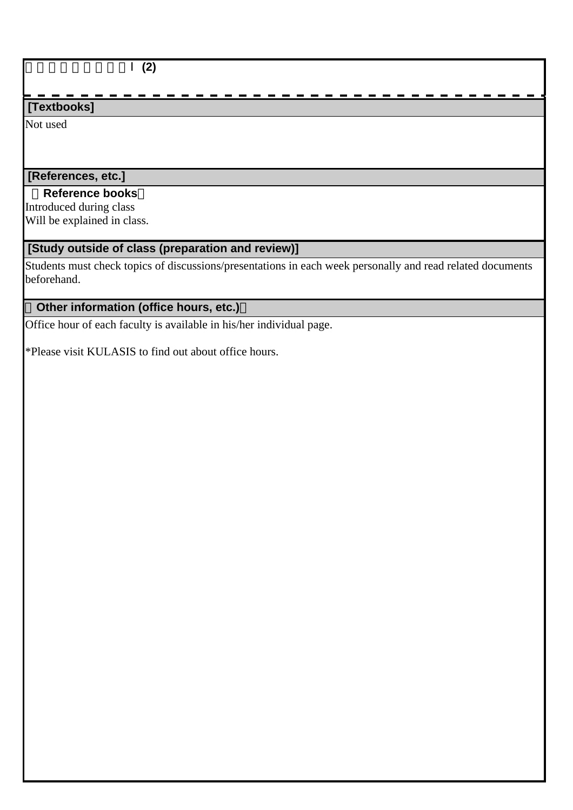総合地域論研究演習Ⅰ**(2)**

### **[Textbooks]**

Not used

# **[References, etc.]**

### **Reference books**

Introduced during class Will be explained in class.

### **[Study outside of class (preparation and review)]**

Students must check topics of discussions/presentations in each week personally and read related documents beforehand.

### **Other information (office hours, etc.)**

Office hour of each faculty is available in his/her individual page.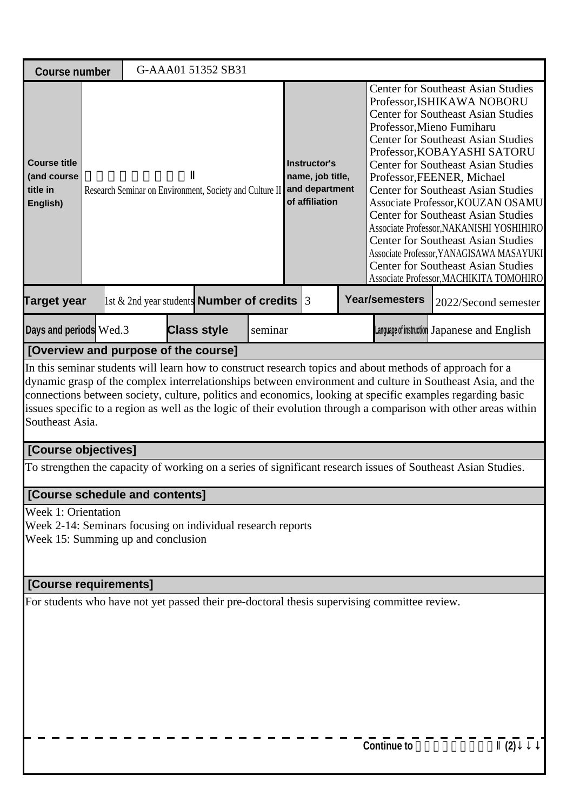| <b>Course number</b>                                                                                                                                                            |  |  |  | G-AAA01 51352 SB31 |         |                                                                      |  |  |                       |                                                                                                                                                                                                                                                                                                                                                                                                                                                                                                                                                                                                                                                                      |  |
|---------------------------------------------------------------------------------------------------------------------------------------------------------------------------------|--|--|--|--------------------|---------|----------------------------------------------------------------------|--|--|-----------------------|----------------------------------------------------------------------------------------------------------------------------------------------------------------------------------------------------------------------------------------------------------------------------------------------------------------------------------------------------------------------------------------------------------------------------------------------------------------------------------------------------------------------------------------------------------------------------------------------------------------------------------------------------------------------|--|
| <b>Course title</b><br>(and course<br>title in<br>Research Seminar on Environment, Society and Culture II<br>English)<br>1st & 2nd year students <b>Number of credits</b> $ 3 $ |  |  |  |                    |         | Instructor's<br>name, job title,<br>and department<br>of affiliation |  |  |                       | <b>Center for Southeast Asian Studies</b><br>Professor, ISHIKAWA NOBORU<br><b>Center for Southeast Asian Studies</b><br>Professor, Mieno Fumiharu<br><b>Center for Southeast Asian Studies</b><br>Professor, KOBAYASHI SATORU<br><b>Center for Southeast Asian Studies</b><br>Professor, FEENER, Michael<br><b>Center for Southeast Asian Studies</b><br>Associate Professor, KOUZAN OSAMU<br><b>Center for Southeast Asian Studies</b><br>Associate Professor, NAKANISHI YOSHIHIRO<br><b>Center for Southeast Asian Studies</b><br>Associate Professor, YANAGISAWA MASAYUKI<br><b>Center for Southeast Asian Studies</b><br>Associate Professor, MACHIKITA TOMOHIRO |  |
| <b>Target year</b>                                                                                                                                                              |  |  |  |                    |         |                                                                      |  |  | <b>Year/semesters</b> | 2022/Second semester                                                                                                                                                                                                                                                                                                                                                                                                                                                                                                                                                                                                                                                 |  |
| Days and periods Wed.3                                                                                                                                                          |  |  |  | <b>Class style</b> | seminar |                                                                      |  |  |                       | Language of instruction Japanese and English                                                                                                                                                                                                                                                                                                                                                                                                                                                                                                                                                                                                                         |  |
| [Overview and purpose of the course]                                                                                                                                            |  |  |  |                    |         |                                                                      |  |  |                       |                                                                                                                                                                                                                                                                                                                                                                                                                                                                                                                                                                                                                                                                      |  |
| Southeast Asia.                                                                                                                                                                 |  |  |  |                    |         |                                                                      |  |  |                       | In this seminar students will learn how to construct research topics and about methods of approach for a<br>dynamic grasp of the complex interrelationships between environment and culture in Southeast Asia, and the<br>connections between society, culture, politics and economics, looking at specific examples regarding basic<br>issues specific to a region as well as the logic of their evolution through a comparison with other areas within                                                                                                                                                                                                             |  |
| [Course objectives]                                                                                                                                                             |  |  |  |                    |         |                                                                      |  |  |                       |                                                                                                                                                                                                                                                                                                                                                                                                                                                                                                                                                                                                                                                                      |  |
|                                                                                                                                                                                 |  |  |  |                    |         |                                                                      |  |  |                       | To strengthen the capacity of working on a series of significant research issues of Southeast Asian Studies.                                                                                                                                                                                                                                                                                                                                                                                                                                                                                                                                                         |  |
| [Course schedule and contents]                                                                                                                                                  |  |  |  |                    |         |                                                                      |  |  |                       |                                                                                                                                                                                                                                                                                                                                                                                                                                                                                                                                                                                                                                                                      |  |
| Week 1: Orientation<br>Week 2-14: Seminars focusing on individual research reports<br>Week 15: Summing up and conclusion                                                        |  |  |  |                    |         |                                                                      |  |  |                       |                                                                                                                                                                                                                                                                                                                                                                                                                                                                                                                                                                                                                                                                      |  |
| [Course requirements]                                                                                                                                                           |  |  |  |                    |         |                                                                      |  |  |                       |                                                                                                                                                                                                                                                                                                                                                                                                                                                                                                                                                                                                                                                                      |  |
| For students who have not yet passed their pre-doctoral thesis supervising committee review.                                                                                    |  |  |  |                    |         |                                                                      |  |  |                       |                                                                                                                                                                                                                                                                                                                                                                                                                                                                                                                                                                                                                                                                      |  |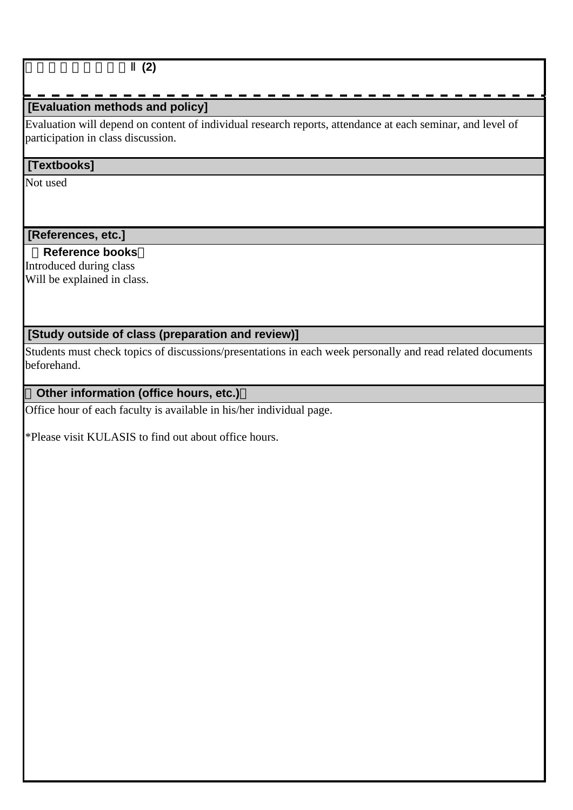#### 総合地域論研究演習Ⅱ**(2)**

### **[Evaluation methods and policy]**

Evaluation will depend on content of individual research reports, attendance at each seminar, and level of participation in class discussion.

#### **[Textbooks]**

Not used

 **[References, etc.]**

 **Reference books**

Introduced during class Will be explained in class.

### **[Study outside of class (preparation and review)]**

Students must check topics of discussions/presentations in each week personally and read related documents beforehand.

### **Other information (office hours, etc.)**

Office hour of each faculty is available in his/her individual page.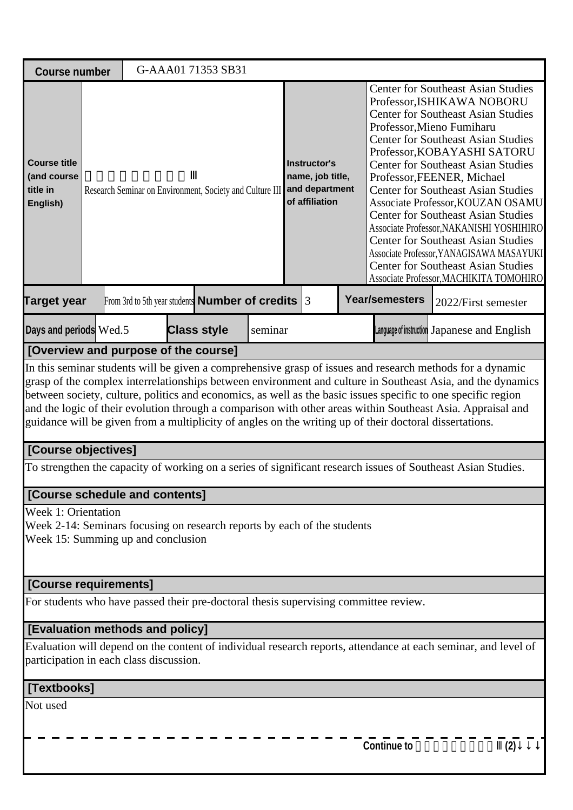| <b>Course number</b>                                                                                                                         |                                                                                                                                                                                                                                                                                                                                                                                                                                                                                                                                                                                                             |  |  | G-AAA01 71353 SB31 |         |  |  |                                                      |                                                                                                                                                                                                                                                                                                                                                                                                                                                                                                                                                                                                                                                                      |                                                                                                                |  |  |
|----------------------------------------------------------------------------------------------------------------------------------------------|-------------------------------------------------------------------------------------------------------------------------------------------------------------------------------------------------------------------------------------------------------------------------------------------------------------------------------------------------------------------------------------------------------------------------------------------------------------------------------------------------------------------------------------------------------------------------------------------------------------|--|--|--------------------|---------|--|--|------------------------------------------------------|----------------------------------------------------------------------------------------------------------------------------------------------------------------------------------------------------------------------------------------------------------------------------------------------------------------------------------------------------------------------------------------------------------------------------------------------------------------------------------------------------------------------------------------------------------------------------------------------------------------------------------------------------------------------|----------------------------------------------------------------------------------------------------------------|--|--|
| <b>Course title</b><br>(and course<br>title in<br>English)                                                                                   | Research Seminar on Environment, Society and Culture III<br>From 3rd to 5th year students <b>Number of credits</b> $ 3 $<br><b>Class style</b>                                                                                                                                                                                                                                                                                                                                                                                                                                                              |  |  |                    |         |  |  | name, job title,<br>and department<br>of affiliation | <b>Center for Southeast Asian Studies</b><br>Professor, ISHIKAWA NOBORU<br><b>Center for Southeast Asian Studies</b><br>Professor, Mieno Fumiharu<br><b>Center for Southeast Asian Studies</b><br>Professor, KOBAYASHI SATORU<br><b>Center for Southeast Asian Studies</b><br>Professor, FEENER, Michael<br><b>Center for Southeast Asian Studies</b><br>Associate Professor, KOUZAN OSAMU<br><b>Center for Southeast Asian Studies</b><br>Associate Professor, NAKANISHI YOSHIHIRO<br><b>Center for Southeast Asian Studies</b><br>Associate Professor, YANAGISAWA MASAYUKI<br><b>Center for Southeast Asian Studies</b><br>Associate Professor, MACHIKITA TOMOHIRO |                                                                                                                |  |  |
| <b>Target year</b>                                                                                                                           |                                                                                                                                                                                                                                                                                                                                                                                                                                                                                                                                                                                                             |  |  |                    |         |  |  |                                                      | <b>Year/semesters</b>                                                                                                                                                                                                                                                                                                                                                                                                                                                                                                                                                                                                                                                | 2022/First semester                                                                                            |  |  |
| Days and periods Wed.5                                                                                                                       |                                                                                                                                                                                                                                                                                                                                                                                                                                                                                                                                                                                                             |  |  |                    | seminar |  |  |                                                      |                                                                                                                                                                                                                                                                                                                                                                                                                                                                                                                                                                                                                                                                      | Language of instruction Japanese and English                                                                   |  |  |
|                                                                                                                                              |                                                                                                                                                                                                                                                                                                                                                                                                                                                                                                                                                                                                             |  |  |                    |         |  |  |                                                      |                                                                                                                                                                                                                                                                                                                                                                                                                                                                                                                                                                                                                                                                      |                                                                                                                |  |  |
|                                                                                                                                              | [Overview and purpose of the course]<br>In this seminar students will be given a comprehensive grasp of issues and research methods for a dynamic<br>grasp of the complex interrelationships between environment and culture in Southeast Asia, and the dynamics<br>between society, culture, politics and economics, as well as the basic issues specific to one specific region<br>and the logic of their evolution through a comparison with other areas within Southeast Asia. Appraisal and<br>guidance will be given from a multiplicity of angles on the writing up of their doctoral dissertations. |  |  |                    |         |  |  |                                                      |                                                                                                                                                                                                                                                                                                                                                                                                                                                                                                                                                                                                                                                                      |                                                                                                                |  |  |
| [Course objectives]                                                                                                                          |                                                                                                                                                                                                                                                                                                                                                                                                                                                                                                                                                                                                             |  |  |                    |         |  |  |                                                      |                                                                                                                                                                                                                                                                                                                                                                                                                                                                                                                                                                                                                                                                      |                                                                                                                |  |  |
|                                                                                                                                              |                                                                                                                                                                                                                                                                                                                                                                                                                                                                                                                                                                                                             |  |  |                    |         |  |  |                                                      |                                                                                                                                                                                                                                                                                                                                                                                                                                                                                                                                                                                                                                                                      | To strengthen the capacity of working on a series of significant research issues of Southeast Asian Studies.   |  |  |
| [Course schedule and contents]                                                                                                               |                                                                                                                                                                                                                                                                                                                                                                                                                                                                                                                                                                                                             |  |  |                    |         |  |  |                                                      |                                                                                                                                                                                                                                                                                                                                                                                                                                                                                                                                                                                                                                                                      |                                                                                                                |  |  |
| <b>Week 1: Orientation</b><br>Week 2-14: Seminars focusing on research reports by each of the students<br>Week 15: Summing up and conclusion |                                                                                                                                                                                                                                                                                                                                                                                                                                                                                                                                                                                                             |  |  |                    |         |  |  |                                                      |                                                                                                                                                                                                                                                                                                                                                                                                                                                                                                                                                                                                                                                                      |                                                                                                                |  |  |
| [Course requirements]                                                                                                                        |                                                                                                                                                                                                                                                                                                                                                                                                                                                                                                                                                                                                             |  |  |                    |         |  |  |                                                      |                                                                                                                                                                                                                                                                                                                                                                                                                                                                                                                                                                                                                                                                      |                                                                                                                |  |  |
| For students who have passed their pre-doctoral thesis supervising committee review.                                                         |                                                                                                                                                                                                                                                                                                                                                                                                                                                                                                                                                                                                             |  |  |                    |         |  |  |                                                      |                                                                                                                                                                                                                                                                                                                                                                                                                                                                                                                                                                                                                                                                      |                                                                                                                |  |  |
| [Evaluation methods and policy]                                                                                                              |                                                                                                                                                                                                                                                                                                                                                                                                                                                                                                                                                                                                             |  |  |                    |         |  |  |                                                      |                                                                                                                                                                                                                                                                                                                                                                                                                                                                                                                                                                                                                                                                      |                                                                                                                |  |  |
| participation in each class discussion.                                                                                                      |                                                                                                                                                                                                                                                                                                                                                                                                                                                                                                                                                                                                             |  |  |                    |         |  |  |                                                      |                                                                                                                                                                                                                                                                                                                                                                                                                                                                                                                                                                                                                                                                      | Evaluation will depend on the content of individual research reports, attendance at each seminar, and level of |  |  |
| [Textbooks]                                                                                                                                  |                                                                                                                                                                                                                                                                                                                                                                                                                                                                                                                                                                                                             |  |  |                    |         |  |  |                                                      |                                                                                                                                                                                                                                                                                                                                                                                                                                                                                                                                                                                                                                                                      |                                                                                                                |  |  |
| Not used                                                                                                                                     |                                                                                                                                                                                                                                                                                                                                                                                                                                                                                                                                                                                                             |  |  |                    |         |  |  |                                                      |                                                                                                                                                                                                                                                                                                                                                                                                                                                                                                                                                                                                                                                                      |                                                                                                                |  |  |
|                                                                                                                                              |                                                                                                                                                                                                                                                                                                                                                                                                                                                                                                                                                                                                             |  |  |                    |         |  |  |                                                      | <b>Continue to</b>                                                                                                                                                                                                                                                                                                                                                                                                                                                                                                                                                                                                                                                   | (2)                                                                                                            |  |  |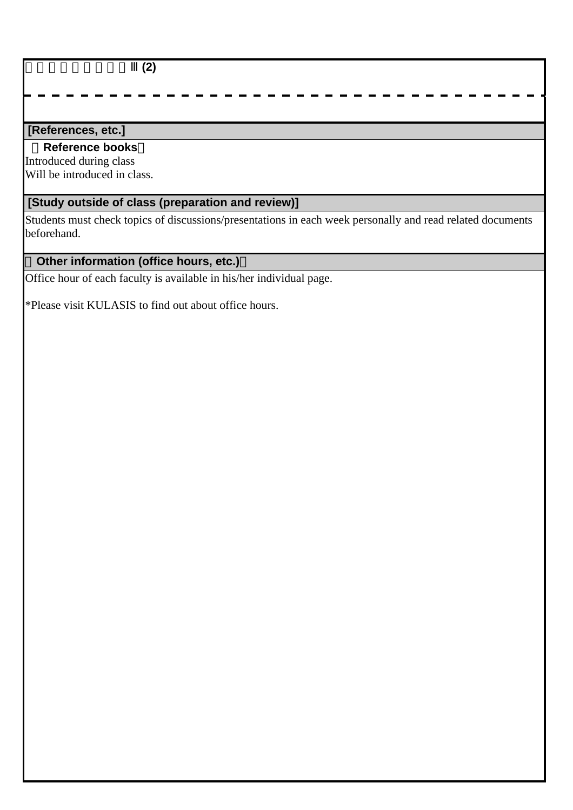総合地域論研究演習Ⅲ**(2)**

### **[References, etc.]**

#### **Reference books**

Introduced during class Will be introduced in class.

# **[Study outside of class (preparation and review)]**

Students must check topics of discussions/presentations in each week personally and read related documents beforehand.

# **Other information (office hours, etc.)**

Office hour of each faculty is available in his/her individual page.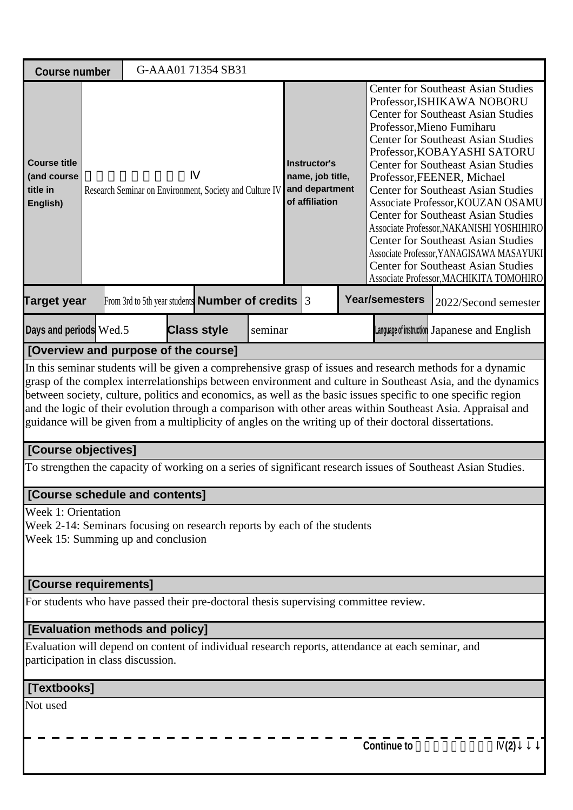| <b>Course number</b>                                                                                                                                                                                                                                                                                                                                                                                                                                                                                                                                                |  |  |  | G-AAA01 71354 SB31                                       |         |                                                                      |  |  |                                                                                                                                                                                                                                                                                                                                                                                                                                                                                                                                                                                                                                                                      |                                                                                                              |  |
|---------------------------------------------------------------------------------------------------------------------------------------------------------------------------------------------------------------------------------------------------------------------------------------------------------------------------------------------------------------------------------------------------------------------------------------------------------------------------------------------------------------------------------------------------------------------|--|--|--|----------------------------------------------------------|---------|----------------------------------------------------------------------|--|--|----------------------------------------------------------------------------------------------------------------------------------------------------------------------------------------------------------------------------------------------------------------------------------------------------------------------------------------------------------------------------------------------------------------------------------------------------------------------------------------------------------------------------------------------------------------------------------------------------------------------------------------------------------------------|--------------------------------------------------------------------------------------------------------------|--|
| <b>Course title</b><br>(and course<br>title in<br>English)                                                                                                                                                                                                                                                                                                                                                                                                                                                                                                          |  |  |  | Research Seminar on Environment, Society and Culture IV  |         | Instructor's<br>name, job title,<br>and department<br>of affiliation |  |  | <b>Center for Southeast Asian Studies</b><br>Professor, ISHIKAWA NOBORU<br><b>Center for Southeast Asian Studies</b><br>Professor, Mieno Fumiharu<br><b>Center for Southeast Asian Studies</b><br>Professor, KOBAYASHI SATORU<br><b>Center for Southeast Asian Studies</b><br>Professor, FEENER, Michael<br><b>Center for Southeast Asian Studies</b><br>Associate Professor, KOUZAN OSAMU<br><b>Center for Southeast Asian Studies</b><br>Associate Professor, NAKANISHI YOSHIHIRO<br><b>Center for Southeast Asian Studies</b><br>Associate Professor, YANAGISAWA MASAYUKI<br><b>Center for Southeast Asian Studies</b><br>Associate Professor, MACHIKITA TOMOHIRO |                                                                                                              |  |
| <b>Target year</b>                                                                                                                                                                                                                                                                                                                                                                                                                                                                                                                                                  |  |  |  | From 3rd to 5th year students <b>Number of credits</b> 3 |         |                                                                      |  |  | <b>Year/semesters</b>                                                                                                                                                                                                                                                                                                                                                                                                                                                                                                                                                                                                                                                | 2022/Second semester                                                                                         |  |
| Days and periods Wed.5                                                                                                                                                                                                                                                                                                                                                                                                                                                                                                                                              |  |  |  | <b>Class style</b>                                       | seminar |                                                                      |  |  |                                                                                                                                                                                                                                                                                                                                                                                                                                                                                                                                                                                                                                                                      | Language of instruction Japanese and English                                                                 |  |
| [Overview and purpose of the course]                                                                                                                                                                                                                                                                                                                                                                                                                                                                                                                                |  |  |  |                                                          |         |                                                                      |  |  |                                                                                                                                                                                                                                                                                                                                                                                                                                                                                                                                                                                                                                                                      |                                                                                                              |  |
| In this seminar students will be given a comprehensive grasp of issues and research methods for a dynamic<br>grasp of the complex interrelationships between environment and culture in Southeast Asia, and the dynamics<br>between society, culture, politics and economics, as well as the basic issues specific to one specific region<br>and the logic of their evolution through a comparison with other areas within Southeast Asia. Appraisal and<br>guidance will be given from a multiplicity of angles on the writing up of their doctoral dissertations. |  |  |  |                                                          |         |                                                                      |  |  |                                                                                                                                                                                                                                                                                                                                                                                                                                                                                                                                                                                                                                                                      |                                                                                                              |  |
| [Course objectives]                                                                                                                                                                                                                                                                                                                                                                                                                                                                                                                                                 |  |  |  |                                                          |         |                                                                      |  |  |                                                                                                                                                                                                                                                                                                                                                                                                                                                                                                                                                                                                                                                                      |                                                                                                              |  |
|                                                                                                                                                                                                                                                                                                                                                                                                                                                                                                                                                                     |  |  |  |                                                          |         |                                                                      |  |  |                                                                                                                                                                                                                                                                                                                                                                                                                                                                                                                                                                                                                                                                      | To strengthen the capacity of working on a series of significant research issues of Southeast Asian Studies. |  |
| <b>[Course schedule and contents]</b>                                                                                                                                                                                                                                                                                                                                                                                                                                                                                                                               |  |  |  |                                                          |         |                                                                      |  |  |                                                                                                                                                                                                                                                                                                                                                                                                                                                                                                                                                                                                                                                                      |                                                                                                              |  |
| Week 1: Orientation<br>Week 2-14: Seminars focusing on research reports by each of the students<br>Week 15: Summing up and conclusion                                                                                                                                                                                                                                                                                                                                                                                                                               |  |  |  |                                                          |         |                                                                      |  |  |                                                                                                                                                                                                                                                                                                                                                                                                                                                                                                                                                                                                                                                                      |                                                                                                              |  |
| [Course requirements]                                                                                                                                                                                                                                                                                                                                                                                                                                                                                                                                               |  |  |  |                                                          |         |                                                                      |  |  |                                                                                                                                                                                                                                                                                                                                                                                                                                                                                                                                                                                                                                                                      |                                                                                                              |  |
| For students who have passed their pre-doctoral thesis supervising committee review.                                                                                                                                                                                                                                                                                                                                                                                                                                                                                |  |  |  |                                                          |         |                                                                      |  |  |                                                                                                                                                                                                                                                                                                                                                                                                                                                                                                                                                                                                                                                                      |                                                                                                              |  |
| <b>[Evaluation methods and policy]</b>                                                                                                                                                                                                                                                                                                                                                                                                                                                                                                                              |  |  |  |                                                          |         |                                                                      |  |  |                                                                                                                                                                                                                                                                                                                                                                                                                                                                                                                                                                                                                                                                      |                                                                                                              |  |
| Evaluation will depend on content of individual research reports, attendance at each seminar, and<br>participation in class discussion.                                                                                                                                                                                                                                                                                                                                                                                                                             |  |  |  |                                                          |         |                                                                      |  |  |                                                                                                                                                                                                                                                                                                                                                                                                                                                                                                                                                                                                                                                                      |                                                                                                              |  |
| [Textbooks]                                                                                                                                                                                                                                                                                                                                                                                                                                                                                                                                                         |  |  |  |                                                          |         |                                                                      |  |  |                                                                                                                                                                                                                                                                                                                                                                                                                                                                                                                                                                                                                                                                      |                                                                                                              |  |
| Not used                                                                                                                                                                                                                                                                                                                                                                                                                                                                                                                                                            |  |  |  |                                                          |         |                                                                      |  |  |                                                                                                                                                                                                                                                                                                                                                                                                                                                                                                                                                                                                                                                                      |                                                                                                              |  |
|                                                                                                                                                                                                                                                                                                                                                                                                                                                                                                                                                                     |  |  |  |                                                          |         |                                                                      |  |  | <b>Continue to</b>                                                                                                                                                                                                                                                                                                                                                                                                                                                                                                                                                                                                                                                   | (2)                                                                                                          |  |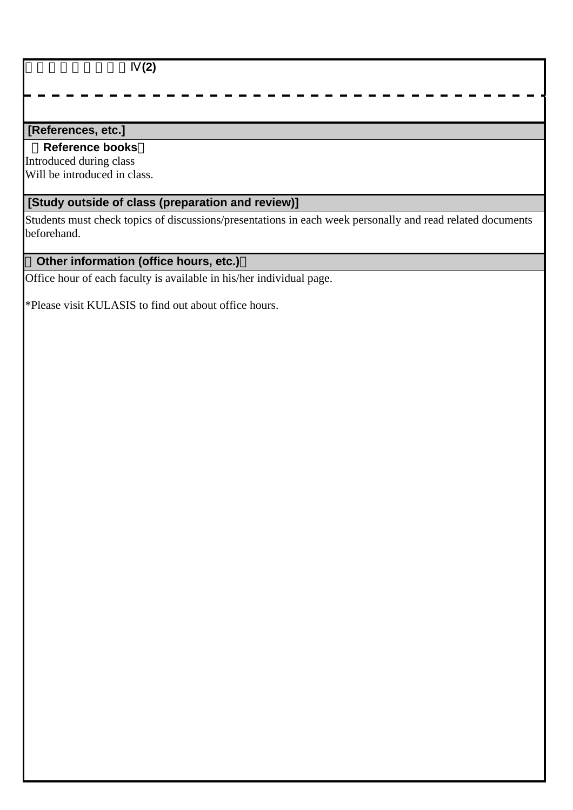総合地域論研究演習Ⅳ**(2)**

### **[References, etc.]**

#### **Reference books**

Introduced during class Will be introduced in class.

# **[Study outside of class (preparation and review)]**

Students must check topics of discussions/presentations in each week personally and read related documents beforehand.

# **Other information (office hours, etc.)**

Office hour of each faculty is available in his/her individual page.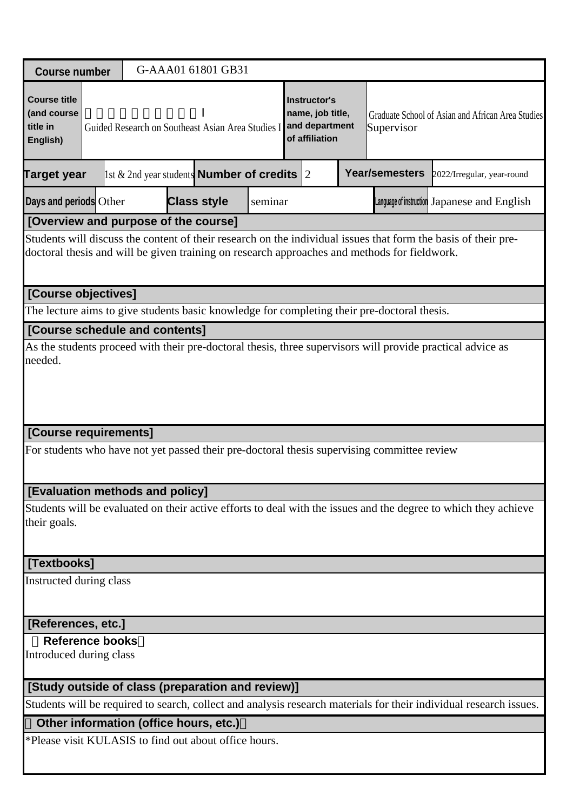| <b>Course number</b>                                                                                                                                                                                           |  |                                                       |                    | G-AAA01 61801 GB31 |         |  |                                                                             |  |                                                                                             |                                                                                                                    |
|----------------------------------------------------------------------------------------------------------------------------------------------------------------------------------------------------------------|--|-------------------------------------------------------|--------------------|--------------------|---------|--|-----------------------------------------------------------------------------|--|---------------------------------------------------------------------------------------------|--------------------------------------------------------------------------------------------------------------------|
| <b>Course title</b><br>(and course<br>title in<br>English)                                                                                                                                                     |  | Guided Research on Southeast Asian Area Studies I     |                    |                    |         |  | <b>Instructor's</b><br>name, job title,<br>and department<br>of affiliation |  | Supervisor                                                                                  | Graduate School of Asian and African Area Studies                                                                  |
| <b>Target year</b>                                                                                                                                                                                             |  | 1st $\&$ 2nd year students <b>Number of credits</b> 2 |                    |                    |         |  |                                                                             |  | <b>Year/semesters</b>                                                                       | 2022/Irregular, year-round                                                                                         |
| Days and periods Other                                                                                                                                                                                         |  |                                                       | <b>Class style</b> |                    | seminar |  |                                                                             |  |                                                                                             | Language of instruction Japanese and English                                                                       |
| [Overview and purpose of the course]                                                                                                                                                                           |  |                                                       |                    |                    |         |  |                                                                             |  |                                                                                             |                                                                                                                    |
| Students will discuss the content of their research on the individual issues that form the basis of their pre-<br>doctoral thesis and will be given training on research approaches and methods for fieldwork. |  |                                                       |                    |                    |         |  |                                                                             |  |                                                                                             |                                                                                                                    |
| [Course objectives]                                                                                                                                                                                            |  |                                                       |                    |                    |         |  |                                                                             |  |                                                                                             |                                                                                                                    |
|                                                                                                                                                                                                                |  |                                                       |                    |                    |         |  |                                                                             |  | The lecture aims to give students basic knowledge for completing their pre-doctoral thesis. |                                                                                                                    |
| [Course schedule and contents]                                                                                                                                                                                 |  |                                                       |                    |                    |         |  |                                                                             |  |                                                                                             |                                                                                                                    |
| As the students proceed with their pre-doctoral thesis, three supervisors will provide practical advice as<br>needed.                                                                                          |  |                                                       |                    |                    |         |  |                                                                             |  |                                                                                             |                                                                                                                    |
| [Course requirements]                                                                                                                                                                                          |  |                                                       |                    |                    |         |  |                                                                             |  |                                                                                             |                                                                                                                    |
|                                                                                                                                                                                                                |  |                                                       |                    |                    |         |  |                                                                             |  | For students who have not yet passed their pre-doctoral thesis supervising committee review |                                                                                                                    |
| [Evaluation methods and policy]                                                                                                                                                                                |  |                                                       |                    |                    |         |  |                                                                             |  |                                                                                             |                                                                                                                    |
| their goals.                                                                                                                                                                                                   |  |                                                       |                    |                    |         |  |                                                                             |  |                                                                                             | Students will be evaluated on their active efforts to deal with the issues and the degree to which they achieve    |
| [Textbooks]                                                                                                                                                                                                    |  |                                                       |                    |                    |         |  |                                                                             |  |                                                                                             |                                                                                                                    |
| Instructed during class                                                                                                                                                                                        |  |                                                       |                    |                    |         |  |                                                                             |  |                                                                                             |                                                                                                                    |
| [References, etc.]                                                                                                                                                                                             |  |                                                       |                    |                    |         |  |                                                                             |  |                                                                                             |                                                                                                                    |
| <b>Reference books</b><br>Introduced during class                                                                                                                                                              |  |                                                       |                    |                    |         |  |                                                                             |  |                                                                                             |                                                                                                                    |
| [Study outside of class (preparation and review)]                                                                                                                                                              |  |                                                       |                    |                    |         |  |                                                                             |  |                                                                                             |                                                                                                                    |
|                                                                                                                                                                                                                |  |                                                       |                    |                    |         |  |                                                                             |  |                                                                                             | Students will be required to search, collect and analysis research materials for their individual research issues. |
|                                                                                                                                                                                                                |  | Other information (office hours, etc.)                |                    |                    |         |  |                                                                             |  |                                                                                             |                                                                                                                    |
| *Please visit KULASIS to find out about office hours.                                                                                                                                                          |  |                                                       |                    |                    |         |  |                                                                             |  |                                                                                             |                                                                                                                    |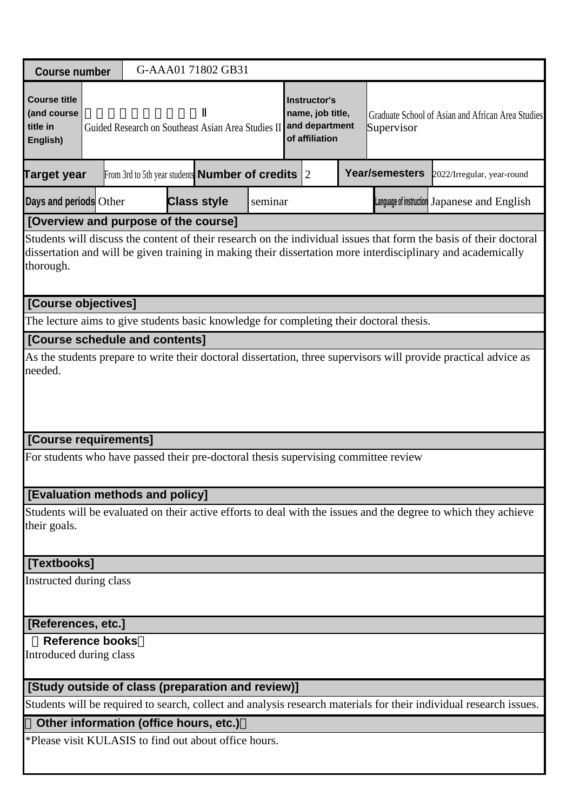| <b>Course number</b>                                                                                                                                                                                                                            |                                      |  |                                                                                                                                                                                                      | G-AAA01 71802 GB31                                           |         |  |  |  |                                                                                         |                                                                                                                    |  |
|-------------------------------------------------------------------------------------------------------------------------------------------------------------------------------------------------------------------------------------------------|--------------------------------------|--|------------------------------------------------------------------------------------------------------------------------------------------------------------------------------------------------------|--------------------------------------------------------------|---------|--|--|--|-----------------------------------------------------------------------------------------|--------------------------------------------------------------------------------------------------------------------|--|
| <b>Course title</b><br>(and course<br>title in<br>English)                                                                                                                                                                                      |                                      |  | <b>Instructor's</b><br>name, job title,<br>Graduate School of Asian and African Area Studies<br>and department<br>Guided Research on Southeast Asian Area Studies II<br>Supervisor<br>of affiliation |                                                              |         |  |  |  |                                                                                         |                                                                                                                    |  |
| <b>Target year</b>                                                                                                                                                                                                                              |                                      |  |                                                                                                                                                                                                      | From 3rd to 5th year students <b>Number of credits</b> $ 2 $ |         |  |  |  | Year/semesters                                                                          | 2022/Irregular, year-round                                                                                         |  |
| Days and periods Other                                                                                                                                                                                                                          |                                      |  |                                                                                                                                                                                                      | <b>Class style</b>                                           | seminar |  |  |  |                                                                                         | Language of instruction Japanese and English                                                                       |  |
|                                                                                                                                                                                                                                                 | [Overview and purpose of the course] |  |                                                                                                                                                                                                      |                                                              |         |  |  |  |                                                                                         |                                                                                                                    |  |
| Students will discuss the content of their research on the individual issues that form the basis of their doctoral<br>dissertation and will be given training in making their dissertation more interdisciplinary and academically<br>thorough. |                                      |  |                                                                                                                                                                                                      |                                                              |         |  |  |  |                                                                                         |                                                                                                                    |  |
| [Course objectives]                                                                                                                                                                                                                             |                                      |  |                                                                                                                                                                                                      |                                                              |         |  |  |  |                                                                                         |                                                                                                                    |  |
|                                                                                                                                                                                                                                                 |                                      |  |                                                                                                                                                                                                      |                                                              |         |  |  |  | The lecture aims to give students basic knowledge for completing their doctoral thesis. |                                                                                                                    |  |
| [Course schedule and contents]                                                                                                                                                                                                                  |                                      |  |                                                                                                                                                                                                      |                                                              |         |  |  |  |                                                                                         |                                                                                                                    |  |
| As the students prepare to write their doctoral dissertation, three supervisors will provide practical advice as<br>needed.                                                                                                                     |                                      |  |                                                                                                                                                                                                      |                                                              |         |  |  |  |                                                                                         |                                                                                                                    |  |
| [Course requirements]                                                                                                                                                                                                                           |                                      |  |                                                                                                                                                                                                      |                                                              |         |  |  |  |                                                                                         |                                                                                                                    |  |
| For students who have passed their pre-doctoral thesis supervising committee review                                                                                                                                                             |                                      |  |                                                                                                                                                                                                      |                                                              |         |  |  |  |                                                                                         |                                                                                                                    |  |
| <b>[Evaluation methods and policy]</b>                                                                                                                                                                                                          |                                      |  |                                                                                                                                                                                                      |                                                              |         |  |  |  |                                                                                         |                                                                                                                    |  |
| their goals.                                                                                                                                                                                                                                    |                                      |  |                                                                                                                                                                                                      |                                                              |         |  |  |  |                                                                                         | Students will be evaluated on their active efforts to deal with the issues and the degree to which they achieve    |  |
| [Textbooks]                                                                                                                                                                                                                                     |                                      |  |                                                                                                                                                                                                      |                                                              |         |  |  |  |                                                                                         |                                                                                                                    |  |
| Instructed during class                                                                                                                                                                                                                         |                                      |  |                                                                                                                                                                                                      |                                                              |         |  |  |  |                                                                                         |                                                                                                                    |  |
| <b>References, etc.]</b>                                                                                                                                                                                                                        |                                      |  |                                                                                                                                                                                                      |                                                              |         |  |  |  |                                                                                         |                                                                                                                    |  |
| <b>Reference books</b><br>Introduced during class                                                                                                                                                                                               |                                      |  |                                                                                                                                                                                                      |                                                              |         |  |  |  |                                                                                         |                                                                                                                    |  |
| [Study outside of class (preparation and review)]                                                                                                                                                                                               |                                      |  |                                                                                                                                                                                                      |                                                              |         |  |  |  |                                                                                         |                                                                                                                    |  |
|                                                                                                                                                                                                                                                 |                                      |  |                                                                                                                                                                                                      |                                                              |         |  |  |  |                                                                                         | Students will be required to search, collect and analysis research materials for their individual research issues. |  |
| Other information (office hours, etc.)                                                                                                                                                                                                          |                                      |  |                                                                                                                                                                                                      |                                                              |         |  |  |  |                                                                                         |                                                                                                                    |  |
| *Please visit KULASIS to find out about office hours.                                                                                                                                                                                           |                                      |  |                                                                                                                                                                                                      |                                                              |         |  |  |  |                                                                                         |                                                                                                                    |  |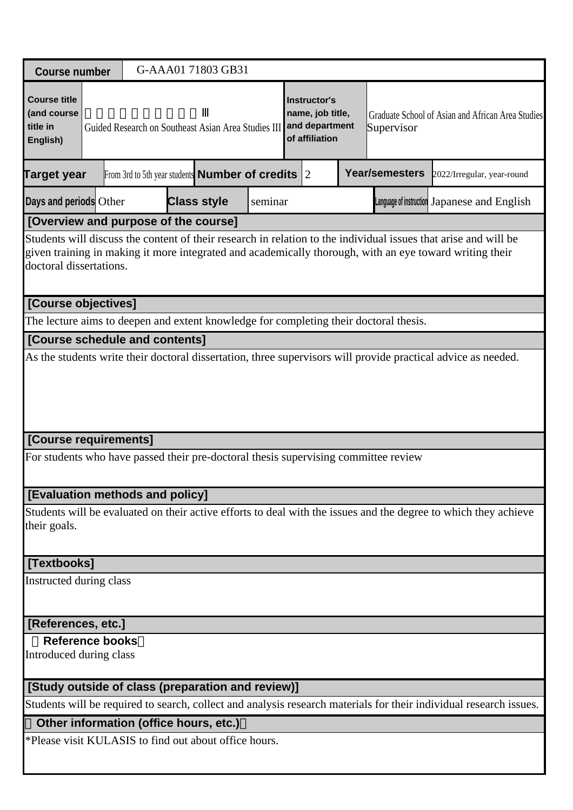| <b>Course number</b>                                                                                                                                                                                                                                  |  |                                        |  | G-AAA01 71803 GB31                                               |         |  |                                                                      |  |                                                                                       |                                                                                                                    |
|-------------------------------------------------------------------------------------------------------------------------------------------------------------------------------------------------------------------------------------------------------|--|----------------------------------------|--|------------------------------------------------------------------|---------|--|----------------------------------------------------------------------|--|---------------------------------------------------------------------------------------|--------------------------------------------------------------------------------------------------------------------|
| <b>Course title</b><br>(and course<br>title in<br>English)                                                                                                                                                                                            |  |                                        |  | Guided Research on Southeast Asian Area Studies III              |         |  | Instructor's<br>name, job title,<br>and department<br>of affiliation |  | Supervisor                                                                            | Graduate School of Asian and African Area Studies                                                                  |
| <b>Target year</b>                                                                                                                                                                                                                                    |  |                                        |  | From 3rd to 5th year students <b>Number of credits</b> $\vert$ 2 |         |  |                                                                      |  | <b>Year/semesters</b>                                                                 | 2022/Irregular, year-round                                                                                         |
| Days and periods Other                                                                                                                                                                                                                                |  |                                        |  | <b>Class style</b>                                               | seminar |  |                                                                      |  |                                                                                       | Language of instruction Japanese and English                                                                       |
| [Overview and purpose of the course]                                                                                                                                                                                                                  |  |                                        |  |                                                                  |         |  |                                                                      |  |                                                                                       |                                                                                                                    |
| Students will discuss the content of their research in relation to the individual issues that arise and will be<br>given training in making it more integrated and academically thorough, with an eye toward writing their<br>doctoral dissertations. |  |                                        |  |                                                                  |         |  |                                                                      |  |                                                                                       |                                                                                                                    |
| [Course objectives]                                                                                                                                                                                                                                   |  |                                        |  |                                                                  |         |  |                                                                      |  |                                                                                       |                                                                                                                    |
|                                                                                                                                                                                                                                                       |  |                                        |  |                                                                  |         |  |                                                                      |  | The lecture aims to deepen and extent knowledge for completing their doctoral thesis. |                                                                                                                    |
| [Course schedule and contents]                                                                                                                                                                                                                        |  |                                        |  |                                                                  |         |  |                                                                      |  |                                                                                       |                                                                                                                    |
| As the students write their doctoral dissertation, three supervisors will provide practical advice as needed.                                                                                                                                         |  |                                        |  |                                                                  |         |  |                                                                      |  |                                                                                       |                                                                                                                    |
| [Course requirements]                                                                                                                                                                                                                                 |  |                                        |  |                                                                  |         |  |                                                                      |  |                                                                                       |                                                                                                                    |
| For students who have passed their pre-doctoral thesis supervising committee review                                                                                                                                                                   |  |                                        |  |                                                                  |         |  |                                                                      |  |                                                                                       |                                                                                                                    |
| [Evaluation methods and policy]                                                                                                                                                                                                                       |  |                                        |  |                                                                  |         |  |                                                                      |  |                                                                                       |                                                                                                                    |
| their goals.                                                                                                                                                                                                                                          |  |                                        |  |                                                                  |         |  |                                                                      |  |                                                                                       | Students will be evaluated on their active efforts to deal with the issues and the degree to which they achieve    |
| [Textbooks]                                                                                                                                                                                                                                           |  |                                        |  |                                                                  |         |  |                                                                      |  |                                                                                       |                                                                                                                    |
| Instructed during class                                                                                                                                                                                                                               |  |                                        |  |                                                                  |         |  |                                                                      |  |                                                                                       |                                                                                                                    |
| [References, etc.]                                                                                                                                                                                                                                    |  |                                        |  |                                                                  |         |  |                                                                      |  |                                                                                       |                                                                                                                    |
| <b>Reference books</b><br>Introduced during class                                                                                                                                                                                                     |  |                                        |  |                                                                  |         |  |                                                                      |  |                                                                                       |                                                                                                                    |
| [Study outside of class (preparation and review)]                                                                                                                                                                                                     |  |                                        |  |                                                                  |         |  |                                                                      |  |                                                                                       |                                                                                                                    |
|                                                                                                                                                                                                                                                       |  |                                        |  |                                                                  |         |  |                                                                      |  |                                                                                       | Students will be required to search, collect and analysis research materials for their individual research issues. |
|                                                                                                                                                                                                                                                       |  | Other information (office hours, etc.) |  |                                                                  |         |  |                                                                      |  |                                                                                       |                                                                                                                    |
| *Please visit KULASIS to find out about office hours.                                                                                                                                                                                                 |  |                                        |  |                                                                  |         |  |                                                                      |  |                                                                                       |                                                                                                                    |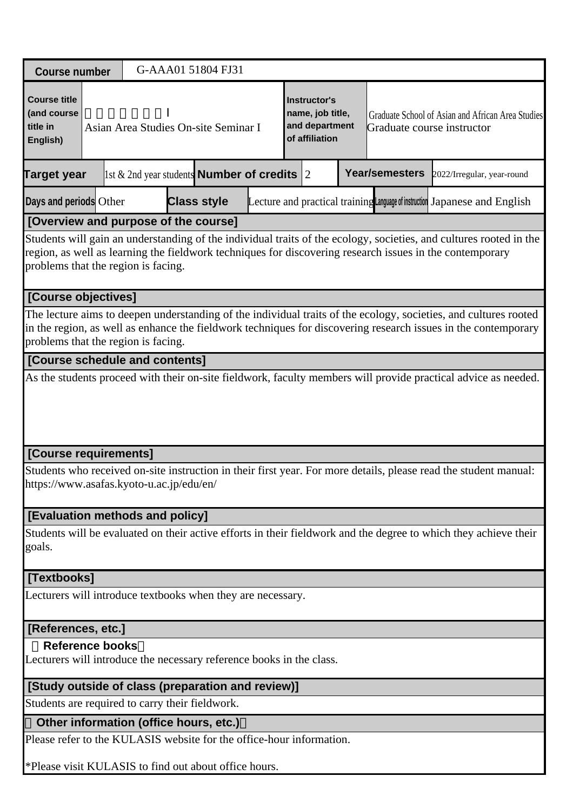| <b>Course number</b>                                                                                                                                                                                                                                                      |                                                                                                                                                                                                 |  | G-AAA01 51804 FJ31                     |                                                        |  |  |  |                       |                                                                                                                  |  |
|---------------------------------------------------------------------------------------------------------------------------------------------------------------------------------------------------------------------------------------------------------------------------|-------------------------------------------------------------------------------------------------------------------------------------------------------------------------------------------------|--|----------------------------------------|--------------------------------------------------------|--|--|--|-----------------------|------------------------------------------------------------------------------------------------------------------|--|
| <b>Course title</b><br>(and course<br>title in<br>English)                                                                                                                                                                                                                | Instructor's<br>name, job title,<br>Graduate School of Asian and African Area Studies<br>and department<br>Asian Area Studies On-site Seminar I<br>Graduate course instructor<br>of affiliation |  |                                        |                                                        |  |  |  |                       |                                                                                                                  |  |
| <b>Target year</b>                                                                                                                                                                                                                                                        |                                                                                                                                                                                                 |  |                                        | 1st & 2nd year students <b>Number of credits</b> $ 2 $ |  |  |  | <b>Year/semesters</b> | 2022/Irregular, year-round                                                                                       |  |
| Days and periods Other                                                                                                                                                                                                                                                    |                                                                                                                                                                                                 |  | <b>Class style</b>                     |                                                        |  |  |  |                       | Lecture and practical training Language of instruction Japanese and English                                      |  |
| [Overview and purpose of the course]                                                                                                                                                                                                                                      |                                                                                                                                                                                                 |  |                                        |                                                        |  |  |  |                       |                                                                                                                  |  |
| Students will gain an understanding of the individual traits of the ecology, societies, and cultures rooted in the<br>region, as well as learning the fieldwork techniques for discovering research issues in the contemporary<br>problems that the region is facing.     |                                                                                                                                                                                                 |  |                                        |                                                        |  |  |  |                       |                                                                                                                  |  |
| [Course objectives]                                                                                                                                                                                                                                                       |                                                                                                                                                                                                 |  |                                        |                                                        |  |  |  |                       |                                                                                                                  |  |
| The lecture aims to deepen understanding of the individual traits of the ecology, societies, and cultures rooted<br>in the region, as well as enhance the fieldwork techniques for discovering research issues in the contemporary<br>problems that the region is facing. |                                                                                                                                                                                                 |  |                                        |                                                        |  |  |  |                       |                                                                                                                  |  |
| [Course schedule and contents]                                                                                                                                                                                                                                            |                                                                                                                                                                                                 |  |                                        |                                                        |  |  |  |                       |                                                                                                                  |  |
| [Course requirements]<br>https://www.asafas.kyoto-u.ac.jp/edu/en/                                                                                                                                                                                                         |                                                                                                                                                                                                 |  |                                        |                                                        |  |  |  |                       | Students who received on-site instruction in their first year. For more details, please read the student manual: |  |
| [Evaluation methods and policy]                                                                                                                                                                                                                                           |                                                                                                                                                                                                 |  |                                        |                                                        |  |  |  |                       |                                                                                                                  |  |
| goals.                                                                                                                                                                                                                                                                    |                                                                                                                                                                                                 |  |                                        |                                                        |  |  |  |                       | Students will be evaluated on their active efforts in their fieldwork and the degree to which they achieve their |  |
| [Textbooks]                                                                                                                                                                                                                                                               |                                                                                                                                                                                                 |  |                                        |                                                        |  |  |  |                       |                                                                                                                  |  |
| Lecturers will introduce textbooks when they are necessary.                                                                                                                                                                                                               |                                                                                                                                                                                                 |  |                                        |                                                        |  |  |  |                       |                                                                                                                  |  |
| [References, etc.]                                                                                                                                                                                                                                                        |                                                                                                                                                                                                 |  |                                        |                                                        |  |  |  |                       |                                                                                                                  |  |
| <b>Reference books</b><br>Lecturers will introduce the necessary reference books in the class.                                                                                                                                                                            |                                                                                                                                                                                                 |  |                                        |                                                        |  |  |  |                       |                                                                                                                  |  |
| [Study outside of class (preparation and review)]                                                                                                                                                                                                                         |                                                                                                                                                                                                 |  |                                        |                                                        |  |  |  |                       |                                                                                                                  |  |
| Students are required to carry their fieldwork.                                                                                                                                                                                                                           |                                                                                                                                                                                                 |  |                                        |                                                        |  |  |  |                       |                                                                                                                  |  |
|                                                                                                                                                                                                                                                                           |                                                                                                                                                                                                 |  | Other information (office hours, etc.) |                                                        |  |  |  |                       |                                                                                                                  |  |
| Please refer to the KULASIS website for the office-hour information.                                                                                                                                                                                                      |                                                                                                                                                                                                 |  |                                        |                                                        |  |  |  |                       |                                                                                                                  |  |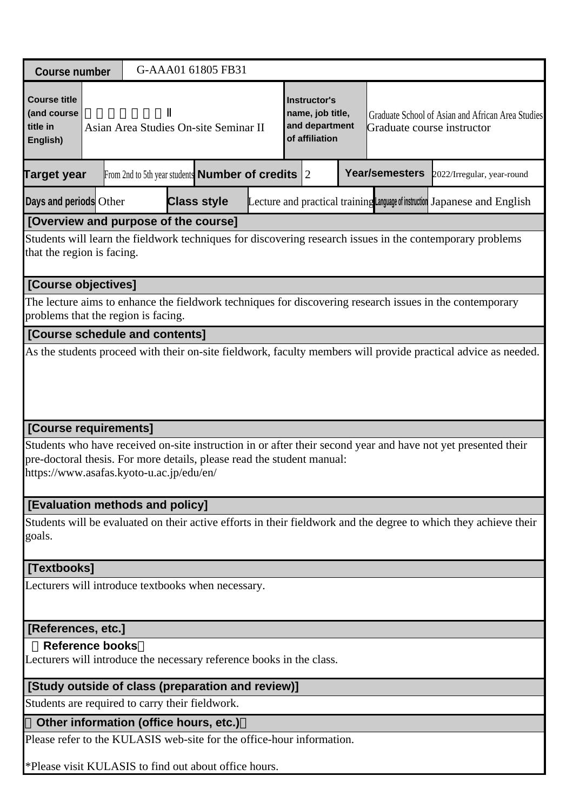| <b>Course number</b>                                                                                                                            |                                                                                                                                                            |  |                                                                                                                                                                                                         | G-AAA01 61805 FB31 |  |  |  |  |  |                                                                                                               |  |
|-------------------------------------------------------------------------------------------------------------------------------------------------|------------------------------------------------------------------------------------------------------------------------------------------------------------|--|---------------------------------------------------------------------------------------------------------------------------------------------------------------------------------------------------------|--------------------|--|--|--|--|--|---------------------------------------------------------------------------------------------------------------|--|
| <b>Course title</b><br>(and course<br>title in<br>English)                                                                                      |                                                                                                                                                            |  | <b>Instructor's</b><br>name, job title,<br>Graduate School of Asian and African Area Studies<br>and department<br>Asian Area Studies On-site Seminar II<br>Graduate course instructor<br>of affiliation |                    |  |  |  |  |  |                                                                                                               |  |
| <b>Target year</b>                                                                                                                              | <b>Year/semesters</b><br>From 2nd to 5th year students <b>Number of credits</b> 2<br>2022/Irregular, year-round                                            |  |                                                                                                                                                                                                         |                    |  |  |  |  |  |                                                                                                               |  |
| Days and periods Other                                                                                                                          |                                                                                                                                                            |  | <b>Class style</b>                                                                                                                                                                                      |                    |  |  |  |  |  | Lecture and practical training Language of instruction Japanese and English                                   |  |
| [Overview and purpose of the course]                                                                                                            |                                                                                                                                                            |  |                                                                                                                                                                                                         |                    |  |  |  |  |  |                                                                                                               |  |
| Students will learn the fieldwork techniques for discovering research issues in the contemporary problems<br>that the region is facing.         |                                                                                                                                                            |  |                                                                                                                                                                                                         |                    |  |  |  |  |  |                                                                                                               |  |
| [Course objectives]                                                                                                                             |                                                                                                                                                            |  |                                                                                                                                                                                                         |                    |  |  |  |  |  |                                                                                                               |  |
| The lecture aims to enhance the fieldwork techniques for discovering research issues in the contemporary<br>problems that the region is facing. |                                                                                                                                                            |  |                                                                                                                                                                                                         |                    |  |  |  |  |  |                                                                                                               |  |
| [Course schedule and contents]                                                                                                                  |                                                                                                                                                            |  |                                                                                                                                                                                                         |                    |  |  |  |  |  |                                                                                                               |  |
| [Course requirements]                                                                                                                           |                                                                                                                                                            |  |                                                                                                                                                                                                         |                    |  |  |  |  |  |                                                                                                               |  |
|                                                                                                                                                 |                                                                                                                                                            |  |                                                                                                                                                                                                         |                    |  |  |  |  |  | Students who have received on-site instruction in or after their second year and have not yet presented their |  |
| pre-doctoral thesis. For more details, please read the student manual:<br>https://www.asafas.kyoto-u.ac.jp/edu/en/                              |                                                                                                                                                            |  |                                                                                                                                                                                                         |                    |  |  |  |  |  |                                                                                                               |  |
|                                                                                                                                                 |                                                                                                                                                            |  |                                                                                                                                                                                                         |                    |  |  |  |  |  |                                                                                                               |  |
| goals.                                                                                                                                          | <b>[Evaluation methods and policy]</b><br>Students will be evaluated on their active efforts in their fieldwork and the degree to which they achieve their |  |                                                                                                                                                                                                         |                    |  |  |  |  |  |                                                                                                               |  |
| [Textbooks]                                                                                                                                     |                                                                                                                                                            |  |                                                                                                                                                                                                         |                    |  |  |  |  |  |                                                                                                               |  |
| Lecturers will introduce textbooks when necessary.                                                                                              |                                                                                                                                                            |  |                                                                                                                                                                                                         |                    |  |  |  |  |  |                                                                                                               |  |
| [References, etc.]                                                                                                                              |                                                                                                                                                            |  |                                                                                                                                                                                                         |                    |  |  |  |  |  |                                                                                                               |  |
| <b>Reference books</b><br>Lecturers will introduce the necessary reference books in the class.                                                  |                                                                                                                                                            |  |                                                                                                                                                                                                         |                    |  |  |  |  |  |                                                                                                               |  |
| [Study outside of class (preparation and review)]                                                                                               |                                                                                                                                                            |  |                                                                                                                                                                                                         |                    |  |  |  |  |  |                                                                                                               |  |
| Students are required to carry their fieldwork.                                                                                                 |                                                                                                                                                            |  |                                                                                                                                                                                                         |                    |  |  |  |  |  |                                                                                                               |  |
| Other information (office hours, etc.)                                                                                                          |                                                                                                                                                            |  |                                                                                                                                                                                                         |                    |  |  |  |  |  |                                                                                                               |  |
| Please refer to the KULASIS web-site for the office-hour information.                                                                           |                                                                                                                                                            |  |                                                                                                                                                                                                         |                    |  |  |  |  |  |                                                                                                               |  |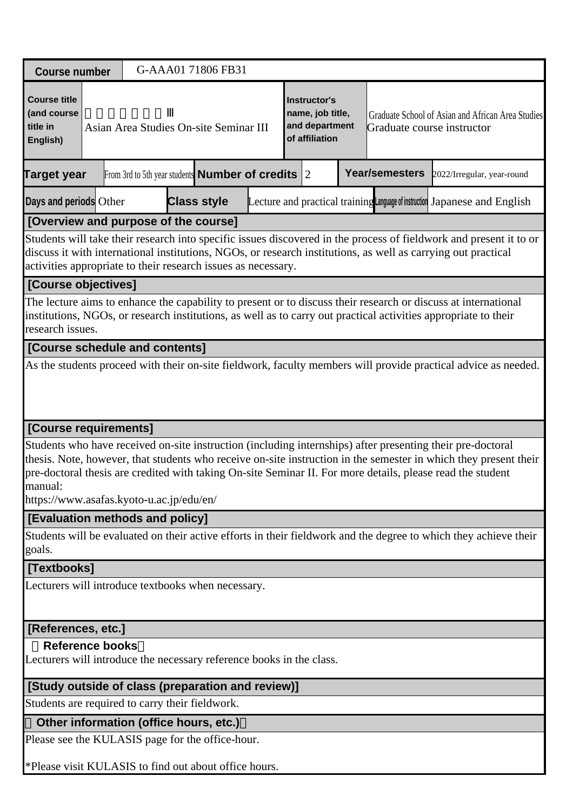| <b>Course number</b>                                                                                                                                                                                                                                                                                 |  |  |  |  | G-AAA01 71806 FB31                                           |  |  |                                                                             |  |                            |                                                                                                                                                                                                                                                                                                                                              |
|------------------------------------------------------------------------------------------------------------------------------------------------------------------------------------------------------------------------------------------------------------------------------------------------------|--|--|--|--|--------------------------------------------------------------|--|--|-----------------------------------------------------------------------------|--|----------------------------|----------------------------------------------------------------------------------------------------------------------------------------------------------------------------------------------------------------------------------------------------------------------------------------------------------------------------------------------|
| <b>Course title</b><br>(and course<br>title in<br>English)                                                                                                                                                                                                                                           |  |  |  |  | Asian Area Studies On-site Seminar III                       |  |  | <b>Instructor's</b><br>name, job title,<br>and department<br>of affiliation |  | Graduate course instructor | Graduate School of Asian and African Area Studies                                                                                                                                                                                                                                                                                            |
| <b>Target year</b>                                                                                                                                                                                                                                                                                   |  |  |  |  | From 3rd to 5th year students <b>Number of credits</b> $ 2 $ |  |  |                                                                             |  | <b>Year/semesters</b>      | 2022/Irregular, year-round                                                                                                                                                                                                                                                                                                                   |
| Days and periods Other                                                                                                                                                                                                                                                                               |  |  |  |  | <b>Class style</b>                                           |  |  |                                                                             |  |                            | Lecture and practical training Language of instruction Japanese and English                                                                                                                                                                                                                                                                  |
| [Overview and purpose of the course]                                                                                                                                                                                                                                                                 |  |  |  |  |                                                              |  |  |                                                                             |  |                            |                                                                                                                                                                                                                                                                                                                                              |
| Students will take their research into specific issues discovered in the process of fieldwork and present it to or<br>discuss it with international institutions, NGOs, or research institutions, as well as carrying out practical<br>activities appropriate to their research issues as necessary. |  |  |  |  |                                                              |  |  |                                                                             |  |                            |                                                                                                                                                                                                                                                                                                                                              |
| [Course objectives]                                                                                                                                                                                                                                                                                  |  |  |  |  |                                                              |  |  |                                                                             |  |                            |                                                                                                                                                                                                                                                                                                                                              |
| research issues.                                                                                                                                                                                                                                                                                     |  |  |  |  |                                                              |  |  |                                                                             |  |                            | The lecture aims to enhance the capability to present or to discuss their research or discuss at international<br>institutions, NGOs, or research institutions, as well as to carry out practical activities appropriate to their                                                                                                            |
| [Course schedule and contents]                                                                                                                                                                                                                                                                       |  |  |  |  |                                                              |  |  |                                                                             |  |                            |                                                                                                                                                                                                                                                                                                                                              |
| [Course requirements]                                                                                                                                                                                                                                                                                |  |  |  |  |                                                              |  |  |                                                                             |  |                            |                                                                                                                                                                                                                                                                                                                                              |
| manual:<br>https://www.asafas.kyoto-u.ac.jp/edu/en/                                                                                                                                                                                                                                                  |  |  |  |  |                                                              |  |  |                                                                             |  |                            | Students who have received on-site instruction (including internships) after presenting their pre-doctoral<br>thesis. Note, however, that students who receive on-site instruction in the semester in which they present their<br>pre-doctoral thesis are credited with taking On-site Seminar II. For more details, please read the student |
| [Evaluation methods and policy]                                                                                                                                                                                                                                                                      |  |  |  |  |                                                              |  |  |                                                                             |  |                            |                                                                                                                                                                                                                                                                                                                                              |
| goals.                                                                                                                                                                                                                                                                                               |  |  |  |  |                                                              |  |  |                                                                             |  |                            | Students will be evaluated on their active efforts in their fieldwork and the degree to which they achieve their                                                                                                                                                                                                                             |
| [Textbooks]                                                                                                                                                                                                                                                                                          |  |  |  |  |                                                              |  |  |                                                                             |  |                            |                                                                                                                                                                                                                                                                                                                                              |
| Lecturers will introduce textbooks when necessary.                                                                                                                                                                                                                                                   |  |  |  |  |                                                              |  |  |                                                                             |  |                            |                                                                                                                                                                                                                                                                                                                                              |
| [References, etc.]                                                                                                                                                                                                                                                                                   |  |  |  |  |                                                              |  |  |                                                                             |  |                            |                                                                                                                                                                                                                                                                                                                                              |
| <b>Reference books</b>                                                                                                                                                                                                                                                                               |  |  |  |  |                                                              |  |  |                                                                             |  |                            |                                                                                                                                                                                                                                                                                                                                              |
| Lecturers will introduce the necessary reference books in the class.                                                                                                                                                                                                                                 |  |  |  |  |                                                              |  |  |                                                                             |  |                            |                                                                                                                                                                                                                                                                                                                                              |
| [Study outside of class (preparation and review)]                                                                                                                                                                                                                                                    |  |  |  |  |                                                              |  |  |                                                                             |  |                            |                                                                                                                                                                                                                                                                                                                                              |
| Students are required to carry their fieldwork.                                                                                                                                                                                                                                                      |  |  |  |  |                                                              |  |  |                                                                             |  |                            |                                                                                                                                                                                                                                                                                                                                              |
| Other information (office hours, etc.)                                                                                                                                                                                                                                                               |  |  |  |  |                                                              |  |  |                                                                             |  |                            |                                                                                                                                                                                                                                                                                                                                              |
| Please see the KULASIS page for the office-hour.                                                                                                                                                                                                                                                     |  |  |  |  |                                                              |  |  |                                                                             |  |                            |                                                                                                                                                                                                                                                                                                                                              |
| $*D0.089$ vigit KIII ASIS to find out about office hours                                                                                                                                                                                                                                             |  |  |  |  |                                                              |  |  |                                                                             |  |                            |                                                                                                                                                                                                                                                                                                                                              |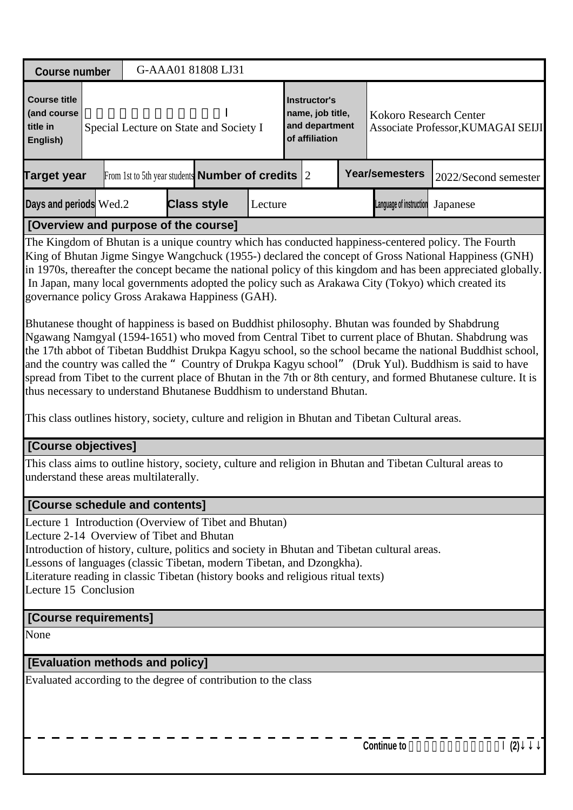| G-AAA01 81808 LJ31<br><b>Course number</b><br><b>Course title</b><br><b>Instructor's</b><br>(and course<br>name, job title,<br>Kokoro Research Center<br>and department<br>title in<br>Special Lecture on State and Society I<br>Associate Professor, KUMAGAI SEIJI<br>of affiliation<br>English)<br><b>Year/semesters</b><br>From 1st to 5th year students <b>Number of credits</b> $ 2 $<br><b>Target year</b><br>2022/Second semester<br><b>Class style</b><br>Lecture<br>Language of instruction<br>Japanese<br>[Overview and purpose of the course]<br>The Kingdom of Bhutan is a unique country which has conducted happiness-centered policy. The Fourth<br>King of Bhutan Jigme Singye Wangchuck (1955-) declared the concept of Gross National Happiness (GNH)<br>in 1970s, thereafter the concept became the national policy of this kingdom and has been appreciated globally.<br>In Japan, many local governments adopted the policy such as Arakawa City (Tokyo) which created its<br>governance policy Gross Arakawa Happiness (GAH).<br>Bhutanese thought of happiness is based on Buddhist philosophy. Bhutan was founded by Shabdrung<br>Ngawang Namgyal (1594-1651) who moved from Central Tibet to current place of Bhutan. Shabdrung was<br>the 17th abbot of Tibetan Buddhist Drukpa Kagyu school, so the school became the national Buddhist school,<br>and the country was called the " Country of Drukpa Kagyu school" (Druk Yul). Buddhism is said to have<br>spread from Tibet to the current place of Bhutan in the 7th or 8th century, and formed Bhutanese culture. It is<br>thus necessary to understand Bhutanese Buddhism to understand Bhutan.<br>This class outlines history, society, culture and religion in Bhutan and Tibetan Cultural areas.<br>[Course objectives]<br>This class aims to outline history, society, culture and religion in Bhutan and Tibetan Cultural areas to<br>understand these areas multilaterally.<br>[Course schedule and contents]<br>Introduction of history, culture, politics and society in Bhutan and Tibetan cultural areas.<br>Lessons of languages (classic Tibetan, modern Tibetan, and Dzongkha).<br>Lecture 15 Conclusion |  |  |  |  |
|-------------------------------------------------------------------------------------------------------------------------------------------------------------------------------------------------------------------------------------------------------------------------------------------------------------------------------------------------------------------------------------------------------------------------------------------------------------------------------------------------------------------------------------------------------------------------------------------------------------------------------------------------------------------------------------------------------------------------------------------------------------------------------------------------------------------------------------------------------------------------------------------------------------------------------------------------------------------------------------------------------------------------------------------------------------------------------------------------------------------------------------------------------------------------------------------------------------------------------------------------------------------------------------------------------------------------------------------------------------------------------------------------------------------------------------------------------------------------------------------------------------------------------------------------------------------------------------------------------------------------------------------------------------------------------------------------------------------------------------------------------------------------------------------------------------------------------------------------------------------------------------------------------------------------------------------------------------------------------------------------------------------------------------------------------------------------------------------------------------------------------------------------------------------------------------------------------|--|--|--|--|
|                                                                                                                                                                                                                                                                                                                                                                                                                                                                                                                                                                                                                                                                                                                                                                                                                                                                                                                                                                                                                                                                                                                                                                                                                                                                                                                                                                                                                                                                                                                                                                                                                                                                                                                                                                                                                                                                                                                                                                                                                                                                                                                                                                                                       |  |  |  |  |
|                                                                                                                                                                                                                                                                                                                                                                                                                                                                                                                                                                                                                                                                                                                                                                                                                                                                                                                                                                                                                                                                                                                                                                                                                                                                                                                                                                                                                                                                                                                                                                                                                                                                                                                                                                                                                                                                                                                                                                                                                                                                                                                                                                                                       |  |  |  |  |
| Days and periods Wed.2<br>Lecture 1 Introduction (Overview of Tibet and Bhutan)<br>Lecture 2-14 Overview of Tibet and Bhutan<br>Literature reading in classic Tibetan (history books and religious ritual texts)                                                                                                                                                                                                                                                                                                                                                                                                                                                                                                                                                                                                                                                                                                                                                                                                                                                                                                                                                                                                                                                                                                                                                                                                                                                                                                                                                                                                                                                                                                                                                                                                                                                                                                                                                                                                                                                                                                                                                                                      |  |  |  |  |
|                                                                                                                                                                                                                                                                                                                                                                                                                                                                                                                                                                                                                                                                                                                                                                                                                                                                                                                                                                                                                                                                                                                                                                                                                                                                                                                                                                                                                                                                                                                                                                                                                                                                                                                                                                                                                                                                                                                                                                                                                                                                                                                                                                                                       |  |  |  |  |
|                                                                                                                                                                                                                                                                                                                                                                                                                                                                                                                                                                                                                                                                                                                                                                                                                                                                                                                                                                                                                                                                                                                                                                                                                                                                                                                                                                                                                                                                                                                                                                                                                                                                                                                                                                                                                                                                                                                                                                                                                                                                                                                                                                                                       |  |  |  |  |
|                                                                                                                                                                                                                                                                                                                                                                                                                                                                                                                                                                                                                                                                                                                                                                                                                                                                                                                                                                                                                                                                                                                                                                                                                                                                                                                                                                                                                                                                                                                                                                                                                                                                                                                                                                                                                                                                                                                                                                                                                                                                                                                                                                                                       |  |  |  |  |
|                                                                                                                                                                                                                                                                                                                                                                                                                                                                                                                                                                                                                                                                                                                                                                                                                                                                                                                                                                                                                                                                                                                                                                                                                                                                                                                                                                                                                                                                                                                                                                                                                                                                                                                                                                                                                                                                                                                                                                                                                                                                                                                                                                                                       |  |  |  |  |
|                                                                                                                                                                                                                                                                                                                                                                                                                                                                                                                                                                                                                                                                                                                                                                                                                                                                                                                                                                                                                                                                                                                                                                                                                                                                                                                                                                                                                                                                                                                                                                                                                                                                                                                                                                                                                                                                                                                                                                                                                                                                                                                                                                                                       |  |  |  |  |
|                                                                                                                                                                                                                                                                                                                                                                                                                                                                                                                                                                                                                                                                                                                                                                                                                                                                                                                                                                                                                                                                                                                                                                                                                                                                                                                                                                                                                                                                                                                                                                                                                                                                                                                                                                                                                                                                                                                                                                                                                                                                                                                                                                                                       |  |  |  |  |
|                                                                                                                                                                                                                                                                                                                                                                                                                                                                                                                                                                                                                                                                                                                                                                                                                                                                                                                                                                                                                                                                                                                                                                                                                                                                                                                                                                                                                                                                                                                                                                                                                                                                                                                                                                                                                                                                                                                                                                                                                                                                                                                                                                                                       |  |  |  |  |
| [Course requirements]                                                                                                                                                                                                                                                                                                                                                                                                                                                                                                                                                                                                                                                                                                                                                                                                                                                                                                                                                                                                                                                                                                                                                                                                                                                                                                                                                                                                                                                                                                                                                                                                                                                                                                                                                                                                                                                                                                                                                                                                                                                                                                                                                                                 |  |  |  |  |
| None                                                                                                                                                                                                                                                                                                                                                                                                                                                                                                                                                                                                                                                                                                                                                                                                                                                                                                                                                                                                                                                                                                                                                                                                                                                                                                                                                                                                                                                                                                                                                                                                                                                                                                                                                                                                                                                                                                                                                                                                                                                                                                                                                                                                  |  |  |  |  |
| [Evaluation methods and policy]                                                                                                                                                                                                                                                                                                                                                                                                                                                                                                                                                                                                                                                                                                                                                                                                                                                                                                                                                                                                                                                                                                                                                                                                                                                                                                                                                                                                                                                                                                                                                                                                                                                                                                                                                                                                                                                                                                                                                                                                                                                                                                                                                                       |  |  |  |  |
| Evaluated according to the degree of contribution to the class<br><b>Continue to</b><br>(2)                                                                                                                                                                                                                                                                                                                                                                                                                                                                                                                                                                                                                                                                                                                                                                                                                                                                                                                                                                                                                                                                                                                                                                                                                                                                                                                                                                                                                                                                                                                                                                                                                                                                                                                                                                                                                                                                                                                                                                                                                                                                                                           |  |  |  |  |